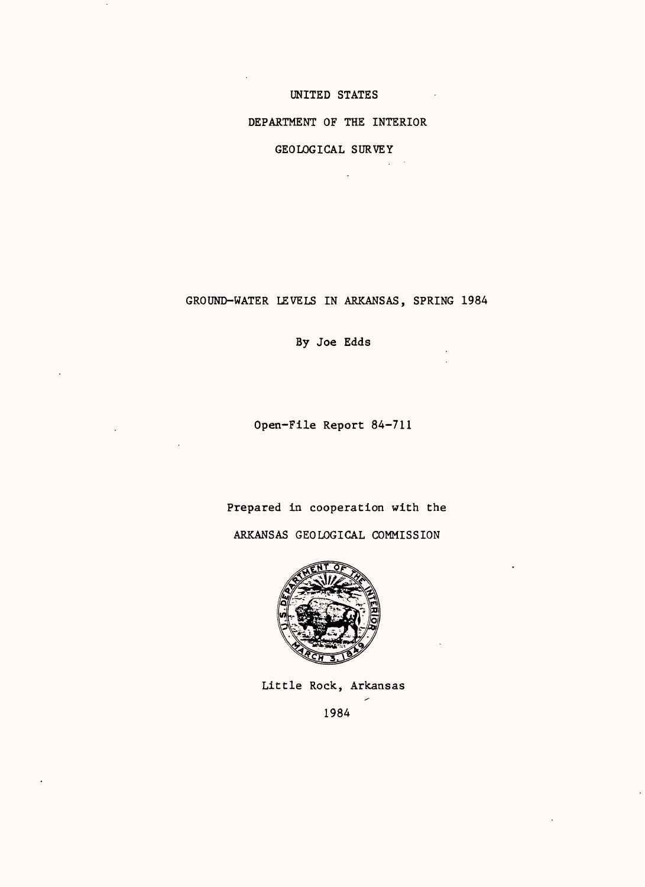# UNITED STATES

## DEPARTMENT OF THE INTERIOR

GEOLOGICAL SURVEY

GROUND-WATER LEVELS IN ARKANSAS, SPRING 1984

By Joe Edds

Open-File Report 84-711

Prepared in cooperation with the

ARKANSAS GEOLOGICAL COMMISSION



Little Rock, Arkansas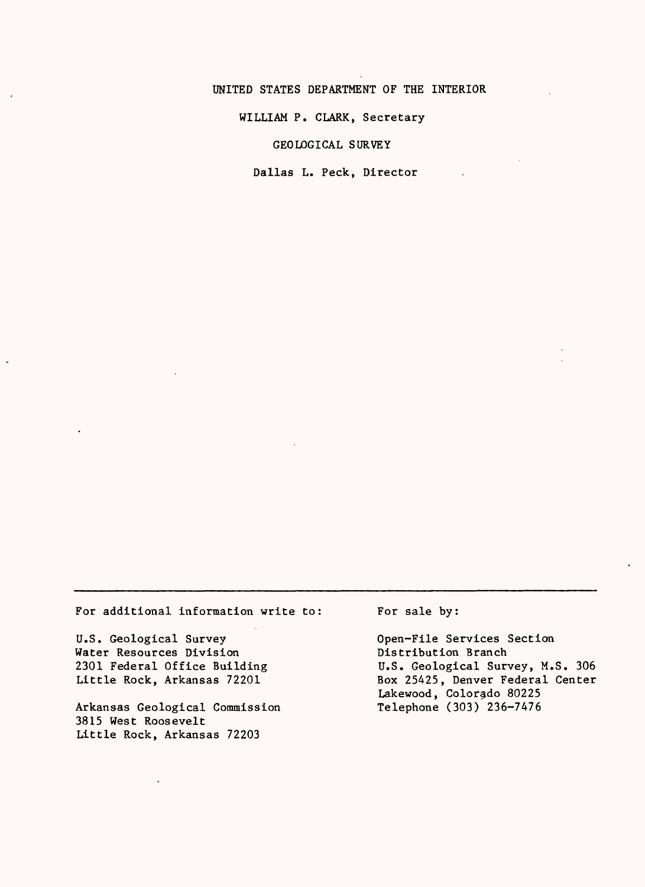#### UNITED STATES DEPARTMENT OF THE INTERIOR

WILLIAM P. CLARK, Secretary

GEOLOGICAL SURVEY

Dallas L. Peck, Director

For additional information write to

U.S. Geological Survey Water Resources Division 2301 Federal Office Building Little Rock, Arkansas 72201

Arkansas Geological Commission 3815 West Roosevelt Little Rock, Arkansas 72203

For sale by:

Open-File Services Section Distribution Branch U.S. Geological Survey, M.S. 306 Box 25425, Denver Federal Center Lakewood, Colorado 80225 Telephone (303) 236-7476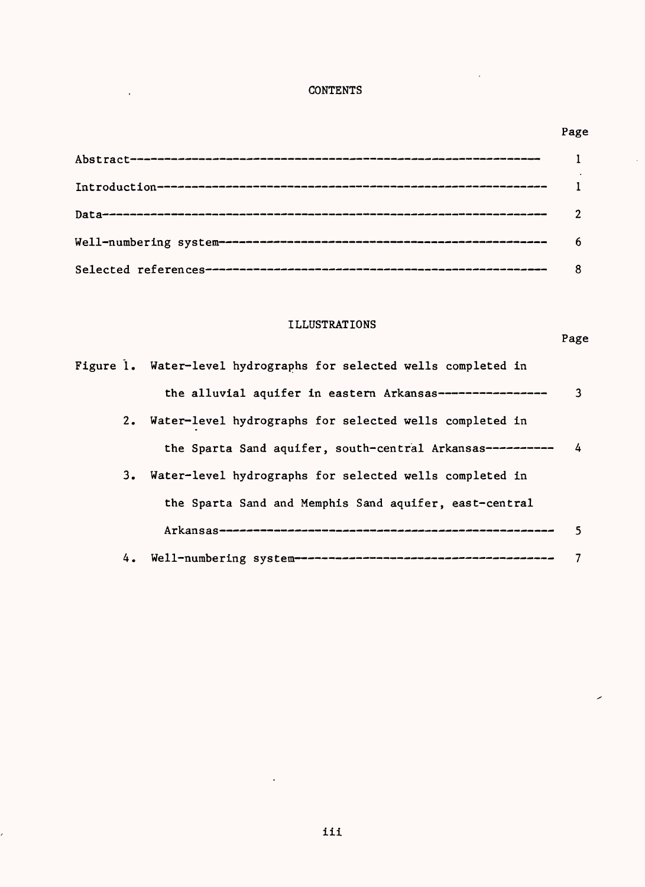# **CONTENTS**

 $\frac{1}{2}$ 

ł,

# Page

 $\hat{\mathcal{A}}$ 

 $\overline{\phantom{a}}$ 

# ILLUSTRATIONS

Page

 $\overline{\phantom{a}}$ 

|    | Figure 1. Water-level hydrographs for selected wells completed in |               |
|----|-------------------------------------------------------------------|---------------|
|    | the alluvial aquifer in eastern Arkansas----------------          | 3             |
|    | 2. Water-level hydrographs for selected wells completed in        |               |
|    | the Sparta Sand aquifer, south-central Arkansas----------         | $\frac{1}{4}$ |
| 3. | Water-level hydrographs for selected wells completed in           |               |
|    | the Sparta Sand and Memphis Sand aquifer, east-central            |               |
|    |                                                                   | 5.            |
|    |                                                                   |               |

 $\sim$  .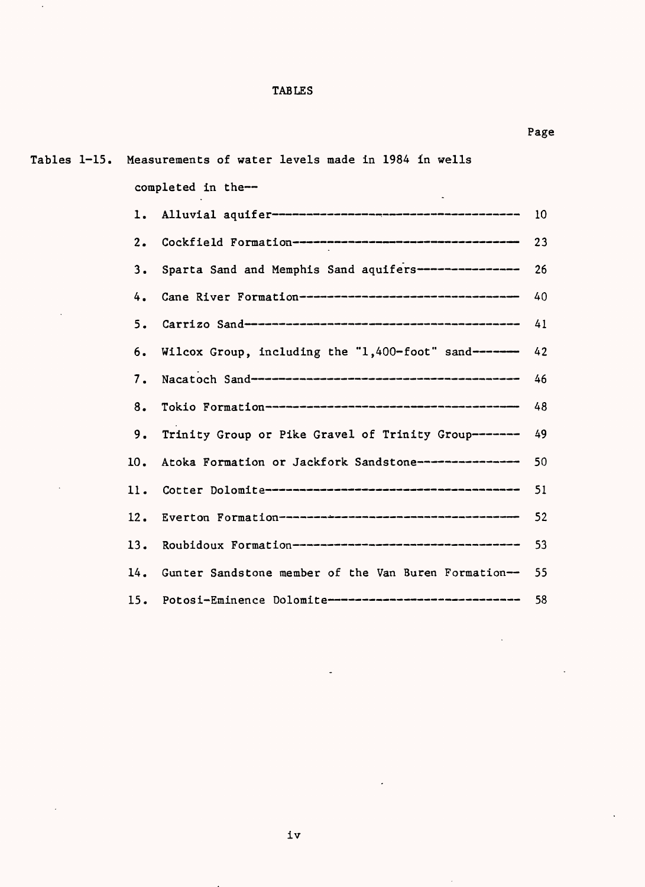# TABLES

 $\ddot{\phantom{0}}$ 

| Tables 1-15. Measurements of water levels made in 1984 in wells |    |
|-----------------------------------------------------------------|----|
| completed in the--                                              |    |
|                                                                 | 10 |
| Cockfield Formation----------------------------------<br>2.     | 23 |
| Sparta Sand and Memphis Sand aquifers-------------- 26<br>3.    |    |
| Cane River Formation--------------------------------<br>4.      | 40 |
| 5.                                                              | 41 |
| Wilcox Group, including the "1,400-foot" sand------<br>6.       | 42 |
| 7.                                                              | 46 |
| 8.                                                              | 48 |
| Trinity Group or Pike Gravel of Trinity Group------- 49<br>9.   |    |
| Atoka Formation or Jackfork Sandstone--------------- 50<br>10.  |    |
| 11.                                                             | 51 |
| 12.                                                             | 52 |
| Roubidoux Formation-----------------------------------<br>13.   | 53 |
| Gunter Sandstone member of the Van Buren Formation--<br>14.     | 55 |
| 15. Potosi-Eminence Dolomite-----------------------------       | 58 |

l,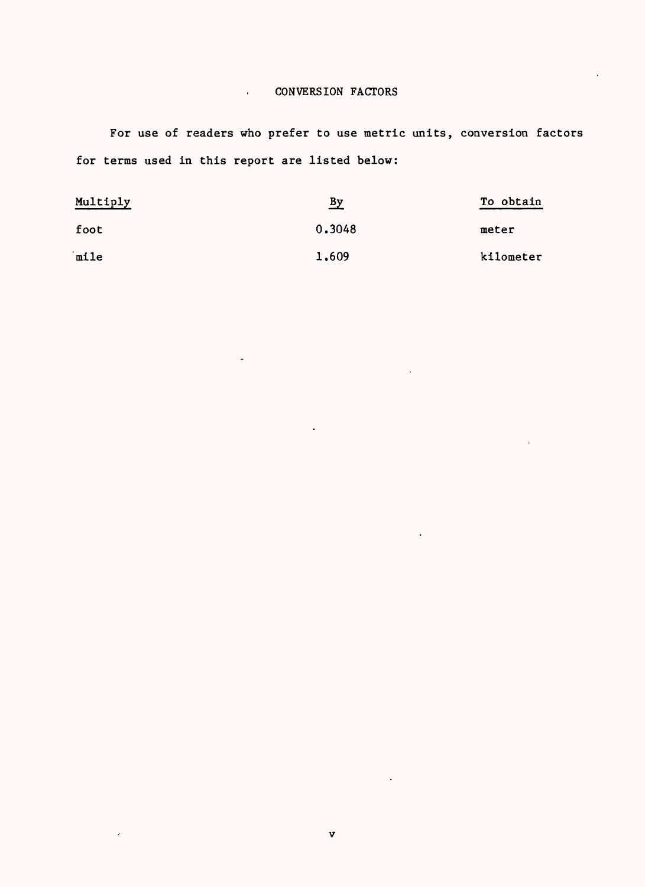# . CONVERSION FACTORS

For use of readers who prefer to use metric units, conversion factors for terms used in this report are listed below:

| Multiply | By     | To obtain |  |  |
|----------|--------|-----------|--|--|
| foot     | 0.3048 | meter     |  |  |
| mile     | 1.609  | kilometer |  |  |

 $\lambda$ 

 $\ddot{\phantom{a}}$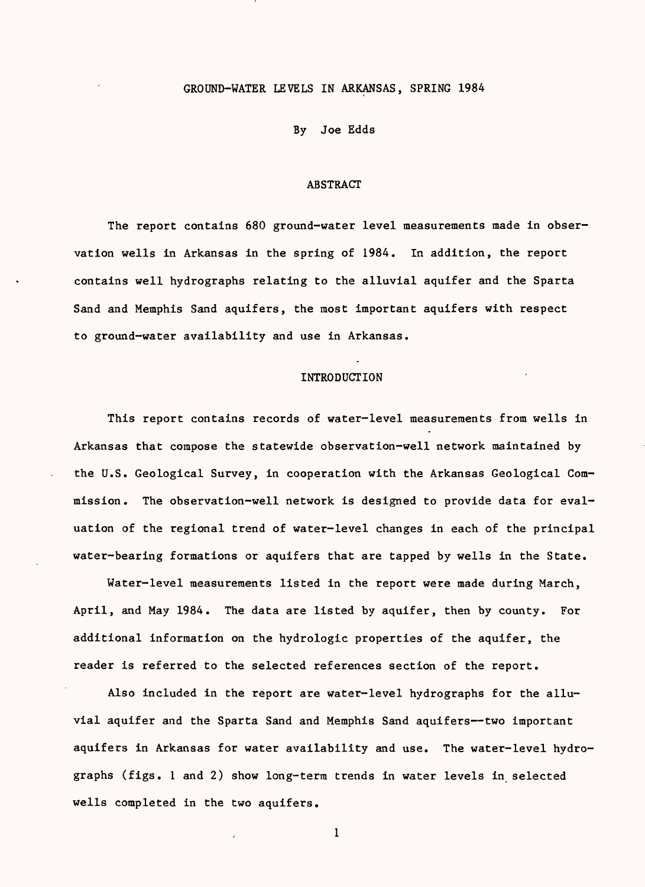### GROUND-WATER LEVELS IN ARKANSAS, SPRING 1984

#### By Joe Edds

### ABSTRACT

The report contains 680 ground-water level measurements made in observation wells in Arkansas in the spring of 1984. In addition, the report contains well hydrographs relating to the alluvial aquifer and the Sparta Sand and Memphis Sand aquifers, the most important aquifers with respect to ground-water availability and use in Arkansas.

## **INTRODUCTION**

This report contains records of water-level measurements from wells in Arkansas that compose the statewide observation-well network maintained by the U.S. Geological Survey, in cooperation with the Arkansas Geological Commission. The observation-well network is designed to provide data for evaluation of the regional trend of water-level changes in each of the principal water-bearing formations or aquifers that are tapped by wells in the State.

Water-level measurements listed in the report were made during March, April, and May 1984. The data are listed by aquifer, then by county. For additional information on the hydrologic properties of the aquifer, the reader is referred to the selected references section of the report.

Also included in the report are water-level hydrographs for the alluvial aquifer and the Sparta Sand and Memphis Sand aquifers--two important aquifers in Arkansas for water availability and use. The water-level hydrographs (figs. 1 and 2) show long-term trends in water levels in selected wells completed in the two aquifers.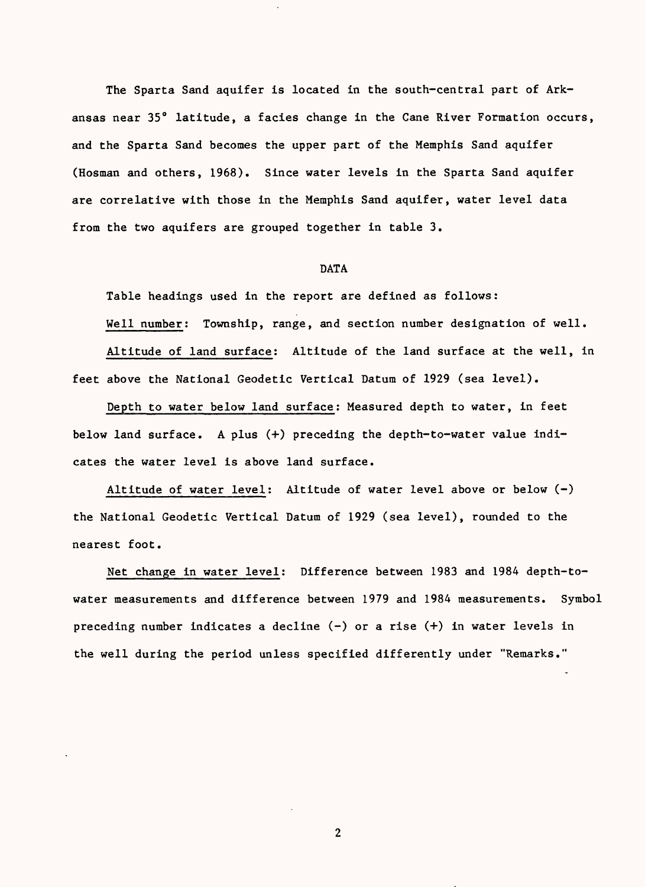The Sparta Sand aquifer is located in the south-central part of Arkansas near 35° latitude, a facies change in the Cane River Formation occurs, and the Sparta Sand becomes the upper part of the Memphis Sand aquifer (Hosman and others, 1968). Since water levels in the Sparta Sand aquifer are correlative with those in the Memphis Sand aquifer, water level data from the two aquifers are grouped together in table 3.

# DATA

Table headings used in the report are defined as follows: Well number: Township, range, and section number designation of well. Altitude of land surface: Altitude of the land surface at the well, in feet above the National Geodetic Vertical Datum of 1929 (sea level).

Depth to water below land surface: Measured depth to water, in feet below land surface. A plus (+) preceding the depth-to-water value indicates the water level is above land surface.

Altitude of water level: Altitude of water level above or below (-) the National Geodetic Vertical Datum of 1929 (sea level), rounded to the nearest foot.

Net change in water level: Difference between 1983 and 1984 depth-towater measurements and difference between 1979 and 1984 measurements. Symbol preceding number indicates a decline  $(-)$  or a rise  $(+)$  in water levels in the well during the period unless specified differently under "Remarks."

 $\overline{2}$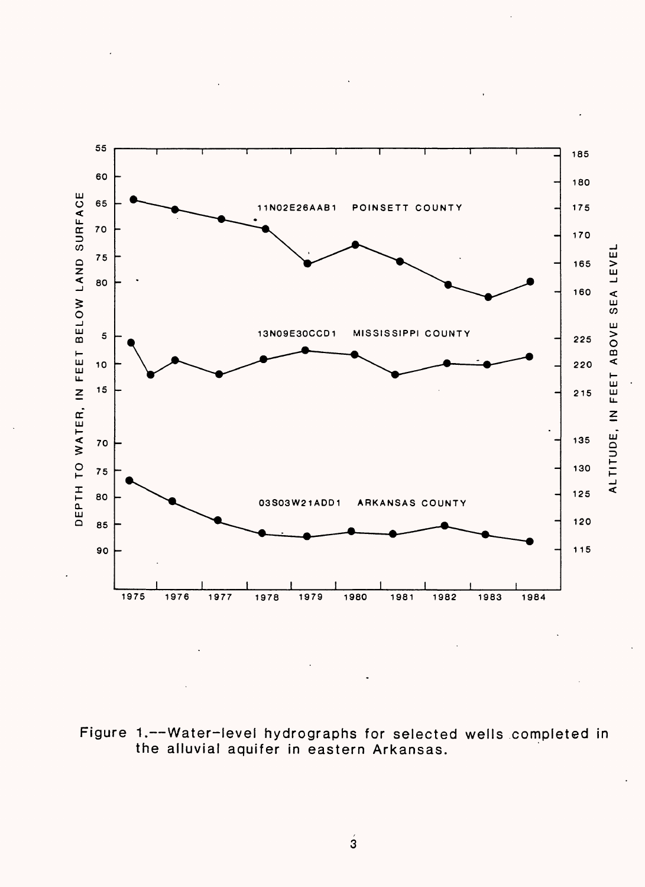

Figure 1.--Water-level hydrographs for selected wells completed in the alluvial aquifer in eastern Arkansas.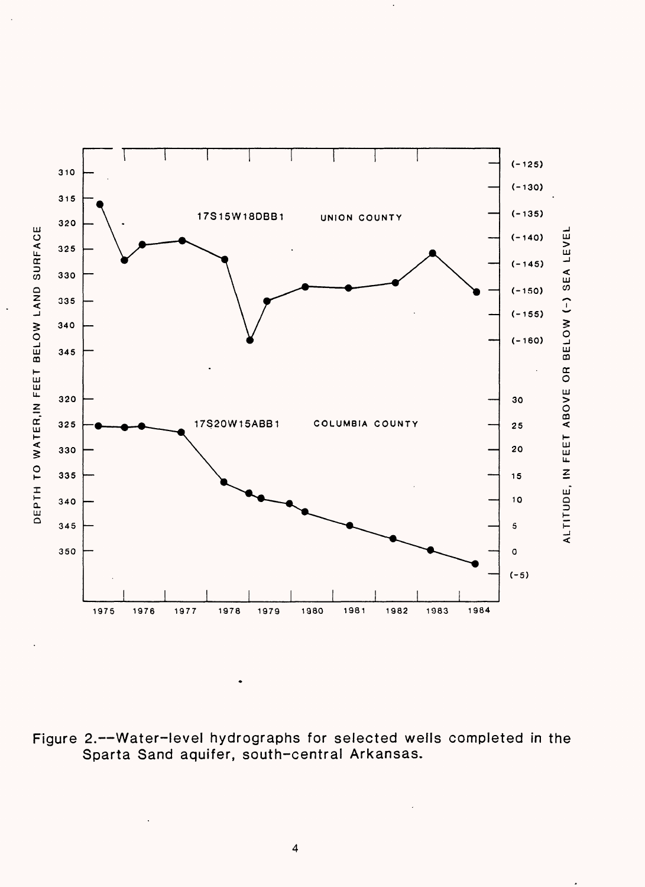

Figure 2.--Water-level hydrographs for selected wells completed in the Sparta Sand aquifer, south-central Arkansas.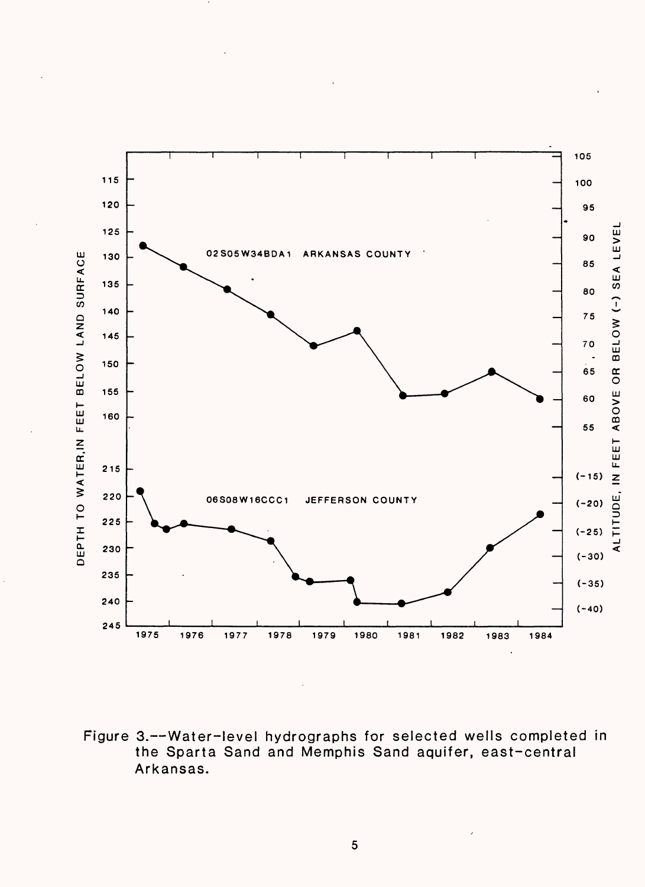

Figure 3.--Water-level hydrographs for selected wells completed in the Sparta Sand and Memphis Sand aquifer, east-central Arkansas.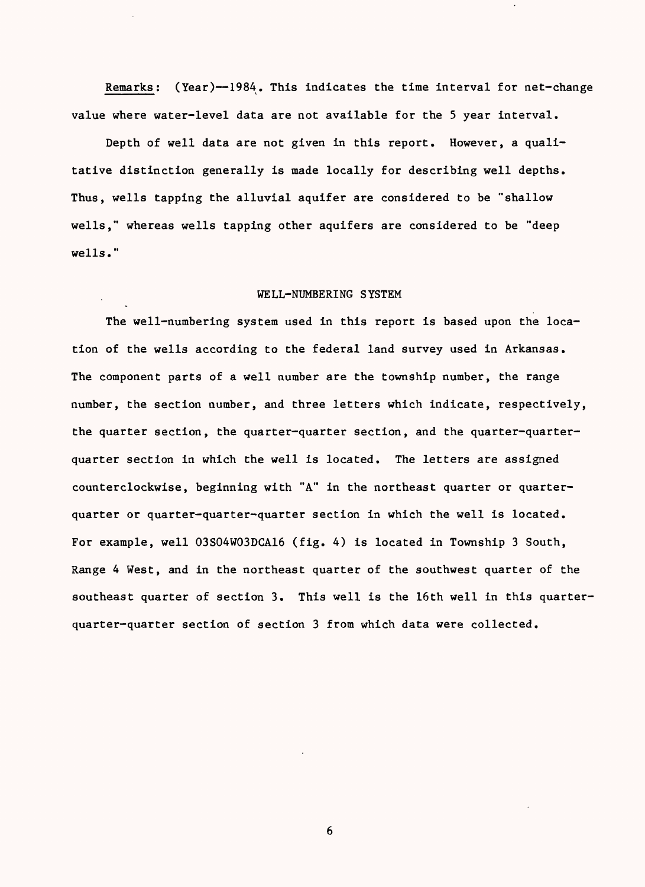Remarks: (Year)--1984. This indicates the time interval for net-change value where water-level data are not available for the 5 year interval.

Depth of well data are not given in this report. However, a qualitative distinction generally is made locally for describing well depths. Thus, wells tapping the alluvial aquifer are considered to be "shallow wells," whereas wells tapping other aquifers are considered to be "deep wells."

## WELL-NUMBERING SYSTEM

The well-numbering system used in this report is based upon the location of the wells according to the federal land survey used in Arkansas. The component parts of a well number are the township number, the range number, the section number, and three letters which indicate, respectively, the quarter section, the quarter-quarter section, and the quarter-quarterquarter section in which the well is located. The letters are assigned counterclockwise, beginning with "A" in the northeast quarter or quarterquarter or quarter-quarter-quarter section in which the well is located. For example, well 03S04W03DCA16 (fig. 4) is located in Township 3 South, Range 4 West, and in the northeast quarter of the southwest quarter of the southeast quarter of section 3. This well is the 16th well in this quarterquarter-quarter section of section 3 from which data were collected.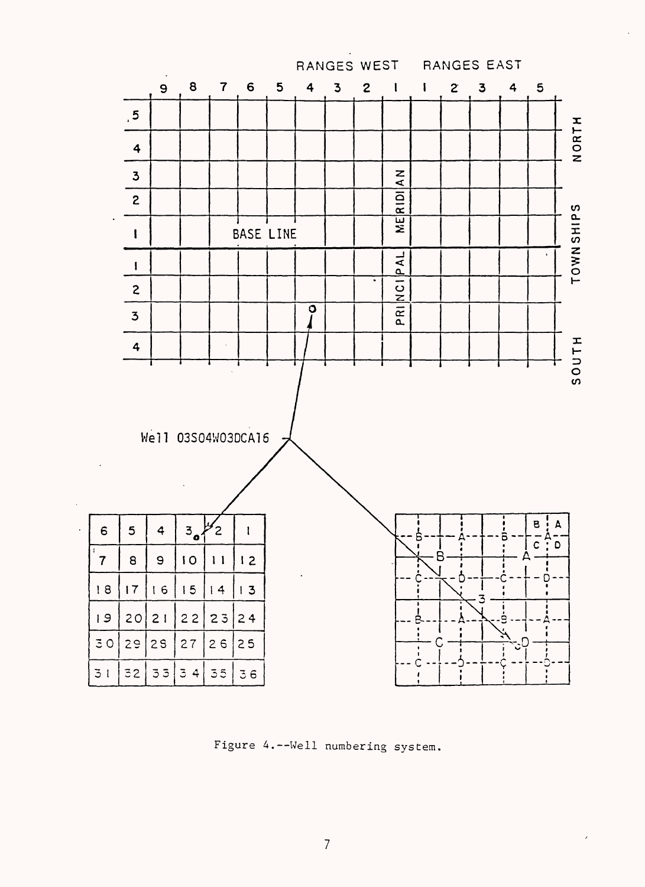

Figure 4.--Well numbering system.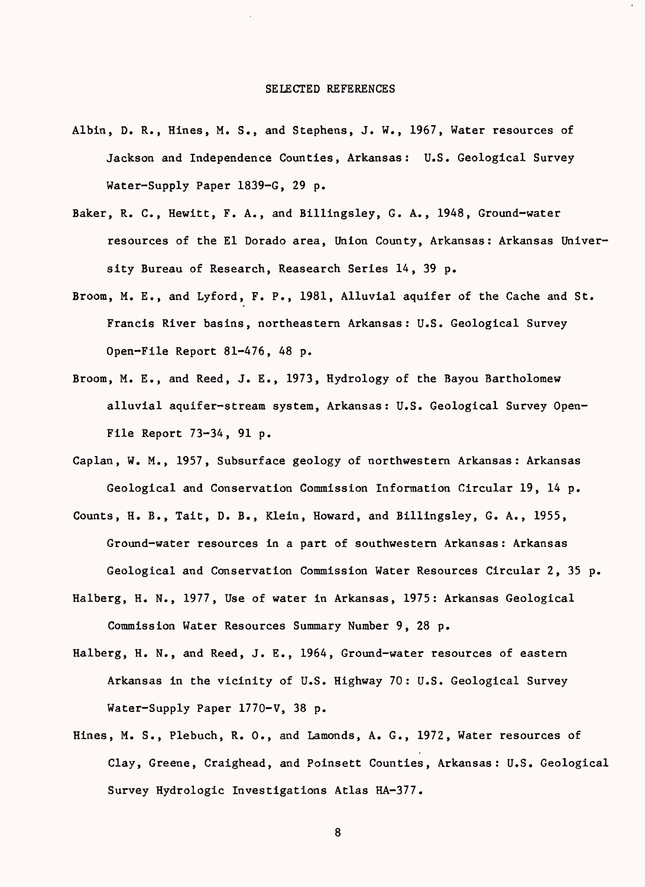- Albin, D. R., Hines, M. S., and Stephens, J. W., 1967, Water resources of Jackson and Independence Counties, Arkansas: U.S. Geological Survey Water-Supply Paper 1839-G, 29 p.
- Baker, R. C., Hewitt, F. A., and Billingsley, G. A., 1948, Ground-water resources of the El Dorado area, Union County, Arkansas: Arkansas University Bureau of Research, Reasearch Series 14, 39 p.
- Broom, M. E., and Lyford, F. P., 1981, Alluvial aquifer of the Cache and St. Francis River basins, northeastern Arkansas: U.S. Geological Survey Open-File Report 81-476, 48 p.
- Broom, M. E., and Reed, J. E., 1973, Hydrology of the Bayou Bartholomew alluvial aquifer-stream system, Arkansas: U.S. Geological Survey Open-File Report 73-34, 91 p.
- Caplan, W. M., 1957, Subsurface geology of northwestern Arkansas: Arkansas Geological and Conservation Commission Information Circular 19, 14 p.
- Counts, H. B., Tait, D. B., Klein, Howard, and Billingsley, G. A., 1955, Ground-water resources in a part of southwestern Arkansas: Arkansas Geological and Conservation Commission Water Resources Circular 2, 35 p.
- Halberg, H. N., 1977, Use of water in Arkansas, 1975: Arkansas Geological Commission Water Resources Summary Number 9, 28 p.
- Halberg, H. N., and Reed, J. E., 1964, Ground-water resources of eastern Arkansas in the vicinity of U.S. Highway 70: U.S. Geological Survey Water-Supply Paper 1770-V, 38 p.
- Hines, M. S., Plebuch, R. 0., and Lamonds, A. G., 1972, Water resources of Clay, Greene, Craighead, and Poinsett Counties, Arkansas: U.S. Geological Survey Hydrologic Investigations Atlas HA-377.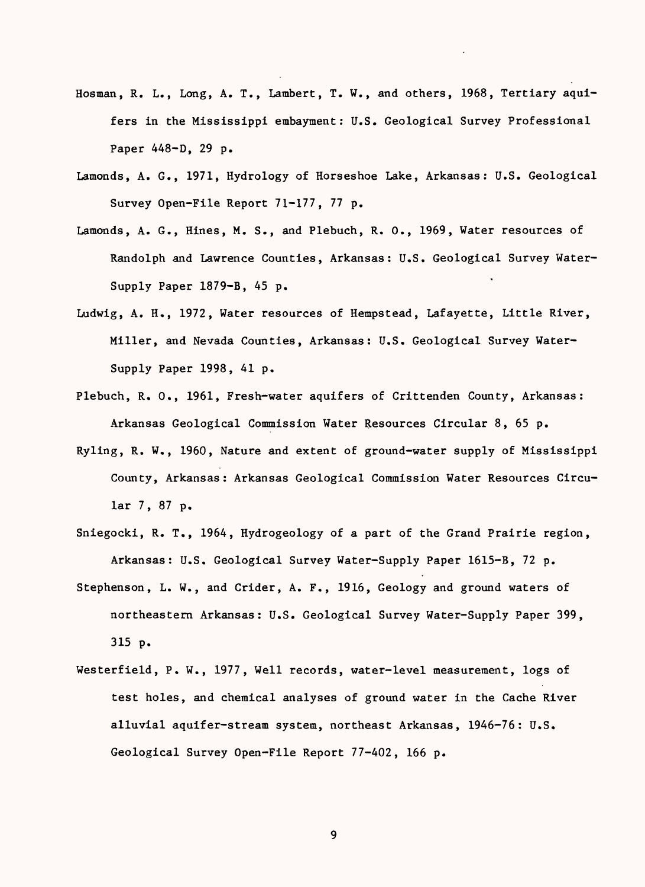- Hosman, R. L., Long, A. T., Lambert, T. W., and others, 1968, Tertiary aquifers in the Mississippi embayment: U.S. Geological Survey Professional Paper 448-D, 29 p.
- Lamonds, A. G., 1971, Hydrology of Horseshoe Lake, Arkansas: U.S. Geological Survey Open-File Report 71-177, 77 p.
- Lamonds, A. G., Hines, M. S., and Plebuch, R. 0., 1969, Water resources of Randolph and Lawrence Counties, Arkansas: U.S. Geological Survey Water-Supply Paper 1879-B, 45 p.
- Ludwig, A. H., 1972, Water resources of Hempstead, Lafayette, Little River, Miller, and Nevada Counties, Arkansas: U.S. Geological Survey Water-Supply Paper 1998, 41 p.
- Plebuch, R. 0., 1961, Fresh-water aquifers of Crittenden County, Arkansas: Arkansas Geological Commission Water Resources Circular 8, 65 p.
- Ryling, R. W., 1960, Nature and extent of ground-water supply of Mississippi County, Arkansas: Arkansas Geological Commission Water Resources Circular 7, 87 p.
- Sniegocki, R. T., 1964, Hydrogeology of a part of the Grand Prairie region, Arkansas: U.S. Geological Survey Water-Supply Paper 1615-B, 72 p.
- Stephenson, L. W., and Crider, A. F., 1916, Geology and ground waters of northeastern Arkansas: U.S. Geological Survey Water-Supply Paper 399, 315 p.
- Westerfield, P. W., 1977, Well records, water-level measurement, logs of test holes, and chemical analyses of ground water in the Cache River alluvial aquifer-stream system, northeast Arkansas, 1946-76: U.S. Geological Survey Open-File Report 77-402, 166 p.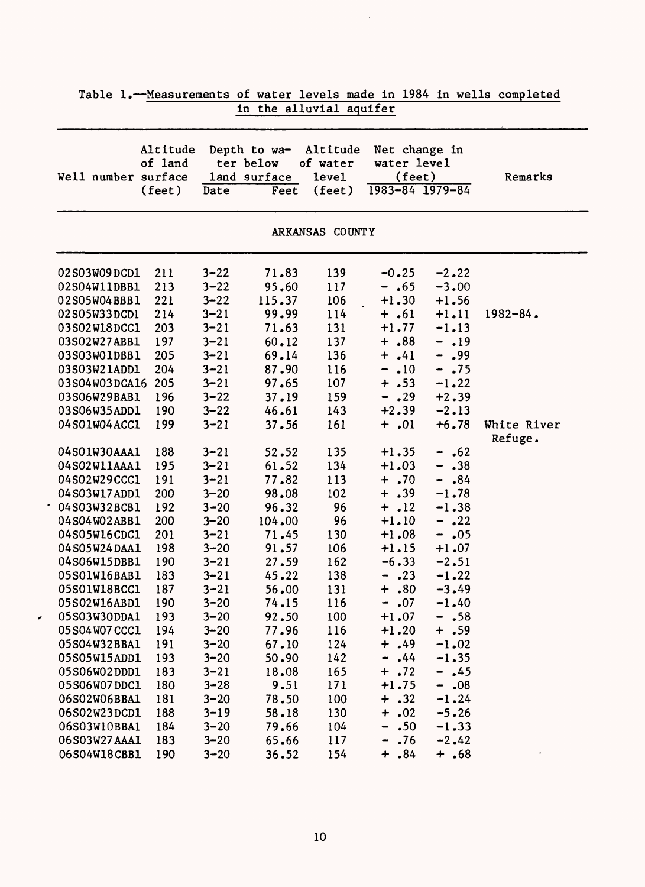| Well number surface | Altitude<br>of land |          | Depth to wa-<br>ter below<br>land surface | Altitude<br>of water<br>level | Net change in<br>water level<br>(feet) |         | Remarks                |
|---------------------|---------------------|----------|-------------------------------------------|-------------------------------|----------------------------------------|---------|------------------------|
|                     | $(\text{feet})$     | Date     | Feet                                      | $(\text{feet})$               | 1983-84 1979-84                        |         |                        |
|                     |                     |          |                                           | ARKANSAS COUNTY               |                                        |         |                        |
| 02S03W09DCD1        | 211                 | $3 - 22$ | 71.83                                     | 139                           | $-0.25$                                | $-2.22$ |                        |
| 02S04W11DBB1        | 213                 | $3 - 22$ | 95.60                                     | 117                           | $- .65$                                | $-3.00$ |                        |
| 02S05W04BBB1        | 221                 | $3 - 22$ | 115.37                                    | 106                           | $+1.30$                                | $+1.56$ |                        |
| 02S05W33DCD1        | 214                 | $3 - 21$ | 99.99                                     | 114                           | $+ .61$                                | $+1.11$ | $1982 - 84$ .          |
| 03S02W18DCC1        | 203                 | $3 - 21$ | 71.63                                     | 131                           | $+1.77$                                | $-1.13$ |                        |
| 03S02W27ABB1        | 197                 | $3 - 21$ | 60.12                                     | 137                           | $+ .88$                                | $-.19$  |                        |
| 03S03W01DBB1        | 205                 | $3 - 21$ | 69.14                                     | 136                           | $+ .41$                                | $-0.99$ |                        |
| 03S03W21ADD1        | 204                 | $3 - 21$ | 87.90                                     | 116                           | .10<br>-                               | $- .75$ |                        |
| 03S04W03DCA16       | 205                 | $3 - 21$ | 97.65                                     | 107                           | $+ .53$                                | $-1.22$ |                        |
| 03S06W29BAB1        | 196                 | $3 - 22$ | 37.19                                     | 159                           | $- .29$                                | $+2.39$ |                        |
| 03S06W35ADD1        | 190                 | $3 - 22$ | 46.61                                     | 143                           | $+2.39$                                | $-2.13$ |                        |
| 04S01W04ACC1        | 199                 | $3 - 21$ | 37.56                                     | 161                           | $+ .01$                                | $+6.78$ | White River<br>Refuge. |
| 04S01W30AAA1        | 188                 | $3 - 21$ | 52.52                                     | 135                           | $+1.35$                                | $- .62$ |                        |
| 04S02W11AAA1        | 195                 | $3 - 21$ | 61.52                                     | 134                           | $+1.03$                                | $- .38$ |                        |
| 04S02W29CCC1        | 191                 | $3 - 21$ | 77.82                                     | 113                           | $+ .70$                                | $-$ .84 |                        |
| 04S03W17ADD1        | 200                 | $3 - 20$ | 98.08                                     | 102                           | $+ .39$                                | $-1.78$ |                        |
| 04S03W32BCB1        | 192                 | $3 - 20$ | 96.32                                     | 96                            | $+ .12$                                | $-1.38$ |                        |
| 04S04W02ABB1        | 200                 | $3 - 20$ | 104.00                                    | 96                            | $+1.10$                                | $- .22$ |                        |
| 04S05W16CDC1        | 201                 | $3 - 21$ | 71.45                                     | 130                           | $+1.08$                                | $-0.05$ |                        |
| 04 S05W24 DAA1      | 198                 | $3 - 20$ | 91.57                                     | 106                           | $+1.15$                                | $+1.07$ |                        |
| 04S06W15DBB1        | 190                 | $3 - 21$ | 27.59                                     | 162                           | $-6.33$                                | $-2.51$ |                        |
| 05S01W16BAB1        | 183                 | $3 - 21$ | 45.22                                     | 138                           | .23<br>-                               | $-1.22$ |                        |
| 05S01W18BCC1        | 187                 | $3 - 21$ | 56.00                                     | 131                           | .80<br>$\ddag$                         | $-3.49$ |                        |
| 05S02W16ABD1        | 190                 | $3 - 20$ | 74.15                                     | 116                           | .07<br>⇒                               | $-1.40$ |                        |
| 05S03W30DDA1        | 193                 | $3 - 20$ | 92.50                                     | 100                           | $+1.07$                                | $- .58$ |                        |
| 05 S04 W07 CCC1     | 194                 | $3 - 20$ | 77.96                                     | 116                           | $+1.20$                                | $+ .59$ |                        |
| 05S04W32BBA1        | 191                 | $3 - 20$ | 67.10                                     | 124                           | $+ .49$                                | $-1.02$ |                        |
| 05S05W15ADD1        | 193                 | $3 - 20$ | 50.90                                     | 142                           | .44<br>$\qquad \qquad \blacksquare$    | $-1.35$ |                        |
| 05S06W02DDD1        | 183                 | $3 - 21$ | 18.08                                     | 165                           | $+ .72$                                | $- .45$ |                        |
| 05S06W07DDC1        | 180                 | $3 - 28$ | 9.51                                      | 171                           | $+1.75$                                | $-.08$  |                        |
| 06S02W06BBA1        | 181                 | $3 - 20$ | 78.50                                     | 100                           | $+ .32$                                | $-1.24$ |                        |
| 06S02W23DCD1        | 188                 | $3 - 19$ | 58.18                                     | 130                           | $+ .02$                                | $-5.26$ |                        |
| 06S03W10BBA1        | 184                 | $3 - 20$ | 79.66                                     | 104                           | .50<br>$\blacksquare$                  | $-1.33$ |                        |
| 06S03W27AAA1        | 183                 | $3 - 20$ | 65.66                                     | 117                           | .76<br>$\qquad \qquad \blacksquare$    | $-2.42$ |                        |
| 06S04W18CBB1        | 190                 | $3 - 20$ | 36.52                                     | 154                           | $+ .84$                                | $+ .68$ |                        |

 $\overline{\phantom{a}}$ 

Table 1.--Measurements of water levels made in 1984 in wells completed in the alluvial aquifer

 $\mathcal{A}$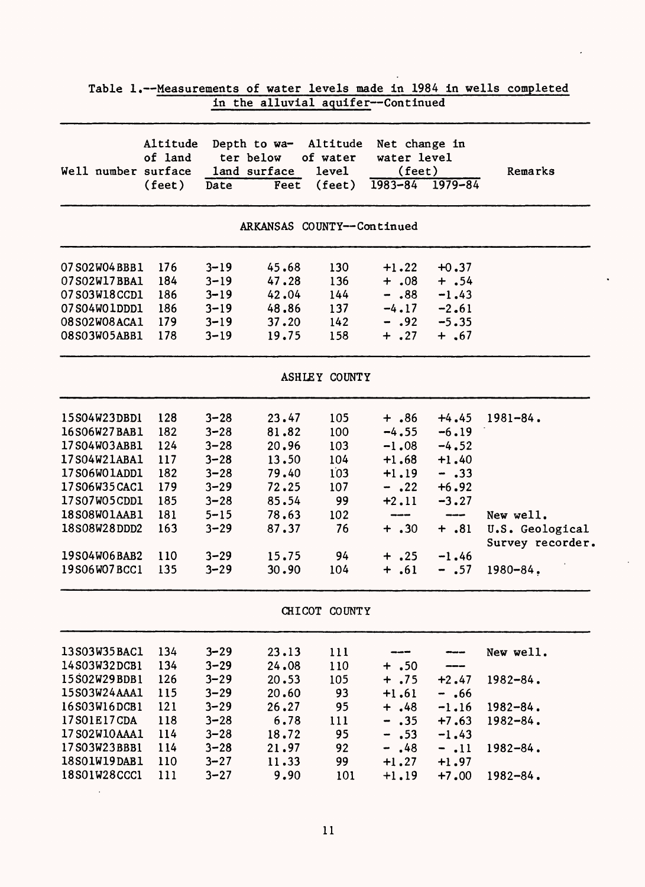|                              |                                        |                      | in the alluvial aquifer--Continued                |                                                  |                                                                   |                        |                                     |
|------------------------------|----------------------------------------|----------------------|---------------------------------------------------|--------------------------------------------------|-------------------------------------------------------------------|------------------------|-------------------------------------|
| Well number surface          | Altitude<br>of land<br>$(\text{feet})$ | Date                 | Depth to wa-<br>ter below<br>land surface<br>Feet | Altitude<br>of water<br>level<br>$(\text{feet})$ | Net change in<br>water level<br>(feet)<br>$1983 - 84$ $1979 - 84$ |                        | Remarks                             |
|                              |                                        |                      | ARKANSAS COUNTY--Continued                        |                                                  |                                                                   |                        |                                     |
| 07 S02W04 BBB1               | 176                                    | $3 - 19$             | 45.68                                             | 130                                              | $+1.22$                                                           | $+0.37$                |                                     |
| 07S02W17BBA1                 | 184                                    | $3 - 19$             | 47.28                                             | 136                                              | $+ .08$                                                           | $+ .54$                |                                     |
| 07S03W18CCD1                 | 186                                    | $3 - 19$             | 42.04                                             | 144                                              | $-.88$                                                            | $-1.43$                |                                     |
| 07S04W01DDD1                 | 186                                    | $3 - 19$             | 48.86                                             | 137                                              | $-4.17$                                                           | $-2.61$                |                                     |
| 08S02W08ACA1<br>08S03W05ABB1 | 179<br>178                             | $3 - 19$<br>$3 - 19$ | 37.20<br>19.75                                    | 142<br>158                                       | $-.92$<br>$+ .27$                                                 | $-5.35$<br>$+$ .67     |                                     |
|                              |                                        |                      |                                                   | <b>ASHLEY COUNTY</b>                             |                                                                   |                        |                                     |
| 15S04W23DBD1                 | 128                                    | $3 - 28$             | 23.47                                             | 105                                              | $+ .86$                                                           | $+4.45$                | $1981 - 84$ .                       |
| 16S06W27BAB1                 | 182                                    | $3 - 28$             | 81.82                                             | 100                                              | $-4.55$                                                           | $-6.19$                |                                     |
| 17S04W03ABB1                 | 124                                    | $3 - 28$             | 20.96                                             | 103                                              | $-1.08$                                                           | $-4.52$                |                                     |
| 17S04W21ABA1                 | 117                                    | $3 - 28$             | 13.50                                             | 104                                              | $+1.68$                                                           | $+1.40$                |                                     |
| 17S06W01ADD1                 | 182                                    | $3 - 28$             | 79.40                                             | 103                                              | $+1.19$                                                           | $-.33$                 |                                     |
| 17S06W35CAC1                 | 179                                    | $3 - 29$             | 72.25                                             | 107                                              | $-.22$                                                            | $+6.92$                |                                     |
| 17S07W05CDD1                 | 185                                    | $3 - 28$             | 85.54                                             | 99                                               | $+2.11$                                                           | $-3.27$                |                                     |
| 18S08W01AAB1                 | 181                                    | $5 - 15$             | 78.63                                             | 102                                              | ---                                                               | $\qquad \qquad \cdots$ | New well.                           |
| 18S08W28DDD2                 | 163                                    | $3 - 29$             | 87.37                                             | 76                                               | $+ .30$                                                           | $+ .81$                | U.S. Geological<br>Survey recorder. |
| 19S04W06BAB2                 | 110                                    | $3 - 29$             | 15.75                                             | 94                                               | $+$ .25                                                           | $-1.46$                |                                     |
| 19S06W07BCC1                 | 135                                    | $3 - 29$             | 30.90                                             | 104                                              | $+ .61$                                                           | $- .57$                | $1980 - 84.$                        |
|                              |                                        |                      |                                                   | CHICOT COUNTY                                    |                                                                   |                        |                                     |
| 13S03W35BAC1                 | 134                                    | $3 - 29$             | 23.13                                             | 111                                              |                                                                   |                        | New well.                           |
| 14S03W32DCB1                 | 134                                    | $3 - 29$             | 24.08                                             | 110                                              | $+ .50$                                                           |                        |                                     |
| 15S02W29BDB1                 | 126                                    | $3 - 29$             | 20.53                                             | 105                                              | $+ .75$                                                           | $+2.47$                | $1982 - 84.$                        |
| 15S03W24AAA1                 | 115                                    | $3 - 29$             | 20.60                                             | 93                                               | $+1.61$                                                           | $-$ .66                |                                     |
| 16S03W16DCB1                 | 121                                    | $3 - 29$             | 26.27                                             | 95                                               | $+$ , 48                                                          | $-1.16$                | $1982 - 84$ .                       |
| 17S01E17CDA                  | 118                                    | $3 - 28$             | 6.78                                              | 111                                              | .35<br>$\bullet$                                                  | $+7.63$                | $1982 - 84$ .                       |
| 17 S02W10AAA1                | 114                                    | $3 - 28$             | 18.72                                             | 95                                               | .53<br>$\bullet$                                                  | $-1.43$                |                                     |
| 17S03W23BBB1                 | 114                                    | $3 - 28$             | 21.97                                             | 92                                               | .48<br>$\overline{\phantom{0}}$                                   | $-.11$                 | $1982 - 84$ .                       |
| 18S01W19DAB1                 | 110                                    | $3 - 27$             | 11.33                                             | 99                                               | $+1.27$                                                           | $+1.97$                |                                     |
| 18S01W28CCC1                 | 111                                    | $3 - 27$             | 9.90                                              | 101                                              | $+1.19$                                                           | $+7.00$                | $1982 - 84$ .                       |

| Table 1.--Measurements of water levels made in 1984 in wells completed |                                    |  |  |  |  |
|------------------------------------------------------------------------|------------------------------------|--|--|--|--|
|                                                                        | in the alluvial aquifer--Continued |  |  |  |  |

 $\ddot{\phantom{1}}$ 

 $\cdot$ 

 $\ddot{\phantom{1}}$ 

 $\hat{\mathcal{A}}$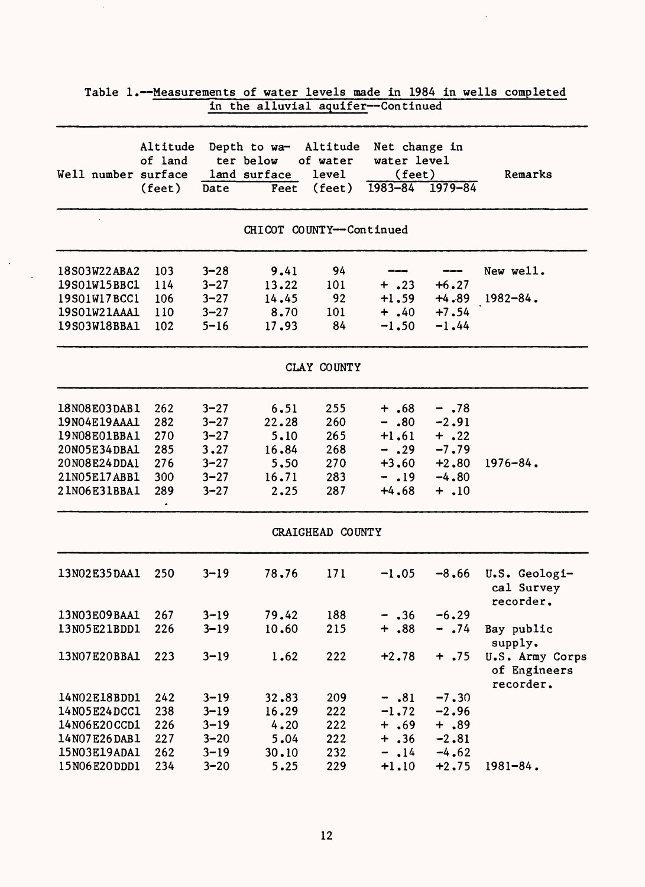|                     |                               |          | in the alluvial aquifer--Continued                         |                             |                                                                   |         |                                              |
|---------------------|-------------------------------|----------|------------------------------------------------------------|-----------------------------|-------------------------------------------------------------------|---------|----------------------------------------------|
| Well number surface | Altitude<br>of land<br>(feet) | Date     | Depth to wa- Altitude<br>ter below<br>land surface<br>Feet | of water<br>level<br>(feet) | Net change in<br>water level<br>(feet)<br>$1983 - 84$ $1979 - 84$ |         | Remarks                                      |
|                     |                               |          |                                                            |                             |                                                                   |         |                                              |
|                     |                               |          | CHICOT COUNTY--Continued                                   |                             |                                                                   |         |                                              |
| 18S03W22ABA2        | 103                           | $3 - 28$ | 9.41                                                       | 94                          |                                                                   |         | New well.                                    |
| 19S01W15BBC1        | 114                           | $3 - 27$ | 13.22                                                      | 101                         | $+ .23$                                                           | $+6.27$ |                                              |
| 19S01W17BCC1        | 106                           | $3 - 27$ | 14.45                                                      | 92                          | $+1.59$                                                           | $+4.89$ | $1982 - 84$ .                                |
| 19S01W21AAA1        | 110                           | $3 - 27$ | 8.70                                                       | 101                         | $+ .40$                                                           | $+7.54$ |                                              |
| 19S03W18BBA1        | 102                           | $5 - 16$ | 17.93                                                      | 84                          | $-1.50$                                                           | $-1.44$ |                                              |
|                     |                               |          |                                                            | CLAY COUNTY                 |                                                                   |         |                                              |
| 18N08E03DAB1        | 262                           | $3 - 27$ | 6.51                                                       | 255                         | $+ .68$                                                           | $- .78$ |                                              |
| 19N04E19AAA1        | 282                           | $3 - 27$ | 22.28                                                      | 260                         | $-.80$                                                            | $-2.91$ |                                              |
| 19N08E01BBA1        | 270                           | $3 - 27$ | 5.10                                                       | 265                         | $+1.61$                                                           | $+ .22$ |                                              |
| 20N05E34DBA1        | 285                           | 3.27     | 16.84                                                      | 268                         | $- .29$                                                           | $-7.79$ |                                              |
| 20N08E24DDA1        | 276                           | $3 - 27$ | 5.50                                                       | 270                         | $+3.60$                                                           | $+2.80$ | $1976 - 84$ .                                |
| 21N05E17ABB1        | 300                           | $3 - 27$ | 16.71                                                      | 283                         | $-19$                                                             | $-4.80$ |                                              |
| 21N06E31BBA1        | 289                           | $3 - 27$ | 2.25                                                       | 287                         | $+4.68$                                                           | $+$ .10 |                                              |
|                     |                               |          |                                                            | CRAIGHEAD COUNTY            |                                                                   |         |                                              |
| 13N02E35DAA1        | 250                           | $3 - 19$ | 78.76                                                      | 171                         | $-1.05$                                                           | $-8,66$ | U.S. Geologi-<br>cal Survey<br>recorder.     |
| 13N03E09BAA1        | 267                           | $3 - 19$ | 79.42                                                      | 188                         | $- .36$                                                           | $-6.29$ |                                              |
| 13N05E21BDD1        | 226                           | $3 - 19$ | 10.60                                                      | 215                         | $+ .88$                                                           | $-0.74$ | Bay public<br>supply.                        |
| 13N07E20BBA1        | 223                           | $3 - 19$ | 1.62                                                       | 222                         | $+2.78$                                                           | $+ .75$ | U.S. Army Corps<br>of Engineers<br>recorder. |
| 14N02E18BDD1        | 242                           | $3 - 19$ | 32.83                                                      | 209                         | $-.81$                                                            | $-7.30$ |                                              |
| 14N05E24DCC1        | 238                           | $3 - 19$ | 16.29                                                      | 222                         | $-1.72$                                                           | $-2.96$ |                                              |
| 14N06E20CCD1        | 226                           | $3 - 19$ | 4.20                                                       | 222                         | $+ .69$                                                           | $+ .89$ |                                              |
| 14N07E26DAB1        | 227                           | $3 - 20$ | 5.04                                                       | 222                         | $+ .36$                                                           | $-2.81$ |                                              |
| 15N03E19ADA1        | 262                           | $3 - 19$ | 30.10                                                      | 232                         | $-14$                                                             | $-4.62$ |                                              |
| 15N06E20DDD1        | 234                           | $3 - 20$ | 5.25                                                       | 229                         | $+1.10$                                                           | $+2.75$ | $1981 - 84$ .                                |

# Table 1.--Measurements of water levels made in 1984 in wells completed

 $\hat{\boldsymbol{\beta}}$ 

 $\mathcal{L}$  $\sim$   $\sim$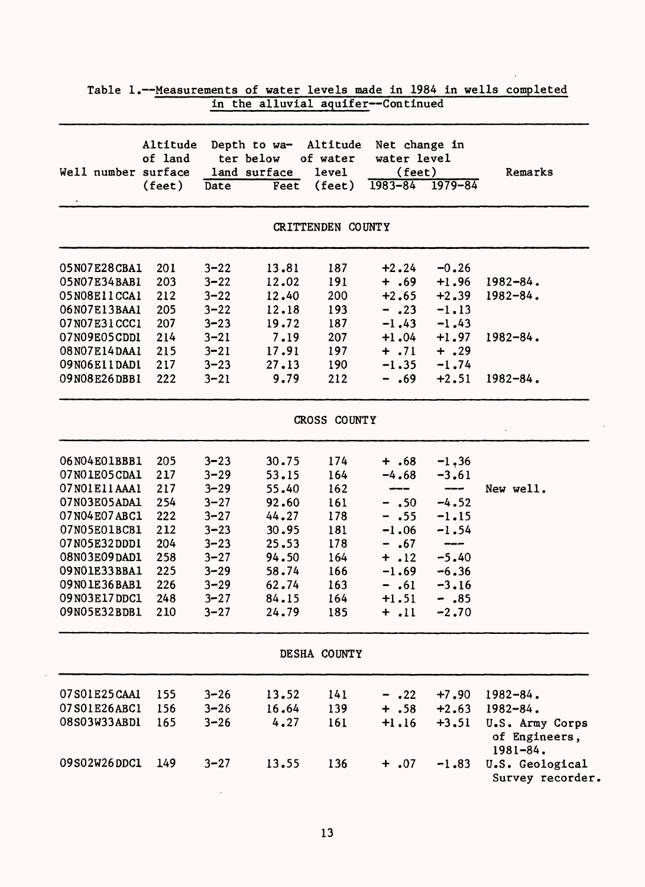|                     |                                        |          | in the alluvial aquifer--Continued                |                                         |                                                       |                        |                                                  |
|---------------------|----------------------------------------|----------|---------------------------------------------------|-----------------------------------------|-------------------------------------------------------|------------------------|--------------------------------------------------|
| Well number surface | Altitude<br>of land<br>$(\text{feet})$ | Date     | Depth to wa-<br>ter below<br>land surface<br>Feet | Altitude<br>of water<br>level<br>(feet) | Net change in<br>water level<br>(feet)<br>$1983 - 84$ | $1979 - 84$            | Remarks                                          |
|                     |                                        |          |                                                   | CRITTENDEN COUNTY                       |                                                       |                        |                                                  |
| 05N07E28CBA1        | 201                                    | $3 - 22$ | 13.81                                             | 187                                     | $+2.24$                                               | $-0.26$                |                                                  |
| 05N07E34BAB1        | 203                                    | $3 - 22$ | 12.02                                             | 191                                     | $+ .69$                                               | $+1.96$                | $1982 - 84$ .                                    |
| 05N08E11CCA1        | 212                                    | $3 - 22$ | 12.40                                             | 200                                     | $+2.65$                                               | $+2.39$                | $1982 - 84.$                                     |
| 06N07E13BAA1        | 205                                    | $3 - 22$ | 12.18                                             | 193                                     | $- .23$                                               | $-1.13$                |                                                  |
| 07N07E31CCC1        | 207                                    | $3 - 23$ | 19.72                                             | 187                                     | $-1.43$                                               | $-1.43$                |                                                  |
| 07N09E05CDD1        | 214                                    | $3 - 21$ | 7.19                                              | 207                                     | $+1.04$                                               | $+1.97$                | $1982 - 84$ .                                    |
| 08N07E14DAA1        | 215                                    | $3 - 21$ | 17.91                                             | 197                                     | $+ .71$                                               | $+ .29$                |                                                  |
| 09N06EllDAD1        | 217                                    | $3 - 23$ | 27.13                                             | 190                                     | $-1.35$                                               | $-1.74$                |                                                  |
| 09N08E26DBB1        | 222                                    | $3 - 21$ | 9.79                                              | 212                                     | $-.69$                                                | $+2.51$                | $1982 - 84.$                                     |
|                     |                                        |          |                                                   | CROSS COUNTY                            |                                                       |                        |                                                  |
| 06N04E01BBB1        | 205                                    | $3 - 23$ | 30.75                                             | 174                                     | $+ .68$                                               | $-1, 36$               |                                                  |
| 07NO1E05CDA1        | 217                                    | $3 - 29$ | 53.15                                             | 164                                     | $-4.68$                                               | $-3.61$                |                                                  |
| 07N01E11AAA1        | 217                                    | $3 - 29$ | 55.40                                             | 162                                     | ---                                                   | $\qquad \qquad \cdots$ | New well.                                        |
| 07N03E05ADA1        | 254                                    | $3 - 27$ | 92.60                                             | 161                                     | $- .50$                                               | $-4.52$                |                                                  |
| 07N04E07ABC1        | 222                                    | $3 - 27$ | 44.27                                             | 178                                     | $- .55$                                               | $-1.15$                |                                                  |
| 07N05E01BCB1        | 212                                    | $3 - 23$ | 30.95                                             | 181                                     | $-1.06$                                               | $-1.54$                |                                                  |
| 07N05E32DDD1        | 204                                    | $3 - 23$ | 25.53                                             | 178                                     | $- .67$                                               | $\qquad \qquad \cdots$ |                                                  |
| 08N03E09DAD1        | 258                                    | $3 - 27$ | 94.50                                             | 164                                     | $+ .12$                                               | $-5.40$                |                                                  |
| 09N01E33BBA1        | 225                                    | $3 - 29$ | 58.74                                             | 166                                     | $-1.69$                                               | $-6.36$                |                                                  |
| 09NO1E36BAB1        | 226                                    | $3 - 29$ | 62.74                                             | 163                                     | $-.61$                                                | $-3.16$                |                                                  |
| 09N03E17DDC1        | 248                                    | $3 - 27$ | 84.15                                             | 164                                     | $+1.51$                                               | $-.85$                 |                                                  |
| 09N05E32BDB1        | 210                                    | $3 - 27$ | 24.79                                             | 185                                     | $+$ .11                                               | $-2.70$                |                                                  |
|                     |                                        |          |                                                   | DESHA COUNTY                            |                                                       |                        |                                                  |
| 07S01E25CAA1        | 155                                    | $3 - 26$ | 13.52                                             | 141                                     | $- .22$                                               | $+7.90$                | $1982 - 84$ .                                    |
| 07S01E26ABC1        | 156                                    | $3 - 26$ | 16.64                                             | 139                                     | $+ .58$                                               | $+2.63$                | $1982 - 84$ .                                    |
| 08S03W33ABD1        | 165                                    | $3 - 26$ | 4.27                                              | 161                                     | $+1.16$                                               | $+3.51$                | U.S. Army Corps<br>of Engineers,<br>$1981 - 84.$ |
| 09S02W26DDC1        | 149                                    | $3 - 27$ | 13.55                                             | 136                                     | $+ .07$                                               | $-1.83$                | U.S. Geological<br>Survey recorder.              |

l.

Table 1.--Measurements of water levels made in 1984 in wells completed

 $\mathbb{Z}^2$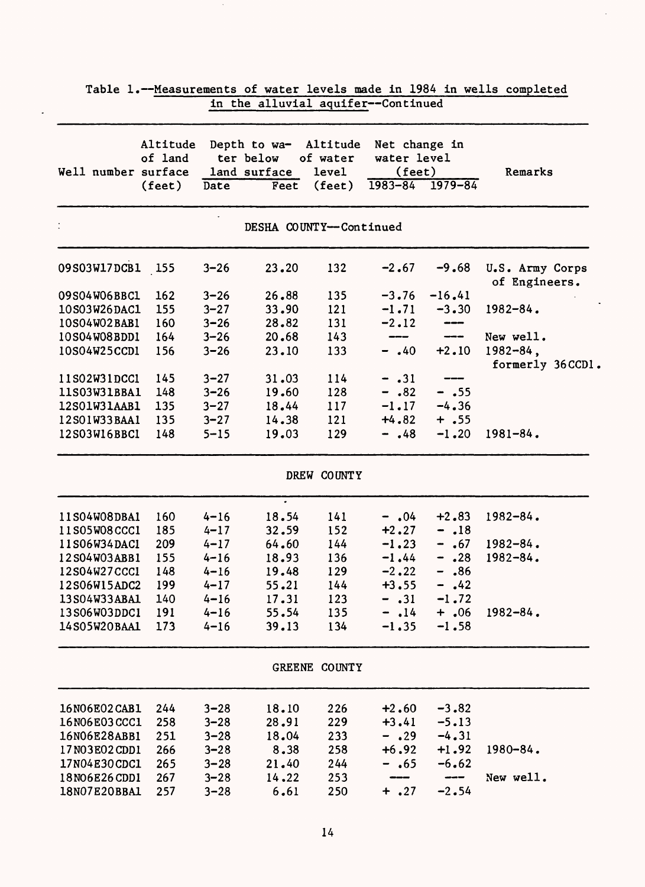| Well number surface |              | Altitude<br>of land |          | Depth to wa-<br>ter below<br>land surface | Altitude<br>of water<br>level | Net change in<br>water level<br>$(\text{feet})$ |               | Remarks                          |
|---------------------|--------------|---------------------|----------|-------------------------------------------|-------------------------------|-------------------------------------------------|---------------|----------------------------------|
|                     |              | $(\text{feet})$     | Date     | Feet                                      | $(\text{feet})$               | $1983 - 84$                                     | $1979 - 84$   |                                  |
|                     |              |                     |          |                                           | DESHA COUNTY--Continued       |                                                 |               |                                  |
|                     | 09S03W17DCB1 | 155                 | $3 - 26$ | 23.20                                     | 132                           | $-2.67$                                         | $-9.68$       | U.S. Army Corps<br>of Engineers. |
|                     | 09S04W06BBC1 | 162                 | $3 - 26$ | 26.88                                     | 135                           | $-3.76$                                         | $-16.41$      |                                  |
|                     | 10S03W26DAC1 | 155                 | $3 - 27$ | 33.90                                     | 121                           | $-1.71$                                         | $-3.30$       | $1982 - 84.$                     |
|                     | 10S04W02BAB1 | 160                 | $3 - 26$ | 28.82                                     | 131                           | $-2.12$                                         | ---           |                                  |
|                     | 10S04W08BDD1 | 164                 | $3 - 26$ | 20.68                                     | 143                           | ---                                             | $\frac{1}{2}$ | New well.                        |
|                     | 10S04W25CCD1 | 156                 | $3 - 26$ | 23.10                                     | 133                           | $- .40$                                         | $+2.10$       | $1982 - 84$ ,<br>formerly 36CCD1 |
|                     | 11S02W31DCC1 | 145                 | $3 - 27$ | 31.03                                     | 114                           | $-.31$                                          |               |                                  |
|                     | 11S03W31BBA1 | 148                 | $3 - 26$ | 19.60                                     | 128                           | $- .82$                                         | $- .55$       |                                  |
|                     | 12S01W31AAB1 | 135                 | $3 - 27$ | 18.44                                     | 117                           | $-1.17$                                         | $-4.36$       |                                  |
|                     | 12S01W33BAA1 | 135                 | $3 - 27$ | 14.38                                     | 121                           | $+4.82$                                         | $+ .55$       |                                  |
|                     | 12S03W16BBC1 | 148                 | $5 - 15$ | 19.03                                     | 129                           | $-$ .48                                         | $-1,20$       | $1981 - 84.$                     |
|                     |              |                     |          |                                           | DREW COUNTY                   |                                                 |               |                                  |
|                     | 11S04W08DBA1 | 160                 | $4 - 16$ | ٠<br>18.54                                | 141                           | $-$ .04                                         | $+2.83$       | 1982-84.                         |
|                     | 11S05W08CCC1 | 185                 | $4 - 17$ | 32.59                                     | 152                           | $+2.27$                                         | $-18$         |                                  |
|                     | 11S06W34DAC1 | 209                 | $4 - 17$ | 64.60                                     | 144                           | $-1.23$                                         | $- .67$       | $1982 - 84$ .                    |
|                     | 12S04W03ABB1 | 155                 | $4 - 16$ | 18.93                                     | 136                           | $-1.44$                                         | $- .28$       | $1982 - 84.$                     |
|                     | 12S04W27CCC1 | 148                 | $4 - 16$ | 19.48                                     | 129                           | $-2.22$                                         | $-$ .86       |                                  |
|                     | 12S06W15ADC2 | 199                 | $4 - 17$ | 55.21                                     | 144                           | $+3.55$                                         | $-$ .42       |                                  |
|                     | 13S04W33ABA1 | 140                 | $4 - 16$ | 17.31                                     | 123                           | $-$ .31                                         | $-1.72$       |                                  |
|                     | 13S06W03DDC1 | 191                 | $4 - 16$ | 55.54                                     | 135                           | $-14$                                           | $+ .06$       | 1982-84.                         |
|                     | 14S05W20BAA1 | 173                 | $4 - 16$ | 39.13                                     | 134                           | $-1.35$                                         | $-1.58$       |                                  |
|                     |              |                     |          |                                           | GREENE COUNTY                 |                                                 |               |                                  |
|                     | 16N06E02CAB1 | 244                 | $3 - 28$ | 18.10                                     | 226                           | $+2.60$                                         | $-3.82$       |                                  |
|                     | 16N06E03CCC1 | 258                 | $3 - 28$ | 28.91                                     | 229                           | $+3.41$                                         | $-5.13$       |                                  |
|                     | 16N06E28ABB1 | 251                 | $3 - 28$ | 18.04                                     | 233                           | $- .29$                                         | $-4.31$       |                                  |
|                     | 17N03E02CDD1 | 266                 | $3 - 28$ | 8.38                                      | 258                           | $+6.92$                                         | $+1.92$       | $1980 - 84$ .                    |
|                     | 17N04E30CDC1 | 265                 | $3 - 28$ | 21.40                                     | 244                           | $-$ .65                                         | $-6.62$       |                                  |
|                     | 18N06E26CDD1 | 267                 | $3 - 28$ | 14.22                                     | 253                           |                                                 | ----          | New well.                        |
|                     | 18N07E20BBA1 | 257                 | $3 - 28$ | 6.61                                      | 250                           | $+$ .27                                         | $-2.54$       |                                  |

| Table 1.--Measurements of water levels made in 1984 in wells completed |  |                                    |  |  |  |  |
|------------------------------------------------------------------------|--|------------------------------------|--|--|--|--|
|                                                                        |  | in the alluvial aquifer--Continued |  |  |  |  |

 $\ddot{\phantom{a}}$ 

 $\ddot{\phantom{1}}$ 

 $\bullet$ 

 $\mathcal{F}^{\mathcal{G}}$ 

 $\hat{\mathcal{L}}$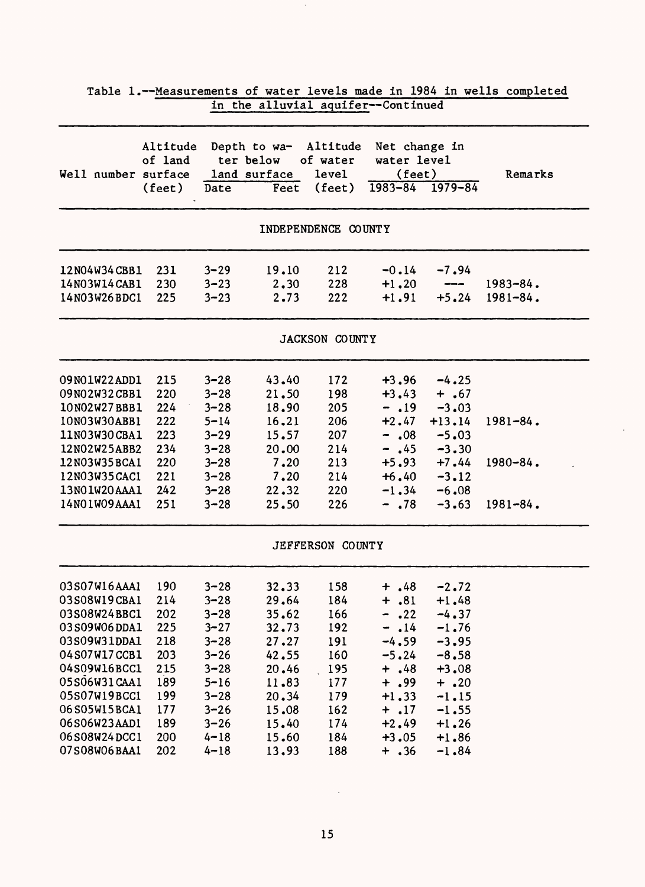|                                                                                                                                                                                                              |                                                                                         |                                                                                                                                                          | in the alluvial aquifer--Continued                                                                                |                                                                                         |                                                                                                                                                                |                                                                                                                                                                                                                                                                                                                                                                                                                                                                                                           | rable 1.--Measurements of water fevers made in 1904 in wells completed |
|--------------------------------------------------------------------------------------------------------------------------------------------------------------------------------------------------------------|-----------------------------------------------------------------------------------------|----------------------------------------------------------------------------------------------------------------------------------------------------------|-------------------------------------------------------------------------------------------------------------------|-----------------------------------------------------------------------------------------|----------------------------------------------------------------------------------------------------------------------------------------------------------------|-----------------------------------------------------------------------------------------------------------------------------------------------------------------------------------------------------------------------------------------------------------------------------------------------------------------------------------------------------------------------------------------------------------------------------------------------------------------------------------------------------------|------------------------------------------------------------------------|
| Well number surface                                                                                                                                                                                          | Altitude<br>of land<br>$(\text{feet})$                                                  | Date                                                                                                                                                     | Depth to wa-<br>ter below<br>land surface<br>Feet                                                                 | Altitude<br>of water<br>level<br>$(\text{feet})$                                        | Net change in<br>water level<br>(feet)<br>$1983 - 84$ $1979 - 84$                                                                                              |                                                                                                                                                                                                                                                                                                                                                                                                                                                                                                           | Remarks                                                                |
|                                                                                                                                                                                                              |                                                                                         |                                                                                                                                                          |                                                                                                                   | INDEPENDENCE COUNTY                                                                     |                                                                                                                                                                |                                                                                                                                                                                                                                                                                                                                                                                                                                                                                                           |                                                                        |
| 12N04W34CBB1<br>14N03W14CAB1<br>14N03W26BDC1                                                                                                                                                                 | 231<br>230<br>225                                                                       | $3 - 29$<br>$3 - 23$<br>$3 - 23$                                                                                                                         | 19.10<br>2.30<br>2.73                                                                                             | 212<br>228<br>222                                                                       | $-0.14$<br>$+1.20$<br>$+1.91$                                                                                                                                  | $-7.94$<br>$\begin{tabular}{ccccc} \multicolumn{2}{c}{} & \multicolumn{2}{c}{} & \multicolumn{2}{c}{} & \multicolumn{2}{c}{} & \multicolumn{2}{c}{} & \multicolumn{2}{c}{} & \multicolumn{2}{c}{} & \multicolumn{2}{c}{} & \multicolumn{2}{c}{} & \multicolumn{2}{c}{} & \multicolumn{2}{c}{} & \multicolumn{2}{c}{} & \multicolumn{2}{c}{} & \multicolumn{2}{c}{} & \multicolumn{2}{c}{} & \multicolumn{2}{c}{} & \multicolumn{2}{c}{} & \multicolumn{2}{c}{} & \multicolumn{2}{c}{} & \mult$<br>$+5.24$ | $1983 - 84.$<br>$1981 - 84.$                                           |
|                                                                                                                                                                                                              |                                                                                         |                                                                                                                                                          |                                                                                                                   | JACKSON COUNTY                                                                          |                                                                                                                                                                |                                                                                                                                                                                                                                                                                                                                                                                                                                                                                                           |                                                                        |
| 09N01W22ADD1<br>09N02W32CBB1<br>10N02W27BBB1<br>10N03W30ABB1<br>11N03W30CBA1<br>12N02W25ABB2<br>12N03W35BCA1<br>12N03W35CAC1<br>13N01W20AAA1<br>14N01W09AAA1                                                 | 215<br>220<br>224<br>222<br>223<br>234<br>220<br>221<br>242<br>251                      | $3 - 28$<br>$3 - 28$<br>$3 - 28$<br>$5 - 14$<br>$3 - 29$<br>$3 - 28$<br>$3 - 28$<br>$3 - 28$<br>$3 - 28$<br>$3 - 28$                                     | 43.40<br>21.50<br>18.90<br>16.21<br>15.57<br>20.00<br>7.20<br>7.20<br>22.32<br>25.50                              | 172<br>198<br>205<br>206<br>207<br>214<br>213<br>214<br>220<br>226                      | $+3,96$<br>$+3.43$<br>$-19$<br>$+2.47$<br>$-.08$<br>$-$ .45<br>$+6.40$<br>$-1.34$<br>$- .78$                                                                   | $-4.25$<br>$+ .67$<br>$-3.03$<br>$+13.14$<br>$-5.03$<br>$-3.30$<br>$+5.93 +7.44$<br>$-3.12$<br>$-6.08$<br>$-3.63$                                                                                                                                                                                                                                                                                                                                                                                         | $1981 - 84$ .<br>$1980 - 84$ .<br>$1981 - 84$ .                        |
|                                                                                                                                                                                                              |                                                                                         |                                                                                                                                                          |                                                                                                                   | JEFFERSON COUNTY                                                                        |                                                                                                                                                                |                                                                                                                                                                                                                                                                                                                                                                                                                                                                                                           |                                                                        |
| 03S07W16AAA1<br>03S08W19CBA1<br>03S08W24BBC1<br>03S09W06DDA1<br>03S09W31DDA1<br>04S07W17CCB1<br>04S09W16BCC1<br>05S06W31CAA1<br>05S07W19BCC1<br>06S05W15BCA1<br>06S06W23AAD1<br>06S08W24DCC1<br>07S08W06BAA1 | 190<br>214<br>202<br>225<br>218<br>203<br>215<br>189<br>199<br>177<br>189<br>200<br>202 | $3 - 28$<br>$3 - 28$<br>$3 - 28$<br>$3 - 27$<br>$3 - 28$<br>$3 - 26$<br>$3 - 28$<br>$5 - 16$<br>$3 - 28$<br>$3 - 26$<br>$3 - 26$<br>$4 - 18$<br>$4 - 18$ | 32.33<br>29.64<br>35.62<br>32.73<br>27.27<br>42.55<br>20.46<br>11.83<br>20.34<br>15.08<br>15.40<br>15.60<br>13.93 | 158<br>184<br>166<br>192<br>191<br>160<br>195<br>177<br>179<br>162<br>174<br>184<br>188 | $+$ , 48<br>$+ .81 + .48$<br>.22<br>$\blacksquare$<br>$-14$<br>$-4.59$<br>$-5.24$<br>$+ .48$<br>$+ .99$<br>$+1.33$<br>$+ .17$<br>$+2.49$<br>$+3.05$<br>$+ .36$ | $-2.72$<br>$-4.37$<br>$-1.76$<br>$-3.95$<br>$-8.58$<br>$+3.08$<br>$+ .20$<br>$-1.15$<br>$-1.55$<br>$+1.26$<br>$+1.86$<br>$-1.84$                                                                                                                                                                                                                                                                                                                                                                          |                                                                        |

# Table 1. Measurements of water levels made in 1984 in wells completed

 $\beta$ 

 $\sim 10^6$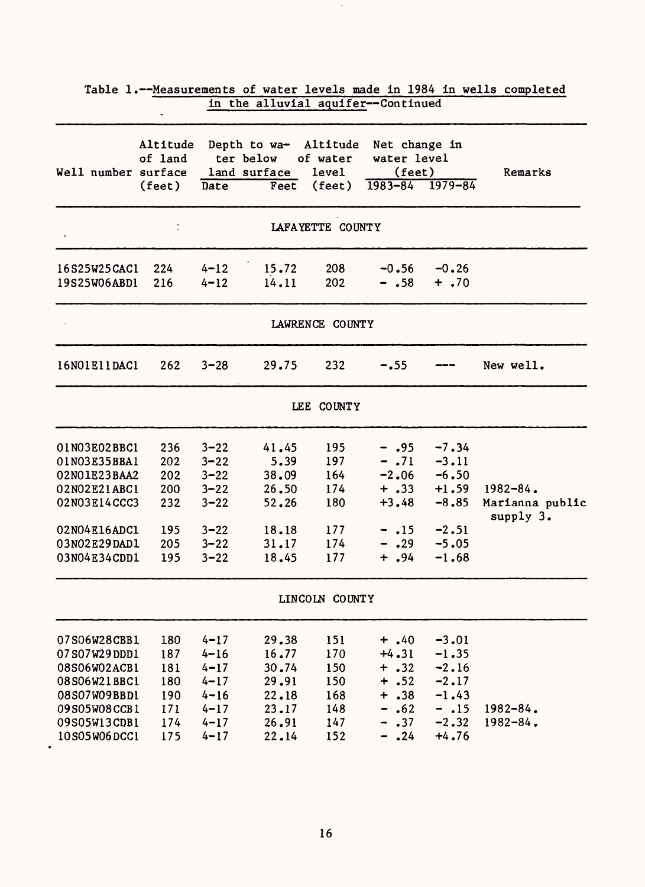| Well number surface                                                                                                          | Altitude<br>of land<br>$(\text{feet})$               | Date                                                                                         | Depth to wa- Altitude Net change in<br>ter below<br>land surface<br>Feet | of water<br>level<br>$(\text{feet})$                 | water level<br>(feet)<br>$1983 - 84$ $1979 - 84$                                       |                                                                                      | Remarks                                       |
|------------------------------------------------------------------------------------------------------------------------------|------------------------------------------------------|----------------------------------------------------------------------------------------------|--------------------------------------------------------------------------|------------------------------------------------------|----------------------------------------------------------------------------------------|--------------------------------------------------------------------------------------|-----------------------------------------------|
|                                                                                                                              |                                                      |                                                                                              |                                                                          | LAFAYETTE COUNTY                                     |                                                                                        |                                                                                      |                                               |
| 16S25W25CAC1<br>19S25W06ABD1                                                                                                 | 224<br>216                                           | $4 - 12$<br>$4 - 12$                                                                         | 15.72<br>14.11                                                           | 208<br>202                                           | $-0.56$<br>$- .58$                                                                     | $-0.26$<br>$+ .70$                                                                   |                                               |
|                                                                                                                              |                                                      |                                                                                              |                                                                          | LAWRENCE COUNTY                                      |                                                                                        |                                                                                      |                                               |
| 16N01E11DAC1                                                                                                                 | 262                                                  | $3 - 28$                                                                                     | 29.75                                                                    | 232                                                  | $-.55$                                                                                 |                                                                                      | New well.                                     |
|                                                                                                                              |                                                      |                                                                                              |                                                                          | LEE COUNTY                                           |                                                                                        |                                                                                      |                                               |
| 01N03E02BBC1<br>01N03E35BBA1<br>02N01E23BAA2<br>02N02E21ABC1<br>02N03E14CCC3<br>02N04E16ADC1<br>03N02E29DAD1<br>03N04E34CDD1 | 236<br>202<br>202<br>200<br>232<br>195<br>205<br>195 | $3 - 22$<br>$3 - 22$<br>$3 - 22$<br>$3 - 22$<br>$3 - 22$<br>$3 - 22$<br>$3 - 22$<br>$3 - 22$ | 41.45<br>5.39<br>38.09<br>26.50<br>52.26<br>18.18<br>31.17<br>18.45      | 195<br>197<br>164<br>174<br>180<br>177<br>174<br>177 | $- .95$<br>$-.71$<br>$-2.06$<br>$+ .33$<br>$+3.48$<br>$-15$<br>$- .29$<br>$+$ , 94     | $-7.34$<br>$-3.11$<br>$-6.50$<br>$+1.59$<br>$-8.85$<br>$-2.51$<br>$-5.05$<br>$-1.68$ | $1982 - 84$ .<br>Marianna public<br>supply 3. |
|                                                                                                                              |                                                      |                                                                                              |                                                                          | LINCOLN COUNTY                                       |                                                                                        |                                                                                      |                                               |
| 07S06W28CBB1<br>07S07W29DDD1<br>08S06W02ACB1<br>08S06W21BBC1<br>08S07W09BBD1<br>09S05W08CCB1<br>09S05W13CDB1<br>10S05W06DCC1 | 180<br>187<br>181<br>180<br>190<br>171<br>174<br>175 | $4 - 17$<br>$4 - 16$<br>$4 - 17$<br>$4 - 17$<br>$4 - 16$<br>$4 - 17$<br>$4 - 17$<br>$4 - 17$ | 29.38<br>16.77<br>30.74<br>29.91<br>22.18<br>23.17<br>26.91<br>22.14     | 151<br>170<br>150<br>150<br>168<br>148<br>147<br>152 | $+ .40$<br>$+4.31$<br>$+ .32$<br>$+ .52$<br>$+ .38$<br>.62<br>-<br>.37<br>-<br>$-$ .24 | $-3.01$<br>$-1.35$<br>$-2.16$<br>$-2.17$<br>$-1.43$<br>$-15$<br>$-2.32$<br>$+4.76$   | $1982 - 84.$<br>$1982 - 84$ .                 |

Table 1.--Measurements of water levels made in 1984 in wells completed in the alluvial aquifer--Continued

 $\hat{\boldsymbol{\beta}}$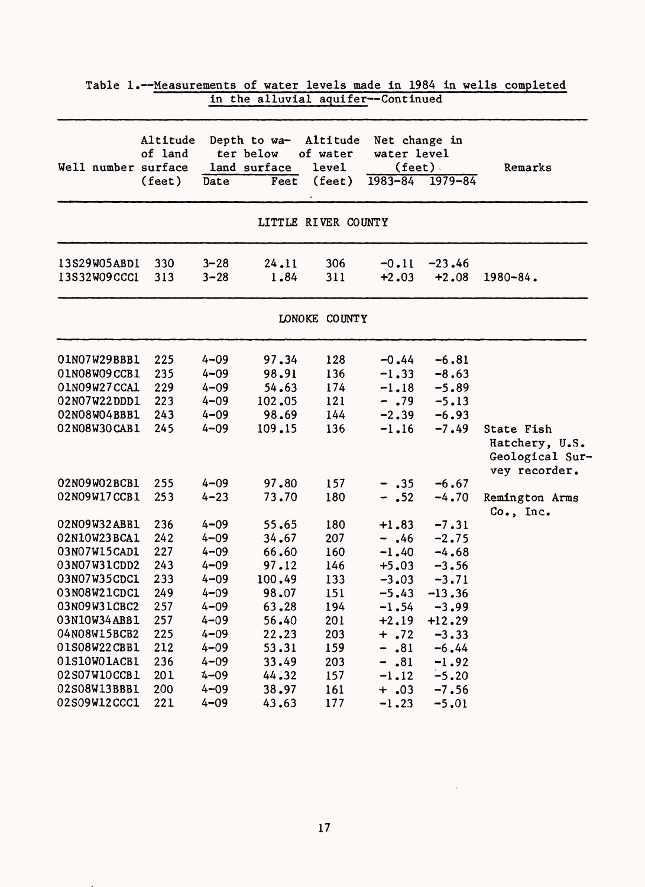|                     |                     |          | In the allovial additer--continued        |                               |                                                   |                     |                                                                  |
|---------------------|---------------------|----------|-------------------------------------------|-------------------------------|---------------------------------------------------|---------------------|------------------------------------------------------------------|
| Well number surface | Altitude<br>of land |          | Depth to wa-<br>ter below<br>land surface | Altitude<br>of water<br>level | Net change in<br>water level<br>$(\text{feet})$ . |                     | Remarks                                                          |
|                     | $(\text{feet})$     | Date     | Feet                                      | $(\text{feet})$               |                                                   | $1983 - 84$ 1979-84 |                                                                  |
|                     |                     |          |                                           | LITTLE RIVER COUNTY           |                                                   |                     |                                                                  |
| 13S29W05ABD1        | 330                 | $3 - 28$ | 24.11                                     | 306                           | $-0.11$                                           | $-23.46$            |                                                                  |
| 13S32W09CCC1        | 313                 | $3 - 28$ | 1.84                                      | 311                           | $+2.03$                                           | $+2.08$             | $1980 - 84$ .                                                    |
|                     |                     |          |                                           | LONOKE COUNTY                 |                                                   |                     |                                                                  |
| O1NO7W29BBB1        | 225                 | $4 - 09$ | 97.34                                     | 128                           | $-0.44$                                           | $-6.81$             |                                                                  |
| 01N08W09CCB1        | 235                 | $4 - 09$ | 98.91                                     | 136                           | $-1.33$                                           | $-8.63$             |                                                                  |
| 01N09W27CCA1        | 229                 | $4 - 09$ | 54.63                                     | 174                           | $-1.18$                                           | $-5.89$             |                                                                  |
| 02N07W22DDD1        | 223                 | $4 - 09$ | 102.05                                    | 121                           | $-.79$                                            | $-5.13$             |                                                                  |
| 02N08W04BBB1        | 243                 | $4 - 09$ | 98.69                                     | 144                           | $-2, 39$                                          | $-6.93$             |                                                                  |
| 02N08W30CAB1        | 245                 | $4 - 09$ | 109.15                                    | 136                           | $-1.16$                                           | $-7.49$             | State Fish<br>Hatchery, U.S.<br>Geological Sur-<br>vey recorder. |
| 02N09W02BCB1        | 255                 | $4 - 09$ | 97.80                                     | 157                           | $-$ .35                                           | $-6.67$             |                                                                  |
| 02N09W17CCB1        | 253                 | $4 - 23$ | 73.70                                     | 180                           | $-$ .52                                           | $-4.70$             | Remington Arms<br>Co., Inc.                                      |
| 02N09W32ABB1        | 236                 | $4 - 09$ | 55.65                                     | 180                           | $+1.83$                                           | $-7.31$             |                                                                  |
| 02N10W23BCA1        | 242                 | $4 - 09$ | 34.67                                     | 207                           | $-.46$                                            | $-2.75$             |                                                                  |
| 03N07W15CAD1        | 227                 | $4 - 09$ | 66.60                                     | 160                           | $-1.40$                                           | $-4.68$             |                                                                  |
| 03N07W31CDD2        | 243                 | $4 - 09$ | 97.12                                     | 146                           | $+5.03$                                           | $-3.56$             |                                                                  |
| 03N07W35CDC1        | 233                 | $4 - 09$ | 100.49                                    | 133                           | $-3.03$                                           | $-3.71$             |                                                                  |
| 03N08W21CDC1        | 249                 | $4 - 09$ | 98.07                                     | 151                           | $-5.43$                                           | $-13.36$            |                                                                  |
| 03N09W31CBC2        | 257                 | $4 - 09$ | 63.28                                     | 194                           | $-1.54$                                           | $-3.99$             |                                                                  |
| 03N10W34ABB1        | 257                 | $4 - 09$ | 56.40                                     | 201                           | $+2.19$                                           | $+12.29$            |                                                                  |
| 04N08W15BCB2        | 225                 | $4 - 09$ | 22.23                                     | 203                           | $+ .72$                                           | $-3.33$             |                                                                  |
| 01S08W22CBB1        | 212                 | $4 - 09$ | 53.31                                     | 159                           | .81<br>$\overline{\phantom{a}}$                   | $-6.44$             |                                                                  |
| 01S10W01ACB1        | 236                 | $4 - 09$ | 33.49                                     | 203                           | $-.81$                                            | $-1.92$             |                                                                  |
| 02S07W10CCB1        | 201                 | $4 - 09$ | 44.32                                     | 157                           | $-1.12$                                           | $-5.20$             |                                                                  |
| 02S08W13BBB1        | 200                 | $4 - 09$ | 38.97                                     | 161                           | $+ .03$                                           | $-7.56$             |                                                                  |
| 02S09W12CCC1        | 221                 | $4 - 09$ | 43.63                                     | 177                           | $-1.23$                                           | $-5.01$             |                                                                  |

Table 1.--Measurements of water levels made in 1984 in wells completed in the alluvial aquifer--Continued

 $\sim 10^{-10}$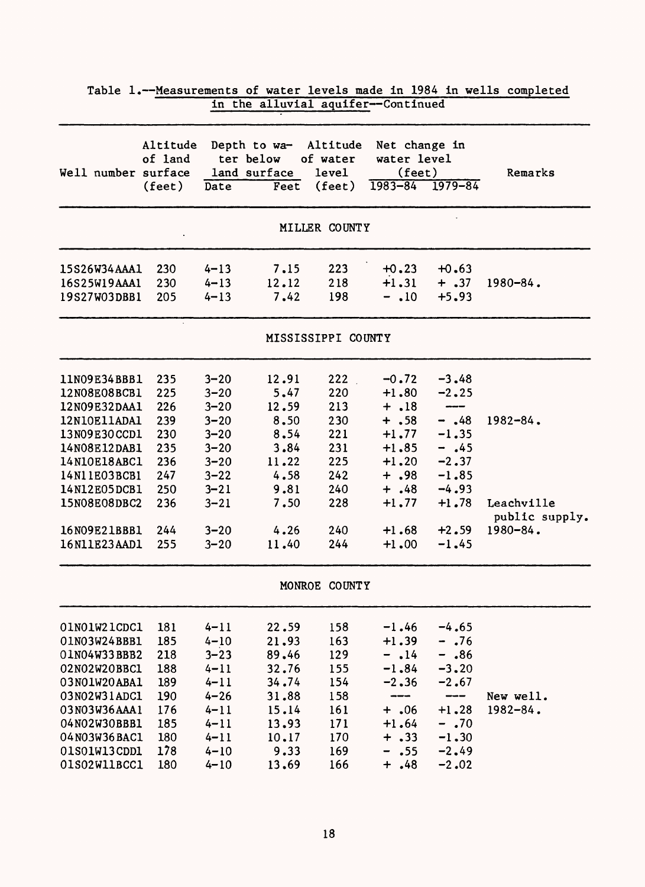|                                                                                                                                                                                              |                                                                                  |                                                                                                                                              |                                                                                                  | in the alluvial aquifer--Continued                                               |                                                                                                                                  |                                                                                                                       |                                                                |
|----------------------------------------------------------------------------------------------------------------------------------------------------------------------------------------------|----------------------------------------------------------------------------------|----------------------------------------------------------------------------------------------------------------------------------------------|--------------------------------------------------------------------------------------------------|----------------------------------------------------------------------------------|----------------------------------------------------------------------------------------------------------------------------------|-----------------------------------------------------------------------------------------------------------------------|----------------------------------------------------------------|
| Well number surface                                                                                                                                                                          | Altitude<br>of land<br>$(\text{feet})$                                           | Date                                                                                                                                         | Depth to wa-<br>ter below<br>land surface<br>Feet                                                | Altitude<br>of water<br>level<br>(feet)                                          | Net change in<br>water level<br>$(\text{feet})$<br>$1983 - 84$                                                                   | $1979 - 84$                                                                                                           | Remarks                                                        |
|                                                                                                                                                                                              |                                                                                  |                                                                                                                                              |                                                                                                  | MILLER COUNTY                                                                    |                                                                                                                                  |                                                                                                                       |                                                                |
| 15S26W34AAA1<br>16S25W19AAA1<br>19S27W03DBB1                                                                                                                                                 | 230<br>230<br>205                                                                | $4 - 13$<br>$4 - 13$<br>$4 - 13$                                                                                                             | 7.15<br>12.12<br>7.42                                                                            | 223<br>218<br>198                                                                | $+0.23$<br>$+1.31$<br>$-$ .10                                                                                                    | $+0.63$<br>$+ .37$<br>$+5.93$                                                                                         | $1980 - 84$ .                                                  |
|                                                                                                                                                                                              |                                                                                  |                                                                                                                                              |                                                                                                  | MISSISSIPPI COUNTY                                                               |                                                                                                                                  |                                                                                                                       |                                                                |
| 11N09E34BBB1<br>12N08E08BCB1<br>12N09E32DAA1<br>12N10E11ADA1<br>13N09E30CCD1<br>14N08E12DAB1<br>14N10E18ABC1<br>14N11E03BCB1<br>14N12E05DCB1<br>15N08E08DBC2<br>16N09E21BBB1<br>16N11E23AAD1 | 235<br>225<br>226<br>239<br>230<br>235<br>236<br>247<br>250<br>236<br>244<br>255 | $3 - 20$<br>$3 - 20$<br>$3 - 20$<br>$3 - 20$<br>$3 - 20$<br>$3 - 20$<br>$3 - 20$<br>$3 - 22$<br>$3 - 21$<br>$3 - 21$<br>$3 - 20$<br>$3 - 20$ | 12.91<br>5.47<br>12.59<br>8.50<br>8.54<br>3.84<br>11.22<br>4.58<br>9.81<br>7.50<br>4.26<br>11.40 | 222<br>220<br>213<br>230<br>221<br>231<br>225<br>242<br>240<br>228<br>240<br>244 | $-0.72$<br>$+1.80$<br>$+ .18$<br>$+ .58$<br>$+1.77$<br>$+1.85$<br>$+1.20$<br>$+ .98$<br>$+ .48$<br>$+1.77$<br>$+1.68$<br>$+1.00$ | $-3.48$<br>$-2.25$<br>$-$ .48<br>$-1.35$<br>$-$ .45<br>$-2.37$<br>$-1.85$<br>$-4.93$<br>$+1.78$<br>$+2.59$<br>$-1.45$ | $1982 - 84$ .<br>Leachville<br>public supply.<br>$1980 - 84$ . |
|                                                                                                                                                                                              |                                                                                  |                                                                                                                                              |                                                                                                  | MONROE COUNTY                                                                    |                                                                                                                                  |                                                                                                                       |                                                                |
| 01N01W21CDC1<br>01N03W24BBB1<br>01N04W33BBB2<br>02N02W20BBC1<br>03NO1W20ABA1<br>03N02W31ADC1<br>03N03W36AAA1<br>04N02W30BBB1<br>04N03W36BAC1<br>01S01W13CDD1<br>01S02W11BCC1                 | 181<br>185<br>218<br>188<br>189<br>190<br>176<br>185<br>180<br>178<br>180        | $4 - 11$<br>$4 - 10$<br>$3 - 23$<br>$4 - 11$<br>$4 - 11$<br>$4 - 26$<br>$4 - 11$<br>$4 - 11$<br>$4 - 11$<br>$4 - 10$<br>$4 - 10$             | 22.59<br>21.93<br>89.46<br>32.76<br>34.74<br>31.88<br>15.14<br>13.93<br>10.17<br>9.33<br>13.69   | 158<br>163<br>129<br>155<br>154<br>158<br>161<br>171<br>170<br>169<br>166        | $-1.46$<br>$+1.39$<br>$-$ .14<br>$-1.84$<br>$-2.36$<br>---<br>$+$ .06<br>$+1.64$<br>$+ .33$<br>$- .55$<br>$+ .48$                | $-4.65$<br>$-.76$<br>$-$ .86<br>$-3, 20$<br>$-2.67$<br>---<br>$+1.28$<br>$-0.70$<br>$-1.30$<br>$-2.49$<br>$-2.02$     | New well.<br>$1982 - 84.$                                      |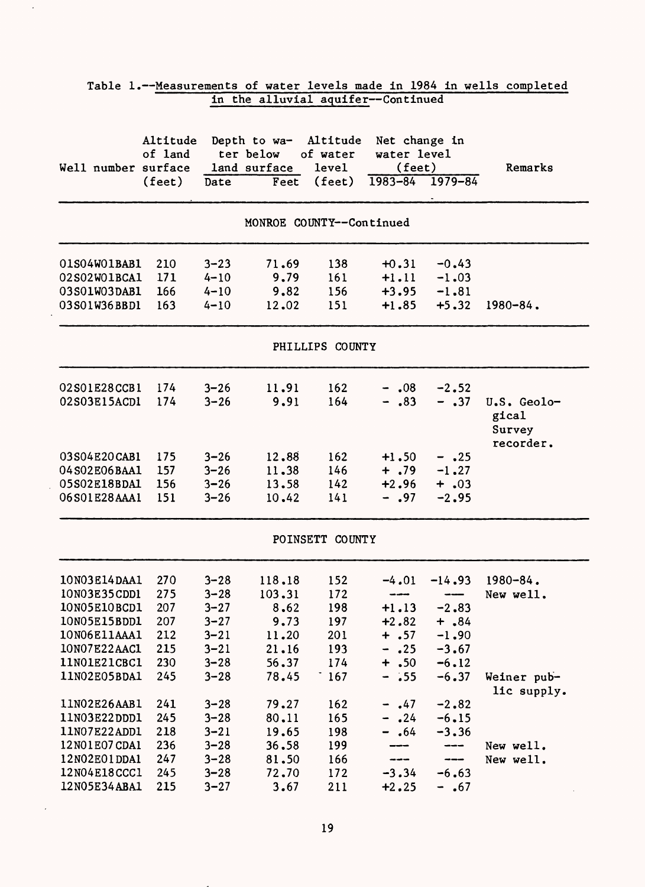|                                                                                                              |                                               |                                                                                  | in the alluvial aquifer--Continued                          |                                               |                                                                                    |                                                                       |                                             |
|--------------------------------------------------------------------------------------------------------------|-----------------------------------------------|----------------------------------------------------------------------------------|-------------------------------------------------------------|-----------------------------------------------|------------------------------------------------------------------------------------|-----------------------------------------------------------------------|---------------------------------------------|
| Well number surface land surface                                                                             | Altitude<br>of land<br>(feet) Date            |                                                                                  | Depth to wa- Altitude Net change in<br>ter below            | of water<br>level<br>Feet (feet)              | water level<br>$(\text{feet})$<br>$1983 - 84$ $1979 - 84$                          |                                                                       | Remarks                                     |
|                                                                                                              |                                               |                                                                                  |                                                             | MONROE COUNTY--Continued                      |                                                                                    |                                                                       |                                             |
| 01S04W01BAB1<br>02S02W01BCA1<br>03S01W03DAB1<br>03S01W36BBD1                                                 | 210<br>171<br>166<br>163                      | $3 - 23$<br>$4 - 10$<br>$4 - 10$<br>$4 - 10$                                     | 71.69<br>9.79<br>9.82<br>12.02                              | 138<br>161<br>156<br>151                      | $+0.31$                                                                            | $-0.43$<br>$+1.11 -1.03$<br>$+3.95 -1.81$<br>$+1.85$ $+5.32$          | $1980 - 84$ .                               |
|                                                                                                              |                                               |                                                                                  |                                                             | PHILLIPS COUNTY                               |                                                                                    |                                                                       |                                             |
| 02S01E28CCB1<br>02S03E15ACD1                                                                                 | 174<br>174                                    | $3 - 26$<br>$3 - 26$                                                             | 11.91<br>9.91                                               | 162<br>164                                    | $-.08$<br>$-.83$                                                                   | $-2.52$<br>$- .37$                                                    | U.S. Geolo-<br>gical<br>Survey<br>recorder. |
| 03S04E20CAB1<br>04S02E06BAA1<br>05S02E18BDA1<br>06S01E28AAA1 151                                             | 175<br>157<br>156                             | $3 - 26$<br>$3 - 26$<br>$3 - 26$<br>$3 - 26$                                     | 12.88<br>11.38<br>13.58<br>10.42                            | 162<br>146<br>142<br>141                      | $+1.50$<br>$+2.96$<br>$- .97$                                                      | $- .25$<br>$+ .79 - 1.27$<br>$+ .03$<br>$-2,95$                       |                                             |
|                                                                                                              |                                               |                                                                                  |                                                             | POINSETT COUNTY                               |                                                                                    |                                                                       |                                             |
| 10N03E14DAA1<br>10N03E35CDD1<br>10N05E10BCD1<br>10N05E15BDD1<br>10N06E11AAA1<br>10N07E22AAC1<br>11NO1E21CBC1 | 270<br>275<br>207<br>207<br>212<br>215<br>230 | $3 - 28$<br>$3 - 28$<br>$3 - 27$<br>$3 - 27$<br>$3 - 21$<br>$3 - 21$<br>$3 - 28$ | 118.18<br>103.31<br>8.62<br>9.73<br>11.20<br>21.16<br>56.37 | 152<br>172<br>198<br>197<br>201<br>193<br>174 | ---<br>$+1.13$<br>$+2.82$<br>$+ .57$<br>.25<br>$\overline{\phantom{0}}$<br>$+ .50$ | $-4.01 -14.93$<br>$-2.83$<br>$+$ .84<br>$-1.90$<br>$-3.67$<br>$-6.12$ | $1980 - 84$ .<br>New well.                  |
| 11NO2E05BDA1<br>11N02E26AAB1<br>11N03E22DDD1<br>11NO7E22ADD1                                                 | 245<br>241<br>245<br>218                      | $3 - 28$<br>$3 - 28$<br>$3 - 28$<br>$3 - 21$                                     | 78.45<br>79.27<br>80.11<br>19.65                            | 167<br>162<br>165<br>198                      | $-$ .55<br>$-$ .47<br>.24<br>.64                                                   | $-6.37$<br>$-2.82$<br>$-6.15$<br>$-3.36$                              | Weiner pub-<br>lic supply.                  |
| 12N01E07CDA1<br>12N02E01DDA1<br>12N04E18CCC1<br>12N05E34ABA1                                                 | 236<br>247<br>245<br>215                      | $3 - 28$<br>$3 - 28$<br>$3 - 28$<br>$3 - 27$                                     | 36.58<br>81.50<br>72.70<br>3.67                             | 199<br>166<br>172<br>211                      | $-3.34$<br>$+2.25$                                                                 | ---<br>---<br>$-6.63$<br>$-$ .67                                      | New well.<br>New well.                      |

 $\hat{\mathcal{L}}$ 

 $\ddot{\phantom{a}}$ 

 $\hat{\boldsymbol{\beta}}$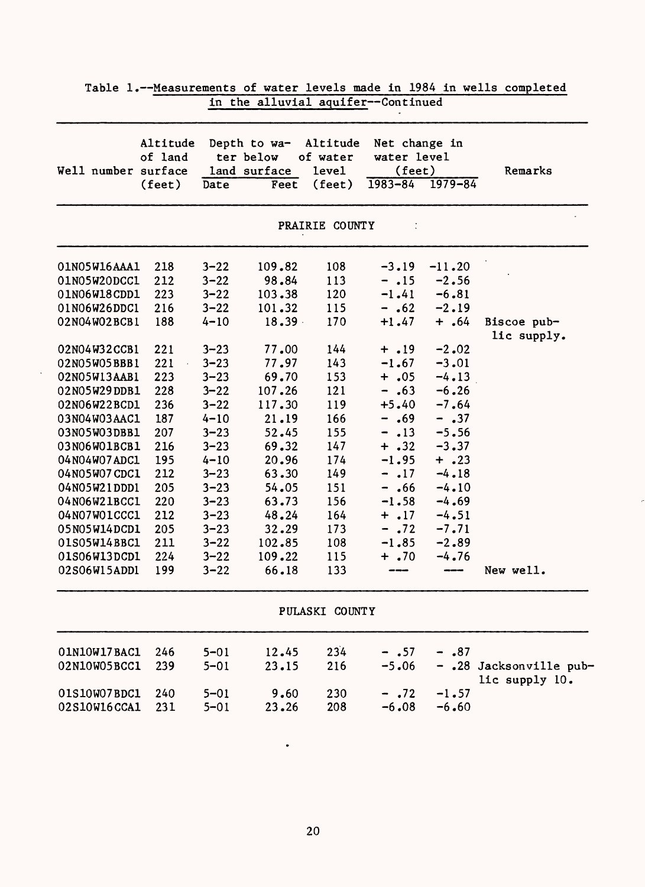|                     | Altitude<br>of land |          | Depth to wa-<br>ter below | Altitude<br>of water | Net change in<br>water level        |             |                            |
|---------------------|---------------------|----------|---------------------------|----------------------|-------------------------------------|-------------|----------------------------|
| Well number surface |                     |          | land surface              | level                | $(\text{feet})$                     |             | Remarks                    |
|                     | $(\text{feet})$     | Date     | Feet                      | (feet)               | $1983 - 84$                         | $1979 - 84$ |                            |
|                     |                     |          |                           | PRAIRIE COUNTY       |                                     |             |                            |
| 01N05W16AAA1        | 218                 | $3 - 22$ | 109.82                    | 108                  | $-3.19$                             | $-11.20$    |                            |
| 01N05W20DCC1        | 212                 | $3 - 22$ | 98.84                     | 113                  | $- .15$                             | $-2.56$     |                            |
| 01N06W18CDD1        | 223                 | $3 - 22$ | 103.38                    | 120                  | $-1.41$                             | $-6.81$     |                            |
| 01N06W26DDC1        | 216                 | $3 - 22$ | 101.32                    | 115                  | $- .62$                             | $-2.19$     |                            |
| 02N04W02BCB1        | 188                 | $4 - 10$ | $18.39 -$                 | 170                  | $+1.47$                             | $+ .64$     | Biscoe pub-<br>lic supply. |
| 02N04W32CCB1        | 221                 | $3 - 23$ | 77.00                     | 144                  | $+ .19$                             | $-2.02$     |                            |
| 02N05W05BBB1        | 221                 | $3 - 23$ | 77.97                     | 143                  | $-1.67$                             | $-3.01$     |                            |
| 02N05W13AAB1        | 223                 | $3 - 23$ | 69.70                     | 153                  | $+ .05$                             | $-4.13$     |                            |
| 02N05W29DDB1        | 228                 | $3 - 22$ | 107.26                    | 121                  | $-.63$                              | $-6.26$     |                            |
| 02N06W22BCD1        | 236                 | $3 - 22$ | 117.30                    | 119                  | $+5.40$                             | $-7.64$     |                            |
| 03N04W03AAC1        | 187                 | $4 - 10$ | 21.19                     | 166                  | .69<br>$\qquad \qquad \blacksquare$ | $- .37$     |                            |
| 03N05W03DBB1        | 207                 | $3 - 23$ | 52.45                     | 155                  | $- .13$                             | $-5.56$     |                            |
| 03N06W01BCB1        | 216                 | $3 - 23$ | 69.32                     | 147                  | $+ .32$                             | $-3.37$     |                            |
| 04N04W07ADC1        | 195                 | $4 - 10$ | 20.96                     | 174                  | $-1.95$                             | $+ .23$     |                            |
| 04N05W07CDC1        | 212                 | $3 - 23$ | 63.30                     | 149                  | $-17$                               | $-4.18$     |                            |
| 04N05W21DDD1        | 205                 | $3 - 23$ | 54.05                     | 151                  | $-$ .66                             | $-4.10$     |                            |
| 04N06W21BCC1        | 220                 | $3 - 23$ | 63.73                     | 156                  | $-1.58$                             | $-4.69$     |                            |
| 04N07W01CCC1        | 212                 | $3 - 23$ | 48.24                     | 164                  | $+ .17$                             | $-4.51$     |                            |
| 05N05W14DCD1        | 205                 | $3 - 23$ | 32.29                     | 173                  | $-.72$                              | $-7.71$     |                            |
| 01S05W14BBC1        | 211                 | $3 - 22$ | 102.85                    | 108                  | $-1.85$                             | $-2.89$     |                            |
| 01S06W13DCD1        | 224                 | $3 - 22$ | 109.22                    | 115                  | $+ .70$                             | $-4.76$     |                            |
| 02S06W15ADD1        | 199                 | $3 - 22$ | 66.18                     | 133                  |                                     | ---         | New well.                  |
|                     |                     |          |                           | PULASKI COUNTY       |                                     |             |                            |
| 01N10W17BAC1        | 246                 | $5 - 01$ | 12.45                     | 234                  | $- .57$                             | .87         |                            |
| 02N10W05BCC1        | 239                 | $5 - 01$ | 23.15                     | 216                  | $-5.06$                             | -           | .28 Jacksonville pub-      |
|                     |                     |          |                           |                      |                                     |             | lic supply 10.             |
| 01S10W07BDC1        | 240                 | $5 - 01$ | 9.60                      | 230                  | $- .72$                             | $-1.57$     |                            |
| 02S10W16CCA1        | 231                 | $5 - 01$ | 23.26                     | 208                  | $-6.08$                             | $-6.60$     |                            |

 $\tilde{c}$ 

 $\ddot{\phantom{a}}$ 

| Table 1.--Measurements of water levels made in 1984 in wells completed |                                    |  |  |  |  |
|------------------------------------------------------------------------|------------------------------------|--|--|--|--|
|                                                                        | in the alluvial aquifer--Continued |  |  |  |  |

 $\ddot{\phantom{0}}$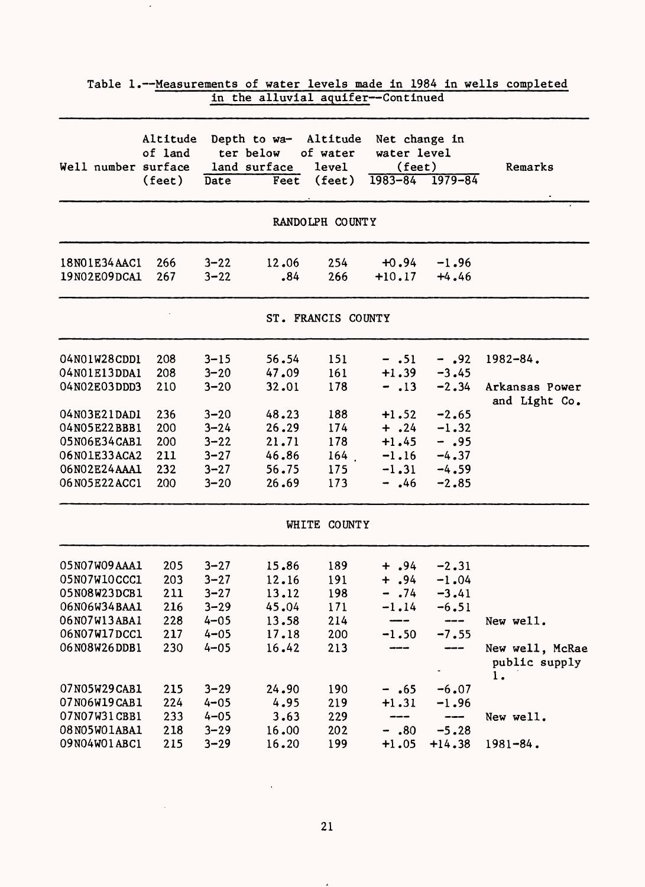|                     |                     |          | in the alluvial aquifer--Continued                 |                    |                                                 |          |                                        |
|---------------------|---------------------|----------|----------------------------------------------------|--------------------|-------------------------------------------------|----------|----------------------------------------|
| Well number surface | Altitude<br>of land |          | Depth to wa- Altitude<br>ter below<br>land surface | of water<br>level  | Net change in<br>water level<br>$(\text{feet})$ |          | Remarks                                |
|                     | $(\text{feet})$     | Date     | Feet                                               | (feet)             | $1983 - 84$ $1979 - 84$                         |          |                                        |
|                     |                     |          |                                                    | RANDOLPH COUNTY    |                                                 |          |                                        |
| 18NO1E34AAC1        | 266                 | $3 - 22$ | 12.06                                              | 254                | $+0.94$                                         | $-1.96$  |                                        |
| 19N02E09DCA1        | 267                 | $3 - 22$ | .84                                                | 266                | $+10.17$                                        | $+4.46$  |                                        |
|                     |                     |          |                                                    | ST. FRANCIS COUNTY |                                                 |          |                                        |
| 04N01W28CDD1        | 208                 | $3 - 15$ | 56.54                                              | 151                | $- .51$                                         | $-$ .92  | $1982 - 84$ .                          |
| 04N01E13DDA1        | 208                 | $3 - 20$ | 47.09                                              | 161                | $+1.39$                                         | $-3.45$  |                                        |
| 04N02E03DDD3        | 210                 | $3 - 20$ | 32.01                                              | 178                | $-.13$                                          | $-2.34$  | Arkansas Power<br>and Light Co.        |
| 04N03E21DAD1        | 236                 | $3 - 20$ | 48.23                                              | 188                | $+1.52$                                         | $-2.65$  |                                        |
| 04N05E22BBB1        | 200                 | $3 - 24$ | 26.29                                              | 174                | $+$ .24                                         | $-1.32$  |                                        |
| 05N06E34CAB1        | 200                 | $3 - 22$ | 21.71                                              | 178                | $+1.45$                                         | $- .95$  |                                        |
| 06N01E33ACA2        | 211                 | $3 - 27$ | 46.86                                              | $164$ .            | $-1.16$                                         | $-4.37$  |                                        |
| 06N02E24AAA1        | 232                 | $3 - 27$ | 56.75                                              | 175                | $-1.31$                                         | $-4.59$  |                                        |
| 06N05E22ACC1        | 200                 | $3 - 20$ | 26.69                                              | 173                | $-$ .46                                         | $-2.85$  |                                        |
|                     |                     |          |                                                    | WHITE COUNTY       |                                                 |          |                                        |
| 05N07W09AAA1        | 205                 | $3 - 27$ | 15.86                                              | 189                | $+$ .94                                         | $-2.31$  |                                        |
| 05N07W10CCC1        | 203                 | $3 - 27$ | 12.16                                              | 191                | $+ .94$                                         | $-1.04$  |                                        |
| 05N08W23DCB1        | 211                 | $3 - 27$ | 13.12                                              | 198                | $-0.74$                                         | $-3.41$  |                                        |
| 06N06W34BAA1        | 216                 | $3 - 29$ | 45.04                                              | 171                | $-1.14$                                         | $-6.51$  |                                        |
| 06N07W13ABA1        | 228                 | $4 - 05$ | 13.58                                              | 214                |                                                 | ---      | New well.                              |
| 06N07W17DCC1        | 217                 | $4 - 05$ | 17.18                                              | 200                | $-1.50$                                         | $-7.55$  |                                        |
| 06N08W26DDB1        | 230                 | $4 - 05$ | 16.42                                              | 213                |                                                 |          | New well, McRae<br>public supply<br>1. |
| 07N05W29CAB1        | 215                 | $3 - 29$ | 24.90                                              | 190                | $-$ .65                                         | $-6.07$  |                                        |
| 07N06W19CAB1        | 224                 | $4 - 05$ | 4.95                                               | 219                | $+1.31$                                         | $-1.96$  |                                        |
| 07N07W31CBB1        | 233                 | $4 - 05$ | 3.63                                               | 229                | ---                                             | ---      | New well.                              |
| 08N05W01ABA1        | 218                 | $3 - 29$ | 16.00                                              | 202                | .80                                             | $-5.28$  |                                        |
| 09N04W01ABC1        | 215                 | $3 - 29$ | 16.20                                              | 199                | $+1.05$                                         | $+14.38$ | $1981 - 84$ .                          |

Table 1.--Measurements of water levels made in 1984 in wells completed in the alluvial aquifer--Continued

 $\mathcal{A}$ 

21

 $\mathbf{r}$ 

 $\sim$ 

 $\mathcal{L}(\mathcal{L})$  .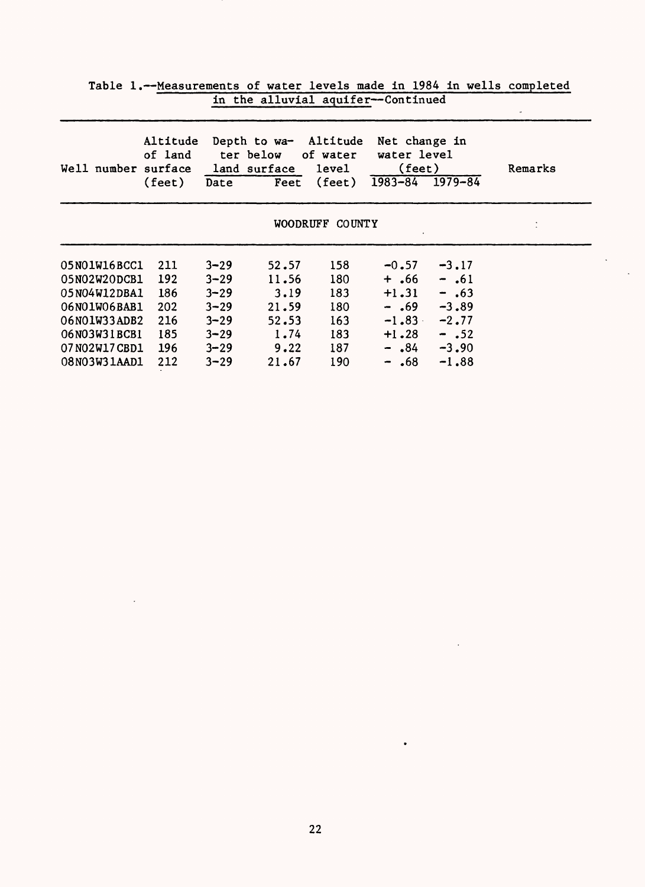| Well number surface | Altitude<br>of land<br>$(\text{feet})$ | Date     | Depth to wa-<br>ter below<br>land surface<br>Feet | Altitude<br>of water<br><b>level</b><br>$(\text{feet})$ | Net change in<br>water level<br>$(\text{feet})$<br>$1983 - 84$ | $1979 - 84$ | Remarks |
|---------------------|----------------------------------------|----------|---------------------------------------------------|---------------------------------------------------------|----------------------------------------------------------------|-------------|---------|
|                     |                                        |          | <b>WOODRUFF</b>                                   | <b>COUNTY</b>                                           |                                                                |             |         |
| 05N01W16BCC1        | 211                                    | $3 - 29$ | 52.57                                             | 158                                                     | $-0.57$                                                        | $-3.17$     |         |
| 05N02W20DCB1        | 192                                    | $3 - 29$ | 11.56                                             | 180                                                     | +.66                                                           | $-$ .61     |         |
| 05N04W12DBA1        | 186                                    | $3 - 29$ | 3.19                                              | 183                                                     | $+1.31$                                                        | $-$ .63     |         |
| 06N01W06BAB1        | 202                                    | $3 - 29$ | 21.59                                             | 180                                                     | $-$ .69                                                        | $-3,89$     |         |
| 06N01W33ADB2        | 216                                    | $3 - 29$ | 52.53                                             | 163                                                     | $-1.83$                                                        | $-2,77$     |         |
| 06N03W31BCB1        | 185                                    | $3 - 29$ | 1.74                                              | 183                                                     | $+1.28$                                                        | $-$ .52     |         |
| 07N02W17CBD1        | 196                                    | $3 - 29$ | 9.22                                              | 187                                                     | $ .84$                                                         | $-3,90$     |         |
| 08N03W31AAD1        | 212                                    | $3 - 29$ | 21.67                                             | 190                                                     | $-$ .68                                                        | $-1.88$     |         |

 $\bar{\beta}$ 

| Table 1.--Measurements of water levels made in 1984 in wells completed |                                    |  |  |  |  |
|------------------------------------------------------------------------|------------------------------------|--|--|--|--|
|                                                                        | in the alluvial aquifer--Continued |  |  |  |  |

 $\bullet$ 

 $\ddot{\phantom{0}}$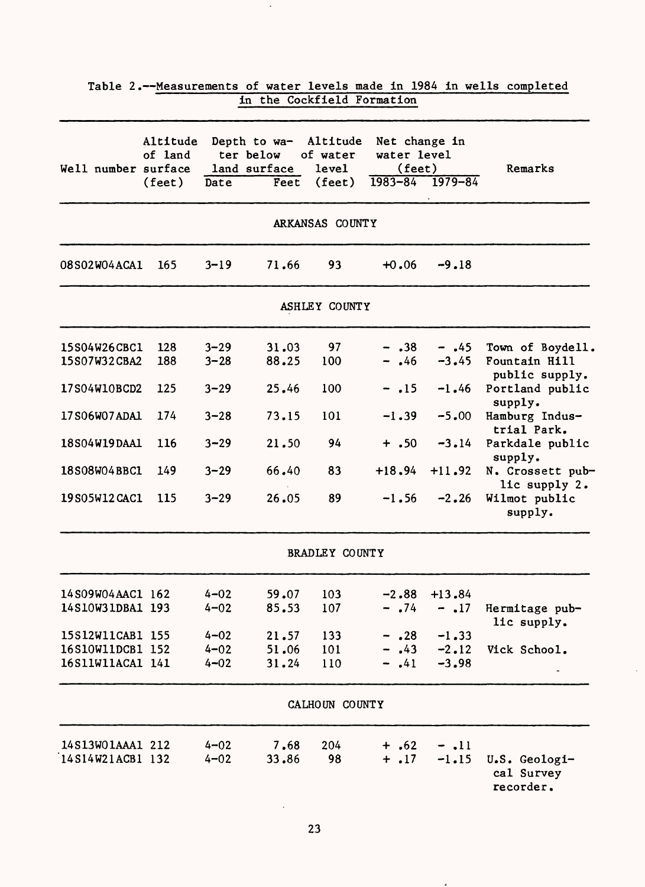| Well number surface | Altitude<br>of land |          | Depth to wa- Altitude<br>ter below<br>land surface | of water<br>level     | Net change in<br>water level<br>(feet) |          | Remarks                                  |
|---------------------|---------------------|----------|----------------------------------------------------|-----------------------|----------------------------------------|----------|------------------------------------------|
|                     | $(\text{feet})$     | Date     | Fect                                               | $(\text{feet})$       | $1983 - 84$ $1979 - 84$                |          |                                          |
|                     |                     |          |                                                    | ARKANSAS COUNTY       |                                        |          |                                          |
| <b>08S02W04ACA1</b> | 165                 | $3 - 19$ | 71.66                                              | 93                    | $+0.06$                                | $-9.18$  |                                          |
|                     |                     |          |                                                    | ASHLEY COUNTY         |                                        |          |                                          |
| 15S04W26CBC1        | 128                 | $3 - 29$ | 31.03                                              | 97                    | $- .38$                                | $-.45$   | Town of Boydell.                         |
| 15S07W32CBA2        | 188                 | $3 - 28$ | 88.25                                              | 100                   | $-$ .46                                | $-3.45$  | Fountain Hill<br>public supply.          |
| 17S04W10BCD2        | 125                 | $3 - 29$ | 25.46                                              | 100                   | $-.15$                                 | $-1.46$  | Portland public<br>supply.               |
| 17S06W07ADA1        | 174                 | $3 - 28$ | 73.15                                              | 101                   | $-1.39$                                | $-5.00$  | Hamburg Indus-<br>trial Park.            |
| 18S04W19DAA1        | 116                 | $3 - 29$ | 21.50                                              | 94                    | $+ .50$                                | $-3.14$  | Parkdale public<br>supply.               |
| 18S08W04BBC1        | 149                 | $3 - 29$ | 66.40                                              | 83                    | $+18.94$                               | $+11.92$ | N. Crossett pub-<br>lic supply 2.        |
| 19S05W12CAC1        | 115                 | $3 - 29$ | 26.05                                              | 89                    | $-1.56$                                | $-2.26$  | Wilmot public<br>supply.                 |
|                     |                     |          |                                                    | <b>BRADLEY COUNTY</b> |                                        |          |                                          |
| 14S09W04AAC1 162    |                     | $4 - 02$ | 59.07                                              | 103                   | $-2.88$                                | $+13.84$ |                                          |
| 14S10W31DBA1 193    |                     | $4 - 02$ | 85.53                                              | 107                   | $-$ .74                                | $-.17$   | Hermitage pub-<br>lic supply.            |
| 15S12W11CAB1 155    |                     | $4 - 02$ | 21.57                                              | 133                   | $- .28$                                | $-1.33$  |                                          |
| 16S10W11DCB1 152    |                     | $4 - 02$ | 51.06                                              | 101                   | .43                                    | $-2.12$  | Vick School.                             |
| 16S11W11ACA1 141    |                     | $4 - 02$ | 31.24                                              | 110                   | .41                                    | $-3.98$  |                                          |
|                     |                     |          |                                                    | CALHOUN COUNTY        |                                        |          |                                          |
| 14S13WO1AAA1 212    |                     | $4 - 02$ | 7.68                                               | 204                   | $+ .62$                                | $-$ .11  |                                          |
| 14S14W21ACB1 132    |                     | $4 - 02$ | 33.86                                              | 98                    | $+ .17$                                | $-1.15$  | U.S. Geologi-<br>cal Survey<br>recorder. |

 $\bar{\mathcal{A}}$ 

| Table 2.--Measurements of water levels made in 1984 in wells completed |  |                            |  |  |  |
|------------------------------------------------------------------------|--|----------------------------|--|--|--|
|                                                                        |  | in the Cockfield Formation |  |  |  |

 $\langle \rangle$ 

 $\mathcal{L}_{\mathcal{A}}$ 

 $\overline{a}$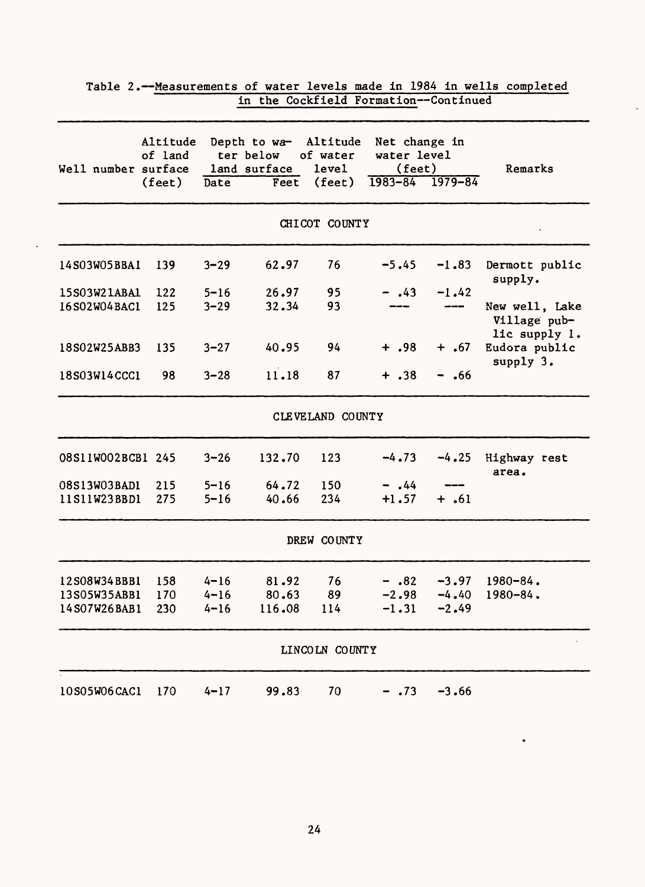| Well number surface | Altitude<br>of land | Depth to wa-<br>Altitude<br>ter below<br>of water<br>land surface<br>level |        |                  | Net change in<br>water level<br>(feet) |             | Remarks                                         |
|---------------------|---------------------|----------------------------------------------------------------------------|--------|------------------|----------------------------------------|-------------|-------------------------------------------------|
|                     | (fect)              | Date                                                                       | Feet   | $(\text{feet})$  | $1983 - 84$                            | $1979 - 84$ |                                                 |
|                     |                     |                                                                            |        | CHICOT COUNTY    |                                        |             |                                                 |
| 14S03W05BBA1        | 139                 | $3 - 29$                                                                   | 62.97  | 76               | $-5.45$                                | $-1.83$     | Dermott public<br>supply.                       |
| 15S03W21ABA1        | 122                 | $5 - 16$                                                                   | 26.97  | 95               | $-$ .43                                | $-1.42$     |                                                 |
| 16S02W04BAC1        | 125                 | $3 - 29$                                                                   | 32.34  | 93               |                                        |             | New well, Lake<br>Village pub-<br>lic supply 1. |
| 18S02W25ABB3        | 135                 | $3 - 27$                                                                   | 40.95  | 94               | $+ .98$                                | $+ .67$     | Eudora public<br>supply 3.                      |
| 18S03W14CCC1        | 98                  | $3 - 28$                                                                   | 11.18  | 87               | $+ .38$                                | - .66       |                                                 |
|                     |                     |                                                                            |        | CLEVELAND COUNTY |                                        |             |                                                 |
| 08S11W002BCB1 245   |                     | $3 - 26$                                                                   | 132.70 | 123              | $-4.73$                                | $-4.25$     | Highway rest<br>area.                           |
| 08S13W03BAD1        | 215                 | $5 - 16$                                                                   | 64.72  | 150              | $-$ .44                                |             |                                                 |
| 11S11W23BBD1        | 275                 | $5 - 16$                                                                   | 40.66  | 234              | $+1.57$                                | $+.61$      |                                                 |
|                     |                     |                                                                            |        | DREW COUNTY      |                                        |             |                                                 |
| 12S08W34BBB1        | 158                 | $4 - 16$                                                                   | 81.92  | 76               | $-.82$                                 | $-3.97$     | $1980 - 84$ .                                   |
| 13S05W35ABB1        | 170                 | $4 - 16$                                                                   | 80.63  | 89               | $-2.98$                                | $-4.40$     | $1980 - 84$ .                                   |
| 14S07W26BAB1        | 230                 | $4 - 16$                                                                   | 116.08 | 114              | $-1.31$                                | $-2.49$     |                                                 |
|                     |                     |                                                                            |        | LINCOLN COUNTY   |                                        |             |                                                 |
| 10S05W06CAC1        | 170                 | $4 - 17$                                                                   | 99.83  | 70               | $- .73$                                | $-3.66$     |                                                 |

 $\ddot{\phantom{a}}$ 

Table 2.--Measurements of water levels made in 1984 in wells completed in the Cockfield Formation--Continued

 $\ddot{\phantom{a}}$ 

 $\bullet$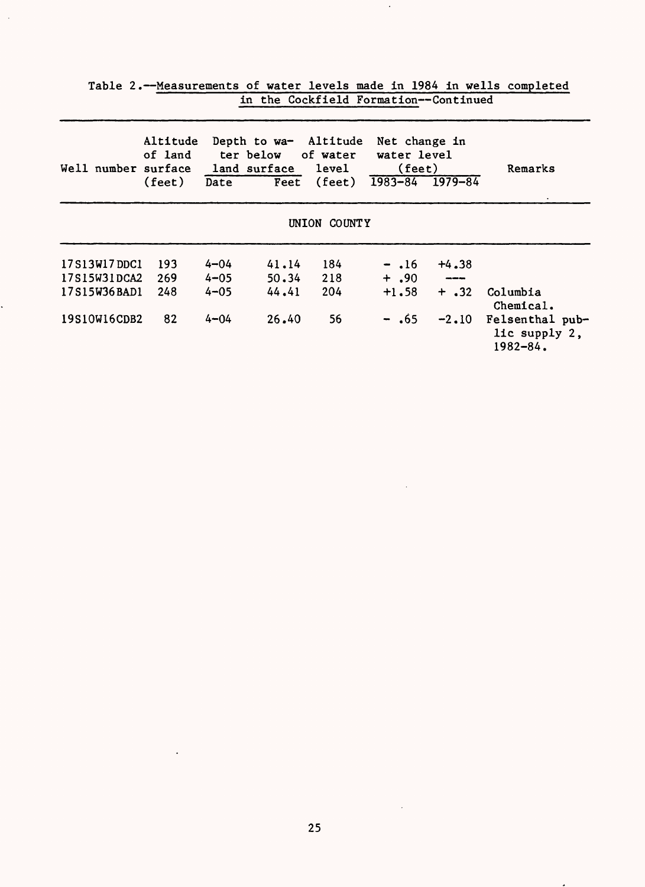| Well number surface | Altitude<br>of land<br>$(\text{feet})$ | Date     | Depth to wa- Altitude<br>ter below of water<br>land surface level | Feet (feet)  | Net change in<br>water level<br>(fect)<br>$1983 - 84$ | $1979 - 84$ | Remarks                                          |
|---------------------|----------------------------------------|----------|-------------------------------------------------------------------|--------------|-------------------------------------------------------|-------------|--------------------------------------------------|
|                     |                                        |          |                                                                   | UNION COUNTY |                                                       |             |                                                  |
| 17S13W17DDC1        | 193                                    | $4 - 04$ | 41.14                                                             | 184          | $-.16$                                                | $+4.38$     |                                                  |
| 17S15W31DCA2        | 269                                    | $4 - 05$ | 50.34                                                             | 218          | $+$ ,90                                               | ----        |                                                  |
| 17S15W36BAD1        | 248                                    | $4 - 05$ | 44.41                                                             | 204          | $+1.58$                                               | $+$ .32     | Columbia<br>Chemical.                            |
| 19S10W16CDB2        | 82                                     | $4 - 04$ | 26.40                                                             | 56           | $-$ .65                                               | $-2.10$     | Felsenthal pub-<br>lic supply 2,<br>$1982 - 84.$ |

 $\ddot{\phantom{0}}$ 

Table 2.--Measurements of water levels made in 1984 in wells completed in the Cockfield Formation--Continued

 $\hat{\boldsymbol{\cdot}$ 

 $\mathcal{A}$ 

 $\mathbb{R}^2$ 

 $\mathcal{L}_{\mathcal{A}}$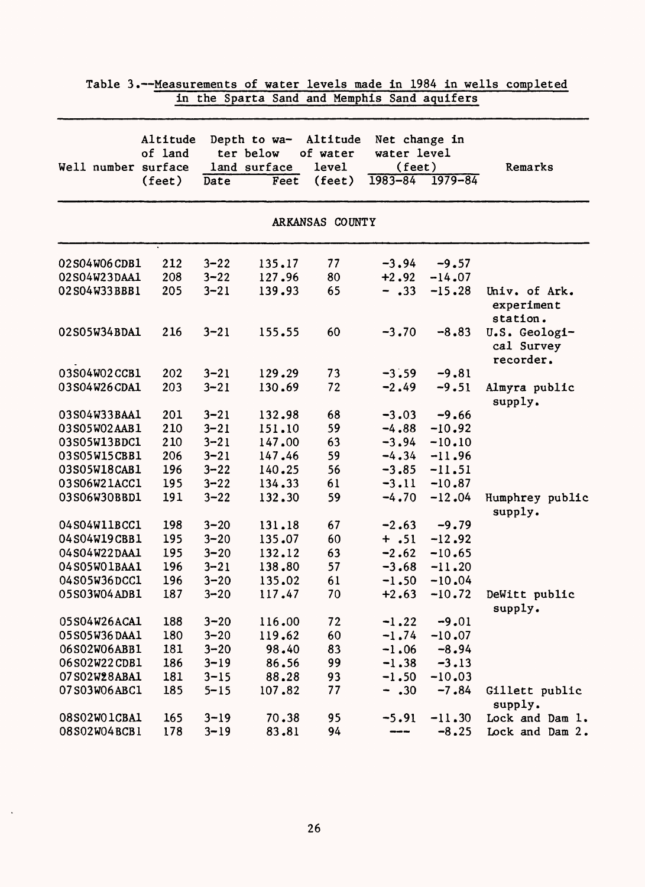| Well number  | Altitude<br>of land<br>surface |          | Depth to wa-<br>ter below<br>land surface | Altitude<br>of water<br><b>level</b> | Net change in<br>water level<br>$(\text{feet})$ |             | Remarks                                  |
|--------------|--------------------------------|----------|-------------------------------------------|--------------------------------------|-------------------------------------------------|-------------|------------------------------------------|
|              | (feet)                         | Date     | Feet                                      | $(\text{feet})$                      | $1983 - 84$                                     | $1979 - 84$ |                                          |
|              |                                |          |                                           |                                      |                                                 |             |                                          |
|              |                                |          |                                           | ARKANSAS COUNTY                      |                                                 |             |                                          |
| 02S04W06CDB1 | 212                            | $3 - 22$ | 135.17                                    | 77                                   | $-3.94$                                         | $-9.57$     |                                          |
| 02S04W23DAA1 | 208                            | $3 - 22$ | 127.96                                    | 80                                   | $+2.92$                                         | $-14.07$    |                                          |
| 02S04W33BBB1 | 205                            | $3 - 21$ | 139.93                                    | 65                                   | $- .33$                                         | $-15.28$    | Univ. of Ark.<br>experiment<br>station.  |
| 02S05W34BDA1 | 216                            | $3 - 21$ | 155.55                                    | 60                                   | $-3.70$                                         | $-8.83$     | U.S. Geologi-<br>cal Survey<br>recorder. |
| 03S04W02CCB1 | 202                            | $3 - 21$ | 129.29                                    | 73                                   | $-3.59$                                         | $-9.81$     |                                          |
| 03S04W26CDA1 | 203                            | $3 - 21$ | 130.69                                    | 72                                   | $-2.49$                                         | $-9.51$     | Almyra public<br>supply.                 |
| 03S04W33BAA1 | 201                            | $3 - 21$ | 132.98                                    | 68                                   | $-3.03$                                         | $-9.66$     |                                          |
| 03S05W02AAB1 | 210                            | $3 - 21$ | 151.10                                    | 59                                   | $-4.88$                                         | $-10.92$    |                                          |
| 03S05W13BDC1 | 210                            | $3 - 21$ | 147.00                                    | 63                                   | $-3.94$                                         | $-10.10$    |                                          |
| 03S05W15CBB1 | 206                            | $3 - 21$ | 147.46                                    | 59                                   | $-4.34$                                         | $-11.96$    |                                          |
| 03S05W18CAB1 | 196                            | $3 - 22$ | 140.25                                    | 56                                   | $-3.85$                                         | $-11.51$    |                                          |
| 03S06W21ACC1 | 195                            | $3 - 22$ | 134.33                                    | 61                                   | $-3.11$                                         | $-10.87$    |                                          |
| 03S06W30BBD1 | 191                            | $3 - 22$ | 132.30                                    | 59                                   | $-4.70$                                         | $-12.04$    | Humphrey public<br>supply.               |
| 04S04W11BCC1 | 198                            | $3 - 20$ | 131.18                                    | 67                                   | $-2.63$                                         | $-9.79$     |                                          |
| 04S04W19CBB1 | 195                            | $3 - 20$ | 135.07                                    | 60                                   | $+ .51$                                         | $-12.92$    |                                          |
| 04S04W22DAA1 | 195                            | $3 - 20$ | 132.12                                    | 63                                   | $-2.62$                                         | $-10.65$    |                                          |
| 04S05W01BAA1 | 196                            | $3 - 21$ | 138.80                                    | 57                                   | $-3.68$                                         | $-11.20$    |                                          |
| 04S05W36DCC1 | 196                            | $3 - 20$ | 135.02                                    | 61                                   | $-1.50$                                         | $-10.04$    |                                          |
| 05S03W04ADB1 | 187                            | $3 - 20$ | 117.47                                    | 70                                   | $+2.63$                                         | $-10.72$    | DeWitt public<br>supply.                 |
| 05S04W26ACA1 | 188                            | $3 - 20$ | 116.00                                    | 72                                   | $-1.22$                                         | $-9.01$     |                                          |
| 05S05W36DAA1 | 180                            | $3 - 20$ | 119.62                                    | 60                                   | $-1.74$                                         | $-10.07$    |                                          |
| 06S02W06ABB1 | 181                            | $3 - 20$ | 98.40                                     | 83                                   | $-1.06$                                         | $-8.94$     |                                          |
| 06S02W22CDB1 | 186                            | $3 - 19$ | 86.56                                     | 99                                   | $-1.38$                                         | $-3.13$     |                                          |
| 07S02W28ABA1 | 181                            | $3 - 15$ | 88.28                                     | 93                                   | $-1.50$                                         | $-10.03$    |                                          |
| 07S03W06ABC1 | 185                            | $5 - 15$ | 107.82                                    | 77                                   | $- .30$                                         | $-7.84$     | Gillett public<br>supply.                |
| 08S02W01CBA1 | 165                            | $3 - 19$ | 70.38                                     | 95                                   | $-5.91$                                         | $-11.30$    | Lock and Dam 1.                          |
| 08S02W04BCB1 | 178                            | $3 - 19$ | 83.81                                     | 94                                   | ----                                            | $-8.25$     | Lock and Dam 2.                          |

 $\ddot{\phantom{a}}$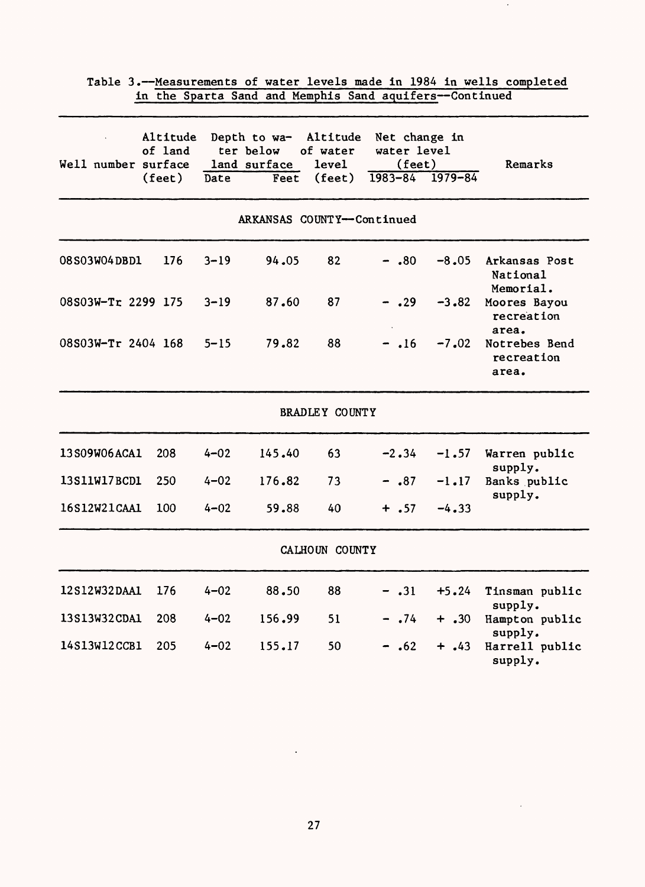| Well number surface | Altitude<br>of land<br>$(\text{feet})$ | Date     | Depth to wa-<br>ter below<br>land surface<br>Feet | Altitude<br>of water<br>level<br>$(\text{feet})$ | Net change in<br>water level<br>(fect)<br>$1983 - 84$ $1979 - 84$ |         | Remarks                                |
|---------------------|----------------------------------------|----------|---------------------------------------------------|--------------------------------------------------|-------------------------------------------------------------------|---------|----------------------------------------|
|                     |                                        |          | ARKANSAS COUNTY--Continued                        |                                                  |                                                                   |         |                                        |
| 08S03W04DBD1        | 176                                    | $3 - 19$ | 94.05                                             | 82                                               | $-.80$                                                            | $-8.05$ | Arkansas Post<br>National<br>Memorial. |
| 08S03W-Tr 2299 175  |                                        | $3 - 19$ | 87.60                                             | 87                                               | $-.29$                                                            | $-3.82$ | Moores Bayou<br>recreation<br>area.    |
| 08S03W-Tr 2404 168  |                                        | $5 - 15$ | 79.82                                             | 88                                               | $- .16$                                                           | $-7.02$ | Notrebes Bend<br>recreation<br>area.   |
|                     |                                        |          |                                                   | <b>BRADLEY COUNTY</b>                            |                                                                   |         |                                        |
| 13S09W06ACA1        | 208                                    | $4 - 02$ | 145.40                                            | 63                                               | $-2.34$                                                           | $-1.57$ | Warren public<br>supply.               |
| 13S11W17BCD1        | 250                                    | $4 - 02$ | 176.82                                            | 73                                               | $- .87$                                                           | $-1.17$ | Banks public                           |
| 16S12W21CAA1        | 100                                    | $4 - 02$ | 59.88                                             | 40                                               | $+ .57$                                                           | $-4.33$ | supply.                                |
|                     |                                        |          |                                                   | CALHOUN COUNTY                                   |                                                                   |         |                                        |
| 12S12W32DAA1        | 176                                    | $4 - 02$ | 88.50                                             | 88                                               | $-$ .31                                                           | $+5.24$ | Tinsman public<br>supply.              |
| 13S13W32CDA1        | 208                                    | $4 - 02$ | 156.99                                            | 51                                               | $-0.74$                                                           | $+ .30$ | Hampton public<br>supply.              |
| 14S13W12CCB1        | 205                                    | $4 - 02$ | 155.17                                            | 50                                               | $-.62$                                                            | $+ .43$ | Harrell public<br>supply.              |

 $\mathcal{A}$ 

 $\sim 10^7$ 

 $\sim 10^{-1}$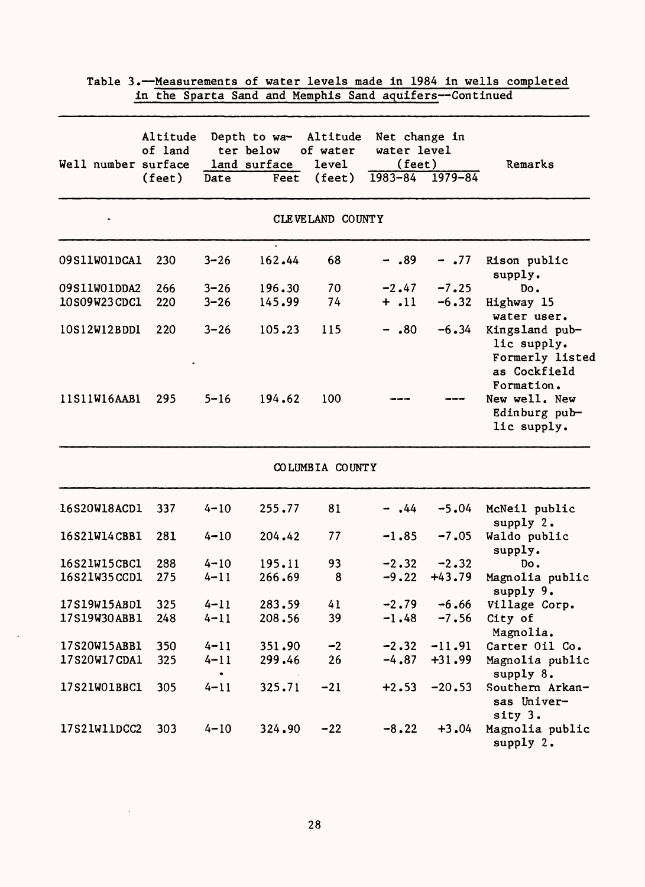|              | Altitude<br>of land |           | Depth to wa-<br>ter below | Altitude<br>of water | Net change in<br>water level |          |                                                                                |
|--------------|---------------------|-----------|---------------------------|----------------------|------------------------------|----------|--------------------------------------------------------------------------------|
|              | Well number surface |           | land surface              | level                | (feet)                       |          | Remarks                                                                        |
|              | $(\text{feet})$     | Date      | Feet                      | (feet)               | $1983 - 84$ 1979-84          |          |                                                                                |
|              |                     |           |                           | CLEVELAND COUNTY     |                              |          |                                                                                |
| 09S11W01DCA1 | 230                 | $3 - 26$  | 162.44                    | 68                   | $-.89$                       | $-0.77$  | Rison public<br>supply.                                                        |
| 09S11W01DDA2 | 266                 | $3 - 26$  | 196.30                    | 70                   | $-2.47$                      | $-7.25$  | Do.                                                                            |
| 10S09W23CDC1 | 220                 | $3 - 26$  | 145.99                    | 74                   | $+$ .11                      | $-6.32$  | Highway 15<br>water user.                                                      |
| 10S12W12BDD1 | 220                 | $3 - 26$  | 105.23                    | 115                  | $-$ .80                      | $-6.34$  | Kingsland pub-<br>lic supply.<br>Formerly listed<br>as Cockfield<br>Formation. |
| 11S11W16AAB1 | 295                 | $5 - 16$  | 194.62                    | 100                  |                              |          | New well. New<br>Edinburg pub-<br>lic supply.                                  |
|              |                     |           |                           | COLUMBIA COUNTY      |                              |          |                                                                                |
| 16S20W18ACD1 | 337                 | $4 - 10$  | 255.77                    | 81                   | .44                          | $-5.04$  | McNeil public<br>supply 2.                                                     |
| 16S21W14CBB1 | 281                 | $4 - 10$  | 204.42                    | 77                   | $-1.85$                      | $-7.05$  | Waldo public<br>supply.                                                        |
| 16S21W15CBC1 | 288                 | $4 - 10$  | 195.11                    | 93                   | $-2.32$                      | $-2.32$  | Do.                                                                            |
| 16S21W35CCD1 | 275                 | $4 - 11$  | 266.69                    | 8                    | $-9.22$                      | $+43.79$ | Magnolia public<br>supply 9.                                                   |
| 17S19W15ABD1 | 325                 | $4 - 11$  | 283.59                    | 41                   | $-2.79$                      | $-6.66$  | Village Corp.                                                                  |
| 17S19W30ABB1 | 248                 | $4 - 11$  | 208.56                    | 39                   | $-1.48$                      | $-7.56$  | City of                                                                        |
| 17S20W15ABB1 | 350                 | $4 - 11$  | 351.90                    | $-2$                 | $-2.32$                      | $-11.91$ | Magnolia.<br>Carter Oil Co.                                                    |
| 17S20W17CDA1 | 325                 | $4 - 11$  | 299.46                    | 26                   | $-4.87$                      | $+31.99$ | Magnolia public                                                                |
|              |                     | $\bullet$ |                           |                      |                              |          | supply 8.                                                                      |
| 17S21W01BBC1 | 305                 | $4 - 11$  | 325.71                    | $-21$                | $+2.53$                      | $-20.53$ | Southern Arkan-<br>sas Univer-<br>sity 3.                                      |
| 17S21W11DCC2 | 303                 | $4 - 10$  | 324.90                    | $-22$                | $-8.22$                      | $+3.04$  | Magnolia public<br>supply 2.                                                   |

 $\ddot{\phantom{a}}$ 

 $\ddot{\phantom{1}}$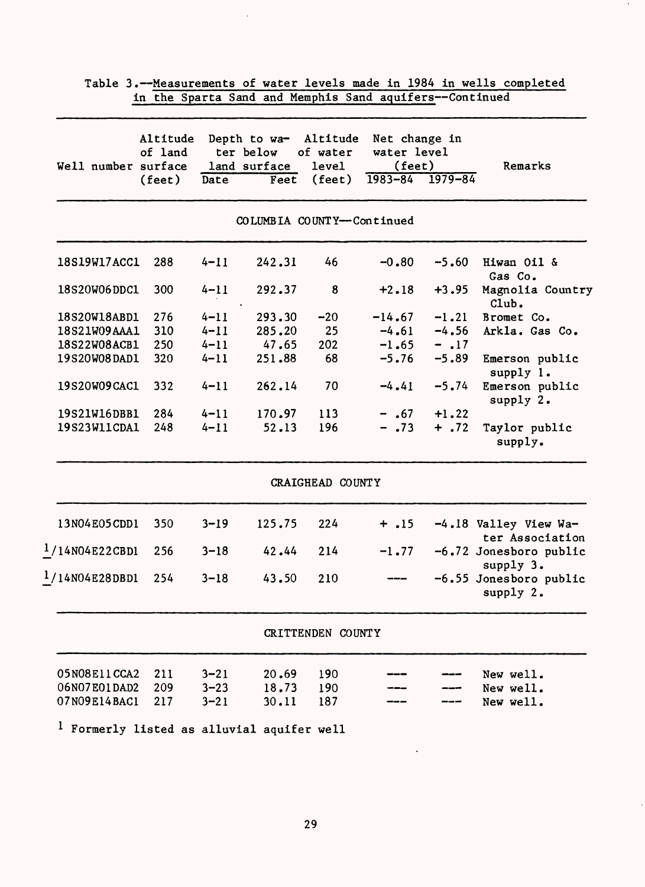| Well number surface          | Altitude<br>of land |                      | Depth to wa- Altitude<br>ter below<br>land surface | of water<br><b>level</b> | Net change in<br>water level<br>$(\text{feet})$ |                    | Remarks                                  |
|------------------------------|---------------------|----------------------|----------------------------------------------------|--------------------------|-------------------------------------------------|--------------------|------------------------------------------|
|                              | $(\text{feet})$     | Date                 | Feet                                               | $(\text{feet})$          | $1983 - 84$ $1979 - 84$                         |                    |                                          |
|                              |                     |                      | COLUMBIA COUNTY--Continued                         |                          |                                                 |                    |                                          |
| 18S19W17ACC1                 | 288                 | $4 - 11$             | 242.31                                             | 46                       | $-0.80$                                         | $-5.60$            | Hiwan Oil &<br>Gas Co.                   |
| 18S20W06DDC1                 | 300                 | $4 - 11$             | 292.37                                             | 8                        | $+2.18$                                         | $+3.95$            | Magnolia Country<br>Club.                |
| 18S20W18ABD1                 | 276                 | $4 - 11$             | 293.30                                             | $-20$                    | $-14.67$                                        | $-1.21$            | Bromet Co.                               |
| 18S21W09AAA1                 | 310                 | $4 - 11$             | 285.20                                             | 25                       | $-4.61$                                         | $-4.56$            | Arkla. Gas Co.                           |
| 18S22W08ACB1                 | 250                 | $4 - 11$             | 47.65                                              | 202                      | $-1.65$                                         | $-17$              |                                          |
| 19S20W08DAD1                 | 320                 | $4 - 11$             | 251.88                                             | 68                       | $-5.76$                                         | $-5.89$            | Emerson public<br>supply 1.              |
| 19S20W09CAC1                 | 332                 | $4 - 11$             | 262.14                                             | 70                       | $-4.41$                                         | $-5.74$            | Emerson public<br>supply 2.              |
| 19S21W16DBB1<br>19S23W11CDA1 | 284<br>248          | $4 - 11$<br>$4 - 11$ | 170.97<br>52.13                                    | 113<br>196               | $-$ .67<br>$-.73$                               | $+1.22$<br>$+ .72$ | Taylor public<br>supply.                 |
|                              |                     |                      |                                                    | CRAIGHEAD COUNTY         |                                                 |                    |                                          |
| 13N04E05CDD1                 | 350                 | $3 - 19$             | 125.75                                             | 224                      | $+ .15$                                         |                    | -4.18 Valley View Wa-<br>ter Association |
| 1/14N04E22CBD1               | 256                 | $3 - 18$             | 42.44                                              | 214                      | $-1.77$                                         |                    | -6.72 Jonesboro public<br>supply 3.      |
| 1/14N04E28DBD1               | 254                 | $3 - 18$             | 43.50                                              | 210                      |                                                 |                    | -6.55 Jonesboro public<br>supply $2.$    |
|                              |                     |                      |                                                    | CRITTENDEN COUNTY        |                                                 |                    |                                          |
| 05N08E11CCA2                 | 211                 | $3 - 21$             | 20.69                                              | 190                      |                                                 |                    | New well.                                |
| 06N07E01DAD2<br>07N09E14BAC1 | 209<br>217          | $3 - 23$             | 18.73                                              | 190                      |                                                 |                    | New well.                                |
|                              |                     | $3 - 21$             | 30.11                                              | 187                      |                                                 |                    | New well.                                |

Table 3.--Measurements of water levels made in 1984 in wells completed

 $\epsilon$ 

Formerly listed as alluvial aquifer well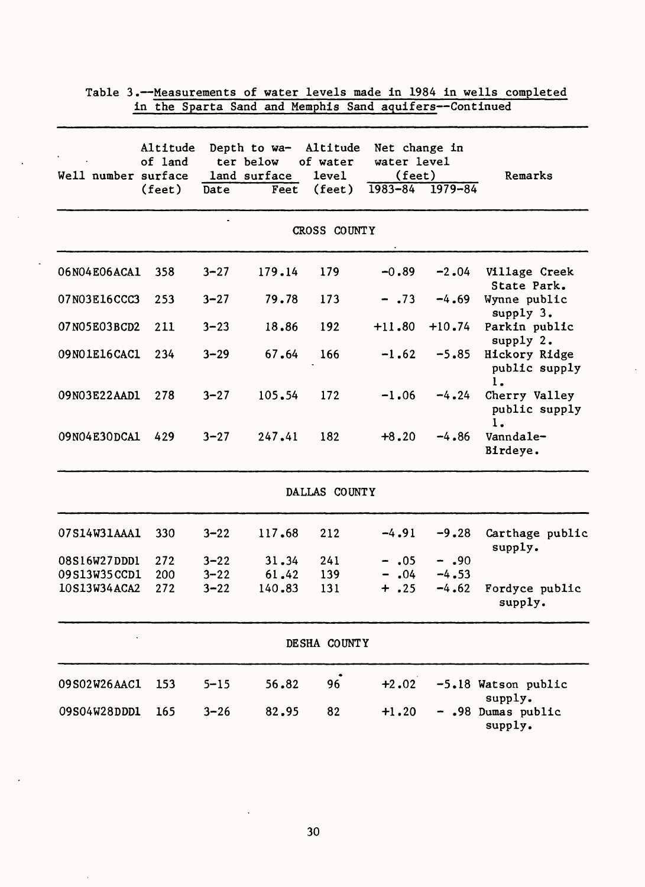|                     |                     |          | In the oparta band and hemphis band aquiters       |                          |                                        |          |                                      |
|---------------------|---------------------|----------|----------------------------------------------------|--------------------------|----------------------------------------|----------|--------------------------------------|
| Well number surface | Altitude<br>of land |          | Depth to wa- Altitude<br>ter below<br>land surface | of water<br><b>level</b> | Net change in<br>water level<br>(fect) |          | Remarks                              |
|                     | (feet)              | Date     | Feet                                               | (feet)                   | $1983 - 84$ 1979-84                    |          |                                      |
|                     |                     |          |                                                    | CROSS COUNTY             |                                        |          |                                      |
| 06N04E06ACA1        | 358                 | $3 - 27$ | 179.14                                             | 179                      | $-0.89$                                | $-2.04$  | Village Creek<br>State Park.         |
| 07N03E16CCC3        | 253                 | $3 - 27$ | 79.78                                              | 173                      | $-.73$                                 | $-4.69$  | Wynne public<br>supply 3.            |
| 07N05E03BCD2        | 211                 | $3 - 23$ | 18.86                                              | 192                      | $+11.80$                               | $+10.74$ | Parkin public<br>supply 2.           |
| 09N01E16CAC1        | 234                 | $3 - 29$ | 67.64                                              | 166                      | $-1.62$                                | $-5.85$  | Hickory Ridge<br>public supply<br>1. |
| 09N03E22AAD1        | 278                 | $3 - 27$ | 105.54                                             | 172                      | $-1.06$                                | $-4.24$  | Cherry Valley<br>public supply<br>ı. |
| 09N04E30DCA1        | 429                 | $3 - 27$ | 247.41                                             | 182                      | $+8.20$                                | $-4.86$  | Vanndale-<br>Birdeye.                |
|                     |                     |          |                                                    | DALLAS COUNTY            |                                        |          |                                      |
| 07S14W31AAA1        | 330                 | $3 - 22$ | 117.68                                             | 212                      | $-4.91$                                | $-9.28$  | Carthage public<br>supply.           |
| 08S16W27DDD1        | 272                 | $3 - 22$ | 31.34                                              | 241                      | $-.05$                                 | $-0.90$  |                                      |
| 09S13W35CCD1        | 200                 | $3 - 22$ | 61.42                                              | 139                      | $-.04$                                 | $-4.53$  |                                      |
| 10S13W34ACA2        | 272                 | $3 - 22$ | 140.83                                             | 131                      | $+ .25$                                | $-4.62$  | Fordyce public<br>supply.            |
|                     |                     |          |                                                    | DESHA COUNTY             |                                        |          |                                      |
| 09S02W26AAC1        | 153                 | $5 - 15$ | 56.82                                              | 96                       | $+2.02$                                |          | -5.18 Watson public<br>supply.       |
| 09S04W28DDD1        | 165                 | $3 - 26$ | 82.95                                              | 82                       | $+1.20$                                |          | - .98 Dumas public<br>supply.        |

 $\lambda$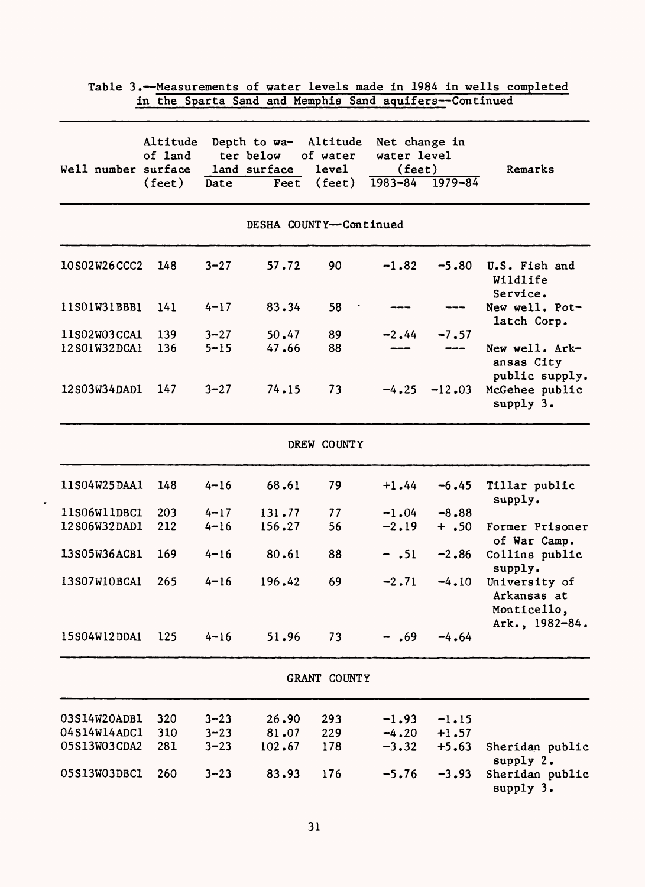| Well number surface | Altitude<br>of land |          | Depth to wa-<br>ter below<br>land surface | Altitude<br>of water<br><b>level</b> | Net change in<br>water level<br>$(\text{feet})$ |             | Remarks                                                       |
|---------------------|---------------------|----------|-------------------------------------------|--------------------------------------|-------------------------------------------------|-------------|---------------------------------------------------------------|
|                     | $(\text{feet})$     | Date     | Feet                                      | (feet)                               | $1983 - 84$                                     | $1979 - 84$ |                                                               |
|                     |                     |          |                                           | DESHA COUNTY--Continued              |                                                 |             |                                                               |
| 10S02W26CCC2        | 148                 | $3 - 27$ | 57.72                                     | 90                                   | $-1.82$                                         | $-5.80$     | U.S. Fish and<br>Wildlife<br>Service.                         |
| 11S01W31BBB1        | 141                 | $4 - 17$ | 83.34                                     | 58                                   |                                                 |             | New well. Pot-<br>latch Corp.                                 |
| 11S02W03CCA1        | 139                 | $3 - 27$ | 50.47                                     | 89                                   | $-2.44$                                         | $-7.57$     |                                                               |
| 12S01W32DCA1        | 136                 | $5 - 15$ | 47.66                                     | 88                                   |                                                 |             | New well. Ark-<br>ansas City<br>public supply.                |
| 12S03W34DAD1        | 147                 | $3 - 27$ | 74.15                                     | 73                                   | $-4.25$                                         | $-12.03$    | McGehee public<br>supply 3.                                   |
|                     |                     |          |                                           | DREW COUNTY                          |                                                 |             |                                                               |
| 11S04W25DAA1        | 148                 | $4 - 16$ | 68.61                                     | 79                                   | $+1.44$                                         | $-6.45$     | Tillar public<br>supply.                                      |
| 11S06W11DBC1        | 203                 | $4 - 17$ | 131.77                                    | 77                                   | $-1.04$                                         | $-8.88$     |                                                               |
| 12S06W32DAD1        | 212                 | $4 - 16$ | 156.27                                    | 56                                   | $-2.19$                                         | $+ .50$     | Former Prisoner<br>of War Camp.                               |
| 13S05W36ACB1        | 169                 | $4 - 16$ | 80.61                                     | 88                                   | $- .51$                                         | $-2.86$     | Collins public<br>supply.                                     |
| 13S07W10BCA1        | 265                 | $4 - 16$ | 196.42                                    | 69                                   | $-2.71$                                         | $-4.10$     | University of<br>Arkansas at<br>Monticello,<br>Ark., 1982-84. |
| 15S04W12DDA1        | 125                 | $4 - 16$ | 51.96                                     | 73                                   | $-$ .69                                         | $-4.64$     |                                                               |
|                     |                     |          |                                           | GRANT COUNTY                         |                                                 |             |                                                               |
| 03S14W20ADB1        | 320                 | $3 - 23$ | 26.90                                     | 293                                  | $-1.93$                                         | $-1.15$     |                                                               |
| 04S14W14ADC1        | 310                 | $3 - 23$ | 81.07                                     | 229                                  | $-4.20$                                         | $+1.57$     |                                                               |
| 05S13W03CDA2        | 281                 | $3 - 23$ | 102.67                                    | 178                                  | $-3.32$                                         | $+5.63$     | Sheridan public<br>supply 2.                                  |
| 05S13W03DBC1        | 260                 | $3 - 23$ | 83.93                                     | 176                                  | $-5.76$                                         | $-3.93$     | Sheridan public<br>supply 3.                                  |

 $\cdot$ 

Table 3.--Measurements of water levels made in 1984 in wells completed<br>in the Sparta Sand and Memphis Sand aquifers--Continued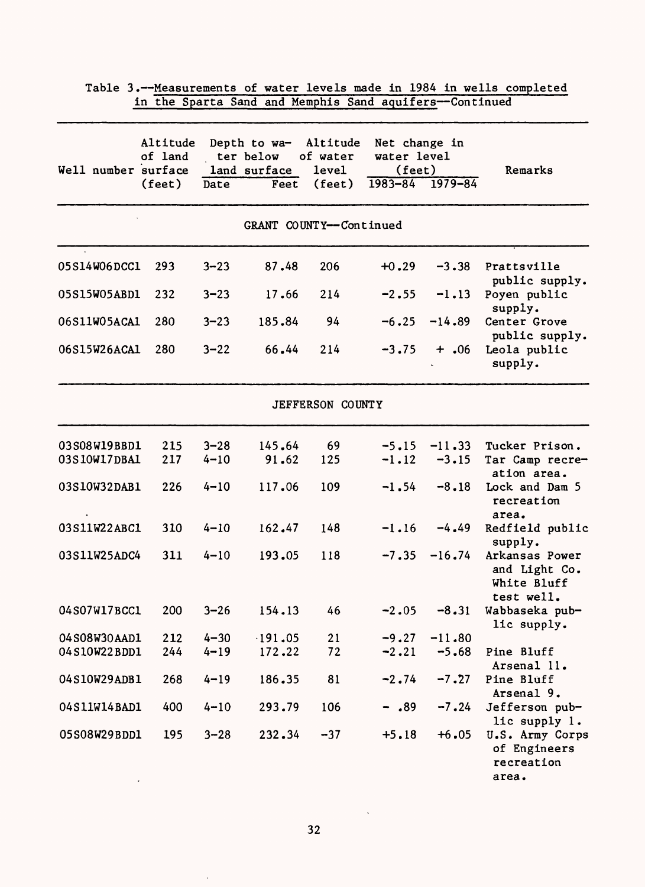| Well number surface | Altitude<br>of land |          | Depth to wa-<br>ter below<br>land surface | Altitude<br>of water<br>level | Net change in<br>water level<br>(fect) |             | Remarks                                                      |
|---------------------|---------------------|----------|-------------------------------------------|-------------------------------|----------------------------------------|-------------|--------------------------------------------------------------|
|                     | (feet)              | Date     | Feet                                      | (feet)                        | $1983 - 84$                            | $1979 - 84$ |                                                              |
|                     |                     |          |                                           | GRANT COUNTY--Continued       |                                        |             |                                                              |
| 05S14W06DCC1        | 293                 | $3 - 23$ | 87.48                                     | 206                           | $+0.29$                                | $-3.38$     | Prattsville<br>public supply.                                |
| 05S15W05ABD1        | 232                 | $3 - 23$ | 17.66                                     | 214                           | $-2.55$                                | $-1.13$     | Poyen public<br>supply.                                      |
| 06S11W05ACA1        | 280                 | $3 - 23$ | 185.84                                    | 94                            | $-6.25$                                | $-14.89$    | Center Grove<br>public supply.                               |
| 06S15W26ACA1        | 280                 | $3 - 22$ | 66.44                                     | 214                           | $-3.75$                                | $+$ .06     | Leola public<br>supply.                                      |
|                     |                     |          |                                           | JEFFERSON COUNTY              |                                        |             |                                                              |
| 03S08W19BBD1        | 215                 | $3 - 28$ | 145.64                                    | 69                            | $-5.15$                                | $-11.33$    | Tucker Prison.                                               |
| 03S10W17DBA1        | 217                 | $4 - 10$ | 91.62                                     | 125                           | $-1.12$                                | $-3.15$     | Tar Camp recre-<br>ation area.                               |
| 03S10W32DAB1        | 226                 | $4 - 10$ | 117.06                                    | 109                           | $-1.54$                                | $-8.18$     | Lock and Dam 5<br>recreation<br>area.                        |
| 03S11W22ABC1        | 310                 | $4 - 10$ | 162.47                                    | 148                           | $-1.16$                                | $-4.49$     | Redfield public<br>supply.                                   |
| 03S11W25ADC4        | 311                 | $4 - 10$ | 193.05                                    | 118                           | $-7.35$                                | $-16.74$    | Arkansas Power<br>and Light Co.<br>White Bluff<br>test well. |
| 04S07W17BCC1        | 200                 | $3 - 26$ | 154.13                                    | 46                            | $-2.05$                                | $-8.31$     | Wabbaseka pub-<br>lic supply.                                |
| 04S08W30AAD1        | 212                 | $4 - 30$ | $-191.05$                                 | 21                            | $-9.27$                                | $-11.80$    |                                                              |
| 04S10W22BDD1        | 244                 | $4 - 19$ | 172.22                                    | 72                            | $-2.21$                                | $-5.68$     | Pine Bluff<br>Arsenal 11.                                    |
| 04S10W29ADB1        | 268                 | $4 - 19$ | 186.35                                    | 81                            | $-2.74$                                | $-7.27$     | Pine Bluff<br>Arsenal 9.                                     |
| 04S11W14BAD1        | 400                 | $4 - 10$ | 293.79                                    | 106                           | $-0.89$                                | $-7.24$     | Jefferson pub-<br>lic supply 1.                              |
| 05S08W29BDD1        | 195                 | $3 - 28$ | 232.34                                    | $-37$                         | $+5.18$                                | $+6.05$     | U.S. Army Corps<br>of Engineers<br>recreation<br>area.       |

32

 $\bar{\gamma}$ 

 $\bar{\mathcal{A}}$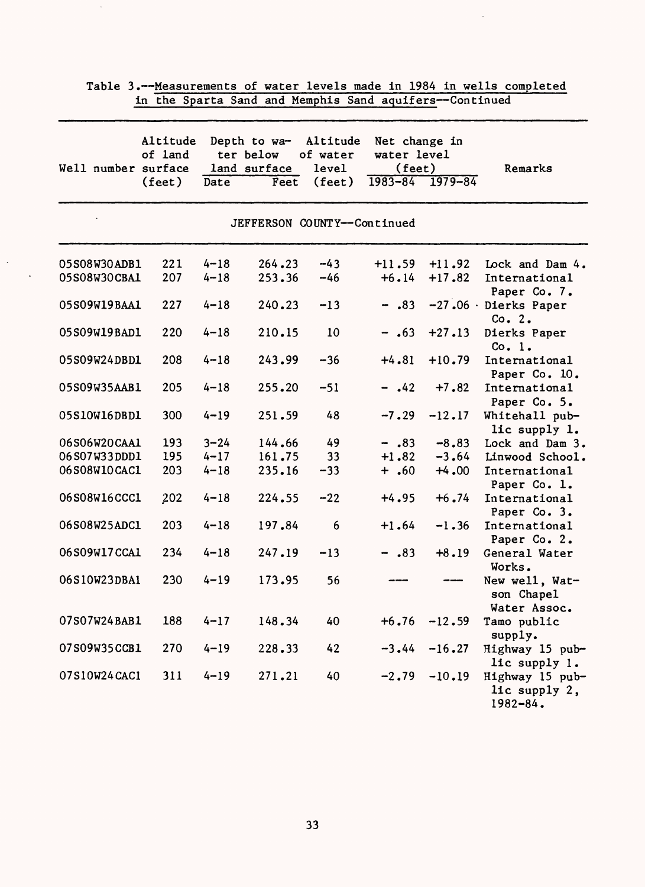|                     | Altitude |          | Depth to wa-                | Altitude        | Net change in   |             |                                              |
|---------------------|----------|----------|-----------------------------|-----------------|-----------------|-------------|----------------------------------------------|
|                     | of land  |          | ter below                   | of water        | water level     |             |                                              |
| Well number surface |          |          | land surface                | level           | $(\text{feet})$ |             | Remarks                                      |
|                     | (feet)   | Date     | Feet                        | $(\text{feet})$ | $1983 - 84$     | $1979 - 84$ |                                              |
|                     |          |          | JEFFERSON COUNTY--Continued |                 |                 |             |                                              |
| 05S08W30ADB1        | 221      | $4 - 18$ | 264.23                      | $-43$           | $+11.59$        | $+11.92$    | Lock and Dam 4.                              |
| 05S08W30CBA1        | 207      | $4 - 18$ | 253.36                      | $-46$           | $+6.14$         | $+17.82$    | International<br>Paper Co. 7.                |
| 05S09W19BAA1        | 227      | $4 - 18$ | 240.23                      | $-13$           | $-.83$          |             | $-27.06$ Dierks Paper<br>Co. $2.$            |
| 05S09W19BAD1        | 220      | $4 - 18$ | 210.15                      | 10              | $- .63$         | $+27.13$    | Dierks Paper<br>Co. 1.                       |
| 05S09W24DBD1        | 208      | $4 - 18$ | 243.99                      | $-36$           | $+4.81$         | $+10.79$    | International<br>Paper Co. 10.               |
| 05S09W35AAB1        | 205      | $4 - 18$ | 255.20                      | $-51$           | $-.42$          | $+7.82$     | International<br>Paper Co. 5.                |
| 05S10W16DBD1        | 300      | $4 - 19$ | 251.59                      | 48              | $-7.29$         | $-12.17$    | Whitehall pub-<br>lic supply 1.              |
| 06S06W20CAA1        | 193      | $3 - 24$ | 144.66                      | 49              | $-.83$          | $-8.83$     | Lock and Dam 3.                              |
| 06S07W33DDD1        | 195      | $4 - 17$ | 161.75                      | 33              | $+1.82$         | $-3.64$     | Linwood School.                              |
| 06S08W10CAC1        | 203      | $4 - 18$ | 235.16                      | $-33$           | $+ .60$         | $+4.00$     | International<br>Paper Co. 1.                |
| 06S08W16CCC1        | 202      | $4 - 18$ | 224.55                      | $-22$           | $+4.95$         | $+6.74$     | International<br>Paper Co. 3.                |
| 06S08W25ADC1        | 203      | $4 - 18$ | 197.84                      | 6               | $+1.64$         | $-1.36$     | International<br>Paper Co. 2.                |
| 06S09W17CCA1        | 234      | $4 - 18$ | 247.19                      | $-13$           | $-.83$          | $+8.19$     | General Water<br>Works.                      |
| 06S10W23DBA1        | 230      | $4 - 19$ | 173.95                      | 56              |                 |             | New well, Wat-<br>son Chapel<br>Water Assoc. |
| 07S07W24BAB1        | 188      | $4 - 17$ | 148.34                      | 40              | $+6.76$         | $-12.59$    | Tamo public<br>supply.                       |
| 07S09W35CCB1        | 270      | $4 - 19$ | 228.33                      | 42              | $-3.44$         | $-16.27$    | Highway 15 pub-<br>lic supply 1.             |
| 07S10W24CAC1        | 311      | $4 - 19$ | 271.21                      | 40              | $-2.79$         | $-10.19$    | Highway 15 pub-<br>lic supply 2,<br>1982-84. |

 $\hat{\mathcal{L}}$ 

 $\hat{\mathcal{A}}$ 

 $\mathcal{A}^{\pm}$  $\sim$   $\sim$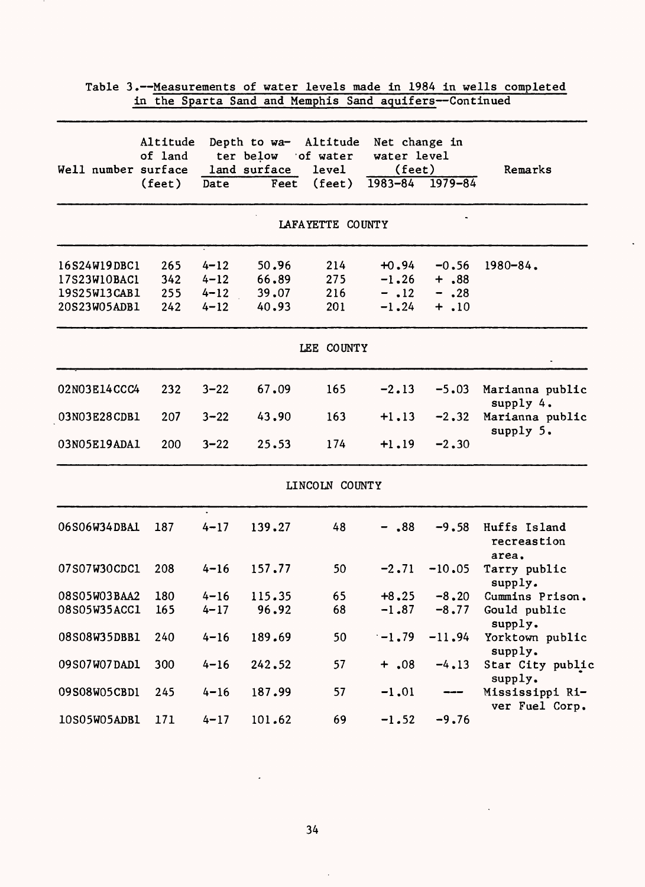|                                                              |                               |                                              | in the Sparta Sand and Memphis Sand aquifers--Continued    |                                      |                                                       |                                          |                                      |
|--------------------------------------------------------------|-------------------------------|----------------------------------------------|------------------------------------------------------------|--------------------------------------|-------------------------------------------------------|------------------------------------------|--------------------------------------|
| Well number surface                                          | Altitude<br>of land<br>(feet) | Date                                         | Depth to wa- Altitude<br>ter below<br>land surface<br>Feet | of water<br>level<br>$(\text{feet})$ | Net change in<br>water level<br>(feet)<br>$1983 - 84$ | $1979 - 84$                              | Remarks                              |
|                                                              |                               |                                              |                                                            | LAFAYETTE COUNTY                     |                                                       |                                          |                                      |
| 16S24W19DBC1<br>17S23W10BAC1<br>19S25W13CAB1<br>20S23W05ADB1 | 265<br>342<br>255<br>242      | $4 - 12$<br>$4 - 12$<br>$4 - 12$<br>$4 - 12$ | 50.96<br>66.89<br>39.07<br>40.93                           | 214<br>275<br>216<br>201             | $+0.94$<br>$-1.26$<br>$-$ .12<br>$-1.24$              | $-0.56$<br>$+ .88$<br>$- .28$<br>$+ .10$ | $1980 - 84$ .                        |
|                                                              |                               |                                              |                                                            | LEE COUNTY                           |                                                       |                                          |                                      |
| 02N03E14CCC4                                                 | 232                           | $3 - 22$                                     | 67.09                                                      | 165                                  | $-2.13$                                               | $-5.03$                                  | Marianna public<br>supply 4.         |
| 03N03E28CDB1<br>03N05E19ADA1                                 | 207<br>200                    | $3 - 22$<br>$3 - 22$                         | 43.90<br>25.53                                             | 163<br>174                           | $+1.13$<br>$+1.19$                                    | $-2.32$<br>$-2.30$                       | Marianna public<br>supply 5.         |
|                                                              |                               |                                              |                                                            | LINCOLN COUNTY                       |                                                       |                                          |                                      |
| 06S06W34DBA1                                                 | 187                           | $4 - 17$                                     | 139.27                                                     | 48                                   | $-$ .88                                               | $-9.58$                                  | Huffs Island<br>recreastion<br>area. |
| 07S07W30CDC1                                                 | 208                           | $4 - 16$                                     | 157.77                                                     | 50                                   | $-2.71$                                               | $-10.05$                                 | Tarry public<br>supply.              |
| 08S05W03BAA2                                                 | 180                           | $4 - 16$                                     | 115.35                                                     | 65                                   | $+8.25$                                               | $-8, 20$                                 | Cummins Prison.                      |
| 08S05W35ACC1                                                 | 165                           | $4 - 17$                                     | 96.92                                                      | 68                                   | $-1.87$                                               | $-8.77$                                  | Gould public<br>supply.              |
| 08S08W35DBB1                                                 | 240                           | $4 - 16$                                     | 189.69                                                     | 50                                   | $-1.79$                                               | $-11.94$                                 | Yorktown public<br>supply.           |
| 09S07W07DAD1                                                 | 300                           | $4 - 16$                                     | 242.52                                                     | 57                                   | $+ .08$                                               | $-4.13$                                  | Star City public<br>supply.          |
| 09S08W05CBD1                                                 | 245                           | $4 - 16$                                     | 187.99                                                     | 57                                   | $-1.01$                                               | $\qquad \qquad \cdots$                   | Mississippi Ri-<br>ver Fuel Corp.    |
| 10S05W05ADB1                                                 | 171                           | $4 - 17$                                     | 101.62                                                     | 69                                   | $-1.52$                                               | $-9.76$                                  |                                      |

 $\ddot{\phantom{a}}$ 

Table 3.--Measurements of water levels made in 1984 in wells completed<br>in the Sparta Sand and Memphis Sand aquifers--Continued

 $\ddot{\phantom{0}}$ 

34

l.

 $\ddot{\phantom{a}}$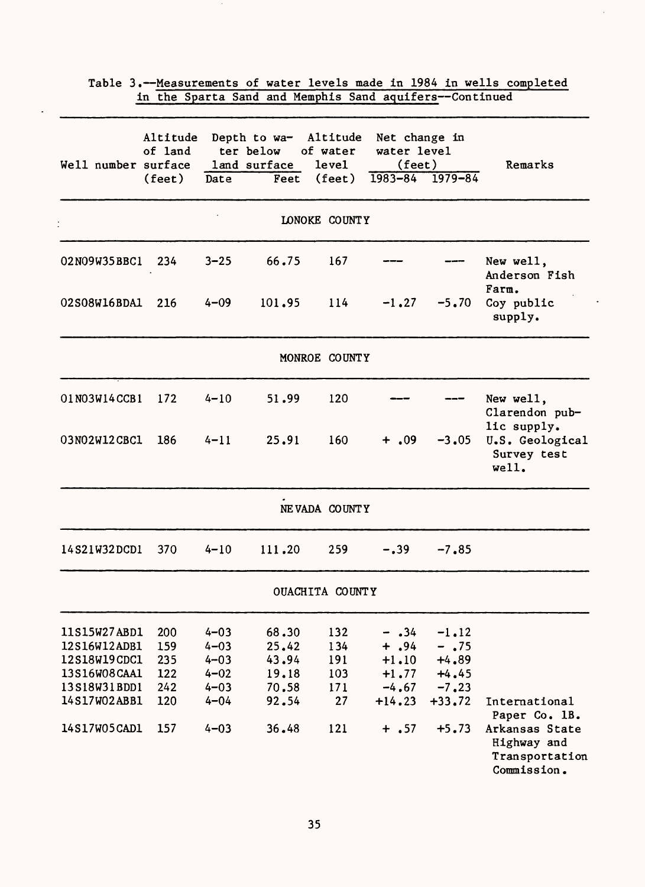| Well number surface | Altitude<br>of land |          | Depth to wa-<br>ter below<br>land surface | Altitude<br>of water<br>level | Net change in<br>water level<br>(feet) |             | Remarks                                                        |
|---------------------|---------------------|----------|-------------------------------------------|-------------------------------|----------------------------------------|-------------|----------------------------------------------------------------|
|                     | $(\text{feet})$     | Date     | Feet                                      | $(\text{feet})$               | $1983 - 84$                            | $1979 - 84$ |                                                                |
|                     |                     |          |                                           | LONOKE COUNTY                 |                                        |             |                                                                |
| 02N09W35BBC1        | 234                 | $3 - 25$ | 66.75                                     | 167                           |                                        |             | New well,<br>Anderson Fish<br>Farm.                            |
| 02S08W16BDA1        | 216                 | $4 - 09$ | 101.95                                    | 114                           | $-1.27$                                | $-5.70$     | Coy public<br>supply.                                          |
|                     |                     |          |                                           | MONROE COUNTY                 |                                        |             |                                                                |
| 01N03W14CCB1        | 172                 | $4 - 10$ | 51.99                                     | 120                           |                                        |             | New well,<br>Clarendon pub-                                    |
| 03N02W12CBC1        | 186                 | $4 - 11$ | 25.91                                     | 160                           | $+$ ,09                                | $-3,05$     | lic supply.<br>U.S. Geological<br>Survey test<br>well.         |
|                     |                     |          |                                           | NEVADA COUNTY                 |                                        |             |                                                                |
| 14S21W32DCD1        | 370                 | $4 - 10$ | 111.20                                    | 259                           | $-.39$                                 | $-7.85$     |                                                                |
|                     |                     |          |                                           | OUACHITA COUNTY               |                                        |             |                                                                |
| 11S15W27ABD1        | 200                 | $4 - 03$ | 68.30                                     | 132                           | $- .34$                                | $-1.12$     |                                                                |
| 12S16W12ADB1        | 159                 | $4 - 03$ | 25.42                                     | 134                           | $+$ , 94                               | $-$ .75     |                                                                |
| 12S18W19CDC1        | 235                 | $4 - 03$ | 43.94                                     | 191                           | $+1.10$                                | $+4.89$     |                                                                |
| 13S16W08CAA1        | 122                 | $4 - 02$ | 19.18                                     | 103                           | $+1.77$                                | $+4.45$     |                                                                |
| 13S18W31BDD1        | 242                 | $4 - 03$ | 70.58                                     | 171                           | $-4.67$                                | $-7, 23$    |                                                                |
| 14S17W02ABB1        | 120                 | $4 - 04$ | 92.54                                     | 27                            | $+14.23$                               | $+33.72$    | International<br>Paper Co. 1B.                                 |
| 14S17W05CAD1        | 157                 | $4 - 03$ | 36.48                                     | 121                           | $+ .57$                                | $+5.73$     | Arkansas State<br>Highway and<br>Transportation<br>Commission. |

 $\ddot{\phantom{a}}$ 

Table 3.-Measurements of water levels made in 1984 in wells completed

 $\sim$ 

 $\ddot{\phantom{a}}$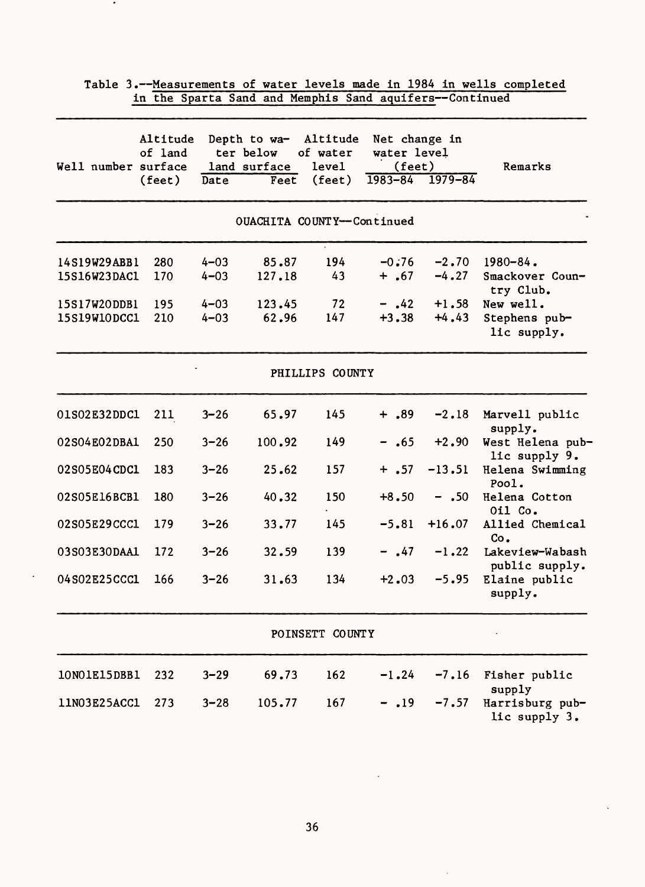| Well number surface          | Altitude<br>of land<br>$(\text{feet})$ | Date                 | Depth to wa-<br>ter below<br>land surface<br>Feet | Altitude<br>of water<br>level<br>(feet) | Net change in<br>water level<br>(feet) | $1983 - 84$ $1979 - 84$ | Remarks                                       |
|------------------------------|----------------------------------------|----------------------|---------------------------------------------------|-----------------------------------------|----------------------------------------|-------------------------|-----------------------------------------------|
|                              |                                        |                      | OUACHITA COUNTY--Continued                        |                                         |                                        |                         |                                               |
| 14S19W29ABB1<br>15S16W23DAC1 | 280<br>170                             | $4 - 03$<br>$4 - 03$ | 85.87<br>127.18                                   | 194<br>43                               | $-0.76$<br>$+$ .67                     | $-2.70$<br>$-4.27$      | $1980 - 84$ .<br>Smackover Coun-<br>try Club. |
| 15S17W2ODDB1<br>15S19W10DCC1 | 195<br>210                             | $4 - 03$<br>$4 - 03$ | 123.45<br>62.96                                   | 72<br>147                               | $-$ .42<br>$+3.38$                     | $+1.58$<br>$+4.43$      | New well.<br>Stephens pub-<br>lic supply.     |
|                              |                                        |                      |                                                   | PHILLIPS COUNTY                         |                                        |                         |                                               |
| 01S02E32DDC1                 | 211                                    | $3 - 26$             | 65.97                                             | 145                                     | $+$ ,89                                | $-2.18$                 | Marvell public                                |
| 02S04E02DBA1                 | 250                                    | $3 - 26$             | 100.92                                            | 149                                     | $-.65$                                 | $+2.90$                 | supply.<br>West Helena pub-<br>lic supply 9.  |
| 02S05E04CDC1                 | 183                                    | $3 - 26$             | 25.62                                             | 157                                     | $+$ .57                                | $-13.51$                | Helena Swimming<br>Pool.                      |
| 02S05E16BCB1                 | 180                                    | $3 - 26$             | 40.32                                             | 150                                     | $+8.50$                                | $- .50$                 | Helena Cotton<br>Oil Co.                      |
| 02S05E29CCC1                 | 179                                    | $3 - 26$             | 33.77                                             | 145                                     | $-5.81$                                | $+16.07$                | Allied Chemical<br>Co.                        |
| 03S03E30DAA1                 | 172                                    | $3 - 26$             | 32.59                                             | 139                                     | $-$ .47                                | $-1.22$                 | Lakeview-Wabash<br>public supply.             |
| 04S02E25CCC1                 | 166                                    | $3 - 26$             | 31.63                                             | 134                                     | $+2.03$                                | $-5.95$                 | Elaine public<br>supply.                      |
|                              |                                        |                      |                                                   | POINSETT COUNTY                         |                                        |                         |                                               |
| 10NO1E15DBB1                 | 232                                    | $3 - 29$             | 69.73                                             | 162                                     | $-1.24$                                | $-7.16$                 | Fisher public                                 |
| 11N03E25ACC1                 | 273                                    | $3 - 28$             | 105.77                                            | 167                                     | $-$ .19                                | $-7.57$                 | supply<br>Harrisburg pub-<br>lic supply 3.    |

 $\bullet$ 

 $\epsilon$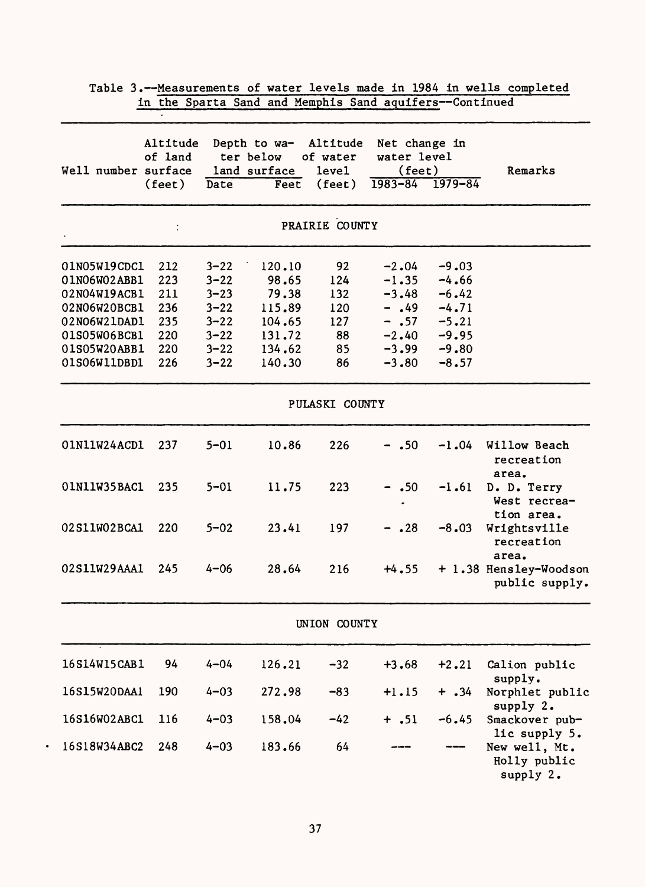|                              | in the Sparta Sand and Memphis Sand aquifers--Continued |                      |                                                   |                                                  |                                                       |                    |                                                   |
|------------------------------|---------------------------------------------------------|----------------------|---------------------------------------------------|--------------------------------------------------|-------------------------------------------------------|--------------------|---------------------------------------------------|
| Well number surface          | Altitude<br>of land<br>$(\text{feet})$                  | Date                 | Depth to wa-<br>ter below<br>land surface<br>Feet | Altitude<br>of water<br>level<br>$(\text{feet})$ | Net change in<br>water level<br>(feet)<br>$1983 - 84$ | $1979 - 84$        | Remarks                                           |
|                              |                                                         |                      |                                                   | PRAIRIE COUNTY                                   |                                                       |                    |                                                   |
| 01N05W19CDC1                 | 212                                                     | $3 - 22$             | 120.10                                            | 92                                               | $-2.04$                                               | $-9.03$            |                                                   |
| 01N06W02ABB1                 | 223                                                     | $3 - 22$             | 98.65                                             | 124                                              | $-1.35$                                               | $-4.66$            |                                                   |
| 02N04W19ACB1<br>02N06W20BCB1 | 211<br>236                                              | $3 - 23$<br>$3 - 22$ | 79.38<br>115.89                                   | 132                                              | $-3.48$<br>$-0.49$                                    | $-6.42$<br>$-4.71$ |                                                   |
| 02N06W21DAD1                 | 235                                                     | $3 - 22$             | 104.65                                            | 120<br>127                                       | $- .57$                                               | $-5.21$            |                                                   |
| 01S05W06BCB1                 | 220                                                     | $3 - 22$             | 131.72                                            | 88                                               | $-2.40$                                               | $-9.95$            |                                                   |
| 01S05W20ABB1                 | 220                                                     | $3 - 22$             | 134.62                                            | 85                                               | $-3.99$                                               | $-9.80$            |                                                   |
| 01S06W11DBD1                 | 226                                                     | $3 - 22$             | 140.30                                            | 86                                               | $-3.80$                                               | $-8.57$            |                                                   |
|                              |                                                         |                      |                                                   | PULASKI COUNTY                                   |                                                       |                    |                                                   |
| 01N11W24ACD1                 | 237                                                     | $5 - 01$             | 10.86                                             | 226                                              | $-$ .50                                               | $-1.04$            | Willow Beach<br>recreation                        |
| 01N11W35BAC1                 | 235                                                     | $5 - 01$             | 11.75                                             | 223                                              | $\cdot$ 50                                            | $-1.61$            | area.<br>D. D. Terry<br>West recrea-              |
| 02S11W02BCA1                 | 220                                                     | $5 - 02$             | 23.41                                             | 197                                              | .28                                                   | $-8.03$            | tion area.<br>Wrightsville<br>recreation          |
| 02S11W29AAA1                 | 245                                                     | $4 - 06$             | 28.64                                             | 216                                              | $+4.55$                                               |                    | area.<br>+ 1.38 Hensley-Woodson<br>public supply. |
|                              |                                                         |                      |                                                   | UNION COUNTY                                     |                                                       |                    |                                                   |
| 16S14W15CAB1                 | 94                                                      | $4 - 04$             | 126.21                                            | $-32$                                            | $+3.68$                                               | $+2.21$            | Calion public<br>supply.                          |
| 16S15W20DAA1                 | 190                                                     | $4 - 03$             | 272.98                                            | $-83$                                            | $+1.15$                                               | $+ .34$            | Norphlet public<br>supply 2.                      |
| 16S16W02ABC1                 | 116                                                     | $4 - 03$             | 158.04                                            | $-42$                                            | $+ .51$                                               | $-6.45$            | Smackover pub-<br>lic supply 5.                   |
| 16S18W34ABC2                 | 248                                                     | $4 - 03$             | 183.66                                            | 64                                               |                                                       |                    | New well, Mt.<br>Holly public<br>supply 2.        |

 $\bullet$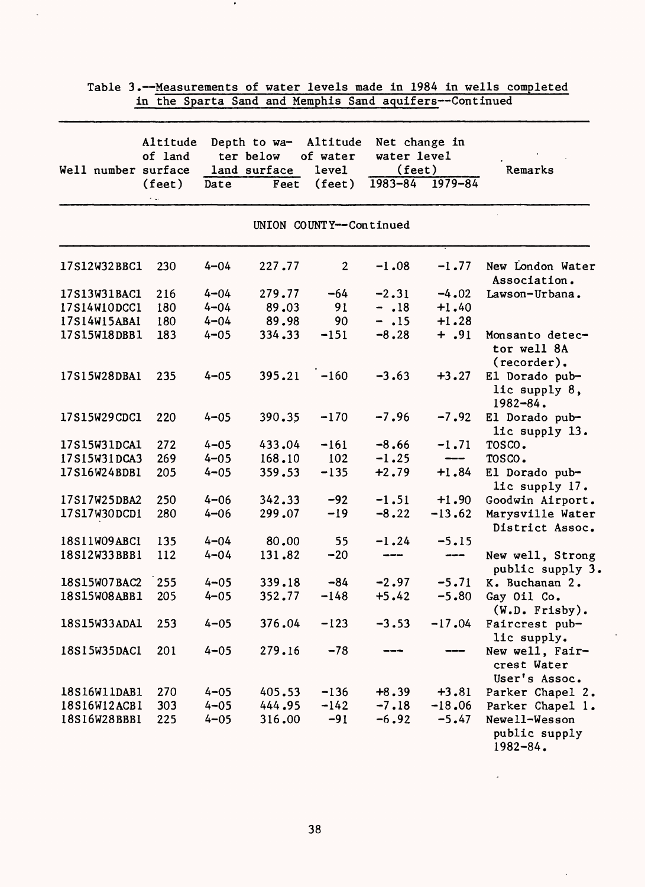|              | Altitude<br>of land                    |          | Depth to wa-<br>ter below | Altitude<br>of water    | Net change in<br>water level      |                                                                                                                                                                                                                                                                                                                                                                                                                                                                            |                                                 |
|--------------|----------------------------------------|----------|---------------------------|-------------------------|-----------------------------------|----------------------------------------------------------------------------------------------------------------------------------------------------------------------------------------------------------------------------------------------------------------------------------------------------------------------------------------------------------------------------------------------------------------------------------------------------------------------------|-------------------------------------------------|
|              | Well number surface<br>$(\text{feet})$ | Date     | land surface<br>Feet      | level<br>(feet)         | (feet)<br>$1983 - 84$ $1979 - 84$ |                                                                                                                                                                                                                                                                                                                                                                                                                                                                            | Remarks                                         |
|              |                                        |          |                           | UNION COUNTY--Continued |                                   |                                                                                                                                                                                                                                                                                                                                                                                                                                                                            |                                                 |
| 17S12W32BBC1 | 230                                    | $4 - 04$ | 227.77                    | $\mathbf{2}$            | $-1.08$                           | $-1.77$                                                                                                                                                                                                                                                                                                                                                                                                                                                                    | New London Water<br>Association.                |
| 17S13W31BAC1 | 216                                    | $4 - 04$ | 279.77                    | $-64$                   | $-2.31$                           | $-4.02$                                                                                                                                                                                                                                                                                                                                                                                                                                                                    | Lawson-Urbana.                                  |
| 17S14W10DCC1 | 180                                    | $4 - 04$ | 89.03                     | 91                      | $- .18$                           | $+1.40$                                                                                                                                                                                                                                                                                                                                                                                                                                                                    |                                                 |
| 17S14W15ABA1 | 180                                    | $4 - 04$ | 89.98                     | 90                      | $- .15$                           | $+1.28$                                                                                                                                                                                                                                                                                                                                                                                                                                                                    |                                                 |
| 17S15W18DBB1 | 183                                    | $4 - 05$ | 334.33                    | $-151$                  | $-8.28$                           | $+ .91$                                                                                                                                                                                                                                                                                                                                                                                                                                                                    | Monsanto detec-<br>tor well 8A<br>$(reorder)$ . |
| 17S15W28DBA1 | 235                                    | $4 - 05$ | 395.21                    | $-160$                  | $-3.63$                           | $+3.27$                                                                                                                                                                                                                                                                                                                                                                                                                                                                    | El Dorado pub-<br>lic supply 8,<br>$1982 - 84.$ |
| 17S15W29CDC1 | 220                                    | $4 - 05$ | 390.35                    | $-170$                  | $-7.96$                           | $-7.92$                                                                                                                                                                                                                                                                                                                                                                                                                                                                    | El Dorado pub-<br>lic supply 13.                |
| 17S15W31DCA1 | 272                                    | $4 - 05$ | 433.04                    | $-161$                  | $-8.66$                           | $-1.71$                                                                                                                                                                                                                                                                                                                                                                                                                                                                    | TOSCO.                                          |
| 17S15W31DCA3 | 269                                    | $4 - 05$ | 168.10                    | 102                     | $-1.25$                           | ---                                                                                                                                                                                                                                                                                                                                                                                                                                                                        | TOSCO.                                          |
| 17S16W24BDB1 | 205                                    | $4 - 05$ | 359.53                    | $-135$                  | $+2.79$                           | $+1.84$                                                                                                                                                                                                                                                                                                                                                                                                                                                                    | El Dorado pub-<br>lic supply 17.                |
| 17S17W25DBA2 | 250                                    | $4 - 06$ | 342.33                    | $-92$                   | $-1.51$                           | $+1.90$                                                                                                                                                                                                                                                                                                                                                                                                                                                                    | Goodwin Airport.                                |
| 17S17W30DCD1 | 280                                    | $4 - 06$ | 299.07                    | $-19$                   | $-8.22$                           | $-13.62$                                                                                                                                                                                                                                                                                                                                                                                                                                                                   | Marysville Water<br>District Assoc.             |
| 18S11W09ABC1 | 135                                    | $4 - 04$ | 80.00                     | 55                      | $-1.24$                           | $-5.15$                                                                                                                                                                                                                                                                                                                                                                                                                                                                    |                                                 |
| 18S12W33BBB1 | 112                                    | $4 - 04$ | 131.82                    | $-20$                   | ---                               | $\frac{1}{2} \left( \frac{1}{2} \right) \left( \frac{1}{2} \right) \left( \frac{1}{2} \right) \left( \frac{1}{2} \right) \left( \frac{1}{2} \right) \left( \frac{1}{2} \right) \left( \frac{1}{2} \right) \left( \frac{1}{2} \right) \left( \frac{1}{2} \right) \left( \frac{1}{2} \right) \left( \frac{1}{2} \right) \left( \frac{1}{2} \right) \left( \frac{1}{2} \right) \left( \frac{1}{2} \right) \left( \frac{1}{2} \right) \left( \frac{1}{2} \right) \left( \frac$ | New well, Strong<br>public supply 3.            |
| 18S15W07BAC2 | 255                                    | $4 - 05$ | 339.18                    | $-84$                   | $-2.97$                           | $-5.71$                                                                                                                                                                                                                                                                                                                                                                                                                                                                    | K. Buchanan 2.                                  |
| 18S15W08ABB1 | 205                                    | $4 - 05$ | 352.77                    | $-148$                  | $+5.42$                           | $-5.80$                                                                                                                                                                                                                                                                                                                                                                                                                                                                    | Gay Oil Co.<br>$(W.D.$ Frisby).                 |
| 18S15W33ADA1 | 253                                    | $4 - 05$ | 376.04                    | $-123$                  | $-3.53$                           | $-17.04$                                                                                                                                                                                                                                                                                                                                                                                                                                                                   | Faircrest pub-<br>lic supply.                   |
| 18S15W35DAC1 | 201                                    | $4 - 05$ | 279.16                    | $-78$                   |                                   |                                                                                                                                                                                                                                                                                                                                                                                                                                                                            | New well, Fair-<br>crest Water<br>User's Assoc. |
| 18S16W11DAB1 | 270                                    | $4 - 05$ | 405.53                    | $-136$                  | $+8.39$                           | $+3.81$                                                                                                                                                                                                                                                                                                                                                                                                                                                                    | Parker Chapel 2.                                |
| 18S16W12ACB1 | 303                                    | $4 - 05$ | 444.95                    | $-142$                  | $-7.18$                           | $-18.06$                                                                                                                                                                                                                                                                                                                                                                                                                                                                   | Parker Chapel 1.                                |
| 18S16W28BBB1 | 225                                    | $4 - 05$ | 316.00                    | $-91$                   | $-6.92$                           | $-5.47$                                                                                                                                                                                                                                                                                                                                                                                                                                                                    | Newell-Wesson<br>public supply<br>$1982 - 84.$  |

 $\bullet$ 

38

 $\tilde{\phantom{a}}$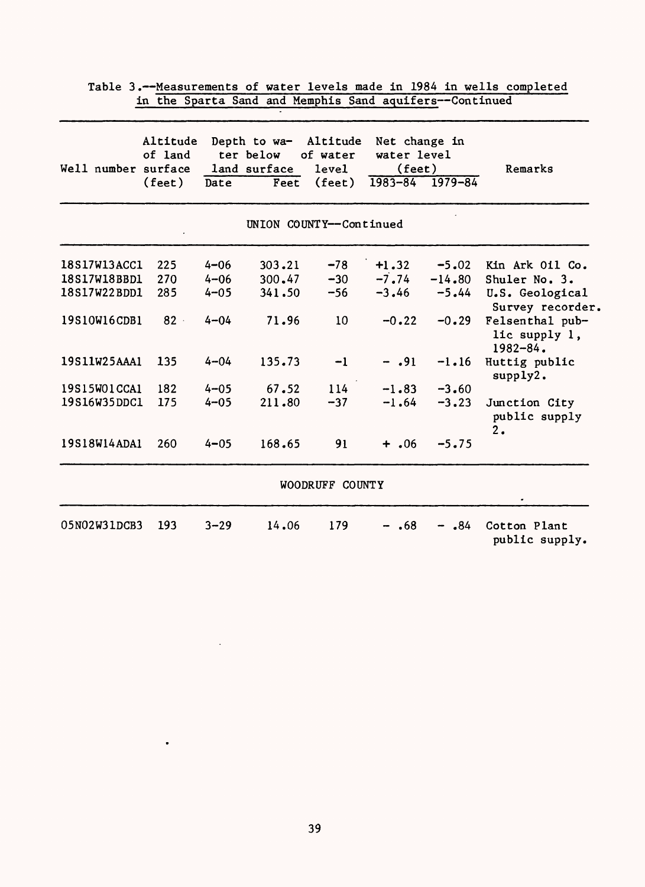|                     | Altitude<br>of land |          | Depth to wa-<br>ter below | Altitude<br>of water     | Net change in<br>water level |                         |                                                  |
|---------------------|---------------------|----------|---------------------------|--------------------------|------------------------------|-------------------------|--------------------------------------------------|
| Well number surface | $(\text{feet})$     | Date     | land surface<br>Feet      | level<br>$(\text{feet})$ | $(\text{feet})$              | $1983 - 84$ $1979 - 84$ | Remarks                                          |
|                     |                     |          |                           | UNION COUNTY--Continued  |                              |                         |                                                  |
| 18S17W13ACC1        | 225                 | $4 - 06$ | 303.21                    | $-78$                    | $+1.32$                      | $-5.02$                 | Kin Ark Oil Co.                                  |
| 18S17W18BBD1        | 270                 | $4 - 06$ | 300.47                    | $-30$                    | $-7.74$                      | $-14.80$                | Shuler No. 3.                                    |
| 18S17W22BDD1        | 285                 | $4 - 05$ | 341.50                    | $-56$                    | $-3.46$                      | $-5.44$                 | U.S. Geological<br>Survey recorder.              |
| 19S10W16CDB1        | $82 -$              | $4 - 04$ | 71.96                     | 10 <sup>°</sup>          | $-0.22$                      | $-0.29$                 | Felsenthal pub-<br>lic supply 1,<br>$1982 - 84.$ |
| 19S11W25AAA1        | 135                 | $4 - 04$ | 135.73                    | $-1$                     | $- .91$                      | $-1.16$                 | Huttig public<br>supply2.                        |
| 19S15W01CCA1        | 182                 | $4 - 05$ | 67.52                     | 114                      | $-1.83$                      | $-3.60$                 |                                                  |
| 19S16W35DDC1        | 175                 | $4 - 05$ | 211.80                    | $-37$                    | $-1.64$                      | $-3, 23$                | Junction City<br>public supply<br>2.             |
| 19S18W14ADA1        | 260                 | $4 - 05$ | 168.65                    | 91                       | $+ .06$                      | $-5.75$                 |                                                  |
|                     |                     |          |                           | WOODRUFF COUNTY          |                              |                         |                                                  |
| 05N02W31DCB3        | 193                 | $3 - 29$ | 14.06                     | 179                      | .68                          | .84                     | Cotton Plant<br>public supply.                   |

 $\bullet$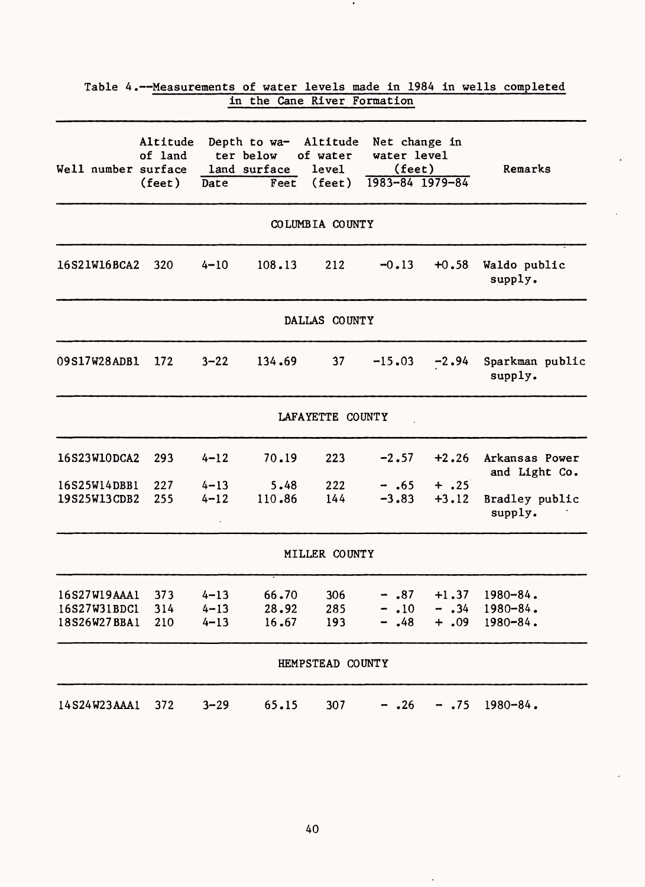|                                              |                                        |                                  | in the Cane River Formation                       |                                                         |                                                           |                               |                                                 |
|----------------------------------------------|----------------------------------------|----------------------------------|---------------------------------------------------|---------------------------------------------------------|-----------------------------------------------------------|-------------------------------|-------------------------------------------------|
| Well number surface                          | Altitude<br>of land<br>$(\text{feet})$ | Date                             | Depth to wa-<br>ter below<br>land surface<br>Feet | Altitude<br>of water<br><b>level</b><br>$(\text{feet})$ | Net change in<br>water level<br>(feet)<br>1983-84 1979-84 |                               | Remarks                                         |
|                                              |                                        |                                  |                                                   | COLUMBIA COUNTY                                         |                                                           |                               |                                                 |
| 16S21W16BCA2                                 | 320                                    | $4 - 10$                         | 108.13                                            | 212                                                     | $-0.13$                                                   | $+0.58$                       | Waldo public<br>supply.                         |
|                                              |                                        |                                  |                                                   | DALLAS COUNTY                                           |                                                           |                               |                                                 |
| 09S17W28ADB1                                 | 172                                    | $3 - 22$                         | 134.69                                            | 37                                                      | $-15.03$                                                  | $-2.94$                       | Sparkman public<br>supply.                      |
|                                              |                                        |                                  |                                                   | LAFAYETTE COUNTY                                        |                                                           |                               |                                                 |
| 16S23W10DCA2                                 | 293                                    | $4 - 12$                         | 70.19                                             | 223                                                     | $-2.57$                                                   | $+2.26$                       | Arkansas Power<br>and Light Co.                 |
| 16S25W14DBB1<br>19S25W13CDB2                 | 227<br>255                             | $4 - 13$<br>$4 - 12$             | 5.48<br>110.86                                    | 222<br>144                                              | $-.65$<br>$-3.83$                                         | $+$ .25<br>$+3.12$            | Bradley public<br>supply.                       |
|                                              |                                        |                                  |                                                   | MILLER COUNTY                                           |                                                           |                               |                                                 |
| 16S27W19AAA1<br>16S27W31BDC1<br>18S26W27BBA1 | 373<br>314<br>210                      | $4 - 13$<br>$4 - 13$<br>$4 - 13$ | 66.70<br>28.92<br>16.67                           | 306<br>285<br>193                                       | $-$ .87<br>$\cdot$ 10<br>.48                              | $+1.37$<br>$-$ .34<br>$+ .09$ | $1980 - 84$ .<br>$1980 - 84$ .<br>$1980 - 84$ . |
|                                              |                                        |                                  |                                                   | HEMPSTEAD COUNTY                                        |                                                           |                               |                                                 |
| 14S24W23AAA1                                 | 372                                    | $3 - 29$                         | 65.15                                             | 307                                                     | .26                                                       | .75                           | $1980 - 84$ .                                   |

# Table 4.--Measurements of water levels made in 1984 in wells completed

 $\bullet$ 

 $\ddot{\phantom{a}}$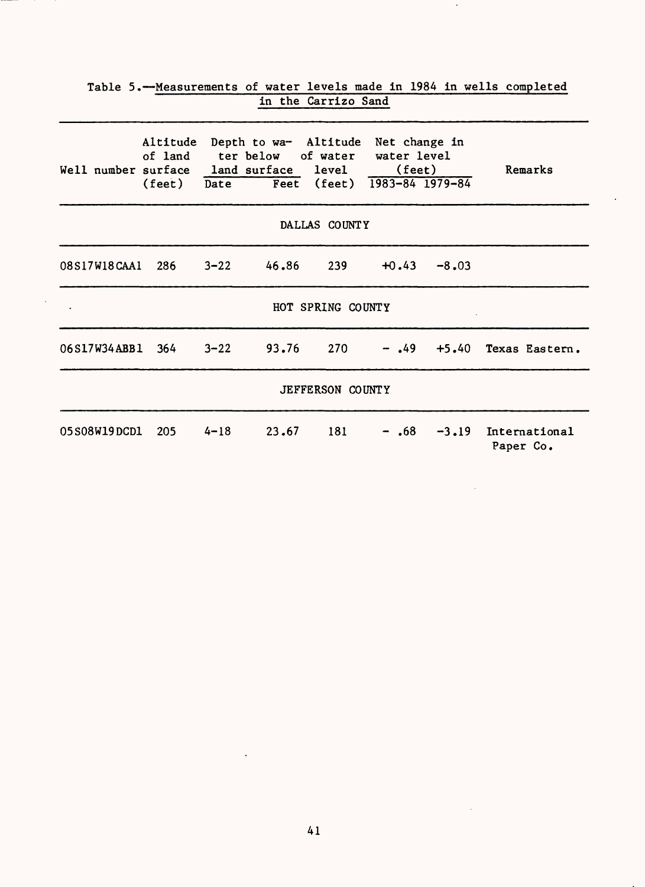| Well number surface land surface level |               | Altitude Depth to wa- Altitude Net change in<br>of land ter below of water water level<br>(feet) Date Feet (feet) 1983-84 1979-84 |                   | (feet)  |               | Remarks                            |
|----------------------------------------|---------------|-----------------------------------------------------------------------------------------------------------------------------------|-------------------|---------|---------------|------------------------------------|
|                                        |               |                                                                                                                                   | DALLAS COUNTY     |         |               |                                    |
| 08S17W18CAA1 286 3-22 46.86            |               |                                                                                                                                   | 239               |         | $+0.43 -8.03$ |                                    |
|                                        |               |                                                                                                                                   | HOT SPRING COUNTY |         |               |                                    |
| 06S17W34ABB1 364 3-22 93.76            |               |                                                                                                                                   | 270               |         |               | $-$ .49 +5.40 Texas Eastern.       |
|                                        |               |                                                                                                                                   | JEFFERSON COUNTY  |         |               |                                    |
| <b>05S08W19DCD1</b>                    | $205 \t 4-18$ | 23.67                                                                                                                             | 181               | $-$ .68 |               | $-3.19$ International<br>Paper Co. |

J.

# Table 5.--Measurements of water levels made in 1984 in wells completed in the Carrizo Sand

 $\overline{\phantom{a}}$ 

 $\mathbf{r}$ 

 $\ddot{\phantom{a}}$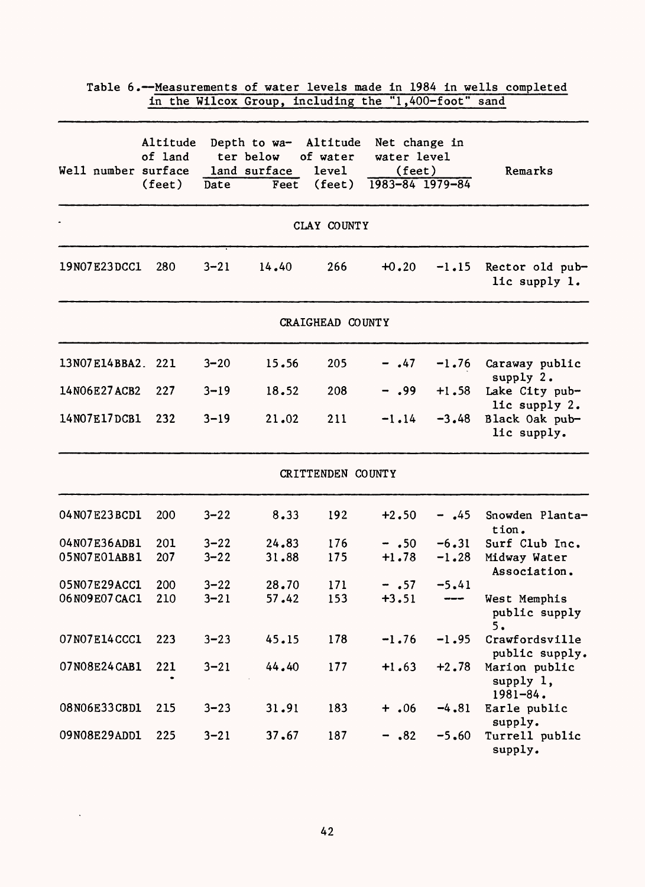|                     |                               |          | in the Wilcox Group, including the "1,400-foot" sand                     |                   |                                                            |          |                                                              |
|---------------------|-------------------------------|----------|--------------------------------------------------------------------------|-------------------|------------------------------------------------------------|----------|--------------------------------------------------------------|
| Well number surface | Altitude<br>of land<br>(feet) | Date     | Depth to wa- Altitude Net change in<br>ter below<br>land surface<br>Feet | of water<br>level | water level<br>$(\text{feet})$<br>$(feet)$ 1983-84 1979-84 |          | Remarks                                                      |
|                     |                               |          |                                                                          | CLAY COUNTY       |                                                            |          |                                                              |
| 19N07E23DCC1        | 280                           | $3 - 21$ | 14.40                                                                    | 266               | $+0.20$                                                    | $-1.15$  | Rector old pub-<br>lic supply 1.                             |
|                     |                               |          |                                                                          | CRAIGHEAD COUNTY  |                                                            |          |                                                              |
| 13N07E14BBA2.       | 221                           | $3 - 20$ | 15.56                                                                    | 205               | $- .47$                                                    |          | -1.76 Caraway public<br>supply 2.                            |
| 14N06E27ACB2        | 227                           | $3 - 19$ | 18.52                                                                    | 208               | $-$ .99                                                    | $+1.58$  | Lake City pub-                                               |
| 14N07E17DCB1        | 232                           | $3 - 19$ | 21.02                                                                    | 211               | $-1.14$                                                    | $-3.48$  | lic supply 2.<br>Black Oak pub-<br>lic supply.               |
|                     |                               |          |                                                                          | CRITTENDEN COUNTY |                                                            |          |                                                              |
| 04N07E23BCD1        | 200                           | $3 - 22$ | 8.33                                                                     | 192               | $+2.50$                                                    | $-$ ,45  | Snowden Planta-<br>tion.                                     |
| 04N07E36ADB1        | 201                           | $3 - 22$ | 24.83                                                                    | 176               | $- .50$                                                    | $-6.31$  | Surf Club Inc.                                               |
| 05N07E01ABB1        | 207                           | $3 - 22$ | 31.88                                                                    | 175               | $+1.78$                                                    | $-1.28$  | Midway Water<br>Association.                                 |
| 05N07E29ACC1        | 200                           | $3 - 22$ | 28.70                                                                    | 171               | $- .57$                                                    | $-5.41$  |                                                              |
| 06N09E07CAC1        | 210                           | $3 - 21$ | 57.42                                                                    | 153               | $+3.51$                                                    | $\cdots$ | West Memphis<br>public supply<br>5.                          |
| 07N07E14CCC1        | 223                           | $3 - 23$ | 45.15                                                                    | 178               | $-1.76$                                                    | $-1.95$  | Crawfordsville                                               |
| 07N08E24CAB1        | 221                           | $3 - 21$ | 44.40                                                                    | 177               | $+1.63$                                                    | $+2.78$  | public supply.<br>Marion public<br>supply 1,<br>$1981 - 84.$ |
| 08N06E33CBD1        | 215                           | $3 - 23$ | 31.91                                                                    | 183               | $+ .06$                                                    | $-4.81$  | Earle public<br>supply.                                      |
| 09N08E29ADD1        | 225                           | $3 - 21$ | 37.67                                                                    | 187               | $-$ .82                                                    | $-5.60$  | Turrell public<br>supply.                                    |

Table 6.--Measurements of water levels made in 1984 in wells completed

 $\sim$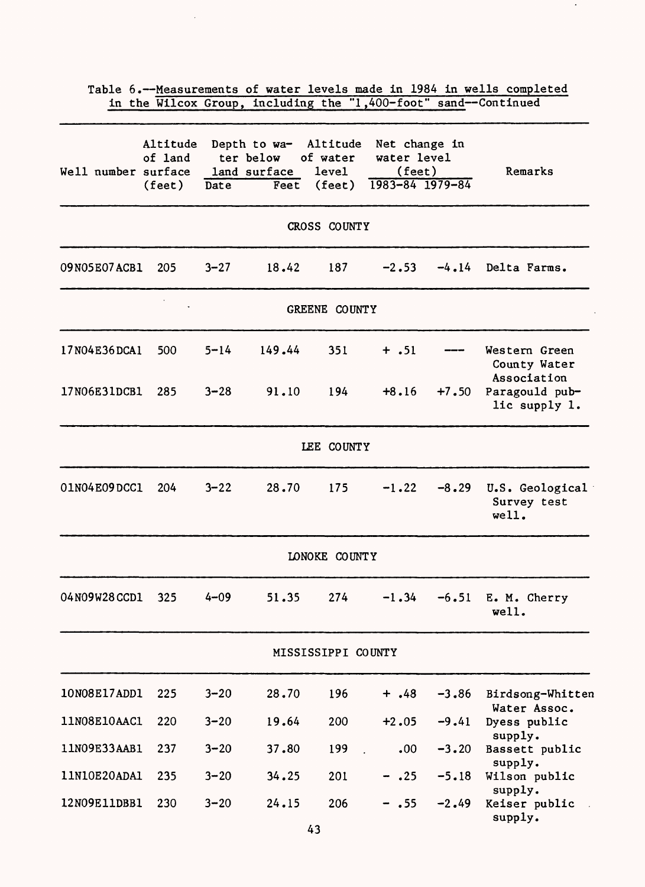|                     |                               |          | in the Wilcox Group, including the "1,400-foot" sand--Continued |                                             |                                                                   |         | Table 6.--Measurements of water levels made in 1984 in wells completed |
|---------------------|-------------------------------|----------|-----------------------------------------------------------------|---------------------------------------------|-------------------------------------------------------------------|---------|------------------------------------------------------------------------|
| Well number surface | Altitude<br>of land<br>(feet) | Date     | Depth to wa- Altitude<br>ter below<br>land surface<br>Feet      | of water<br><b>level</b><br>$(\text{feet})$ | Net change in<br>water level<br>(feet)<br>$1983 - 84$ $1979 - 84$ |         | Remarks                                                                |
|                     |                               |          |                                                                 | CROSS COUNTY                                |                                                                   |         |                                                                        |
| 09N05E07ACB1        | 205                           | $3 - 27$ | 18.42                                                           | 187                                         | $-2.53$                                                           | $-4.14$ | Delta Farms.                                                           |
|                     |                               |          |                                                                 | GREENE COUNTY                               |                                                                   |         |                                                                        |
| 17N04E36DCA1        | 500                           | $5 - 14$ | 149.44                                                          | 351                                         | $+ .51$                                                           |         | Western Green<br>County Water                                          |
| 17N06E31DCB1        | 285                           | $3 - 28$ | 91.10                                                           | 194                                         | $+8.16$                                                           | $+7.50$ | Association<br>Paragould pub-<br>lic supply 1.                         |
|                     |                               |          |                                                                 | LEE COUNTY                                  |                                                                   |         |                                                                        |
| 01N04E09DCC1        | 204                           | $3 - 22$ | 28.70                                                           | 175                                         | $-1.22$                                                           | $-8.29$ | U.S. Geological<br>Survey test<br>well.                                |
|                     |                               |          |                                                                 | LONOKE COUNTY                               |                                                                   |         |                                                                        |
| 04N09W28CCD1        | 325                           | $4 - 09$ | 51.35                                                           | 274                                         | $-1.34$                                                           | $-6.51$ | E. M. Cherry<br>well.                                                  |
|                     |                               |          |                                                                 | MISSISSIPPI COUNTY                          |                                                                   |         |                                                                        |
| 10N08E17ADD1        | 225                           | $3 - 20$ | 28.70                                                           | 196                                         | $+ .48$                                                           | $-3.86$ | Birdsong-Whitten<br>Water Assoc.                                       |
| 11N08E10AAC1        | 220                           | $3 - 20$ | 19.64                                                           | 200                                         | $+2.05$                                                           | $-9.41$ | Dyess public                                                           |
| 11N09E33AAB1        | 237                           | $3 - 20$ | 37.80                                                           | 199                                         | .00                                                               | $-3.20$ | supply.<br>Bassett public                                              |
| 11N10E20ADA1        | 235                           | $3 - 20$ | 34.25                                                           | 201                                         | .25                                                               | $-5.18$ | supply.<br>Wilson public                                               |
| 12N09E11DBB1        | 230                           | $3 - 20$ | 24.15                                                           | 206                                         | .55                                                               | $-2.49$ | supply.<br>Keiser public<br>supply.                                    |

 $\sim$ 

 $\langle \cdot \rangle$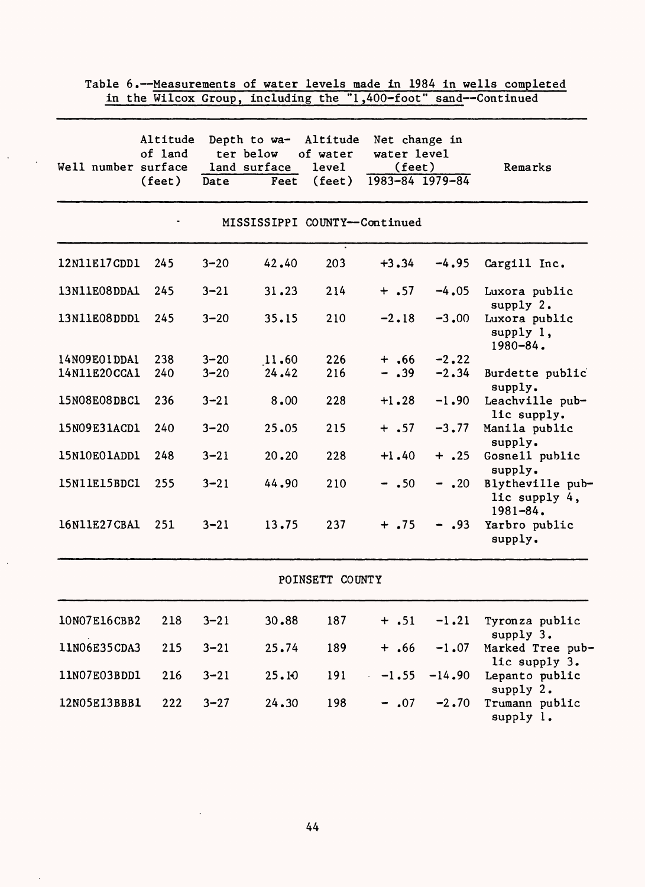|              | Altitude<br>of land<br>Well number surface<br>$(\text{feet})$ | Date     | Depth to wa-<br>ter below<br>land surface<br>Feet | Altitude<br>of water<br>level<br>(feet) | Net change in<br>water level<br>(feet)<br>1983-84 1979-84 |          | Remarks                                        |
|--------------|---------------------------------------------------------------|----------|---------------------------------------------------|-----------------------------------------|-----------------------------------------------------------|----------|------------------------------------------------|
|              |                                                               |          |                                                   | MISSISSIPPI COUNTY--Continued           |                                                           |          |                                                |
| 12N11E17CDD1 | 245                                                           | $3 - 20$ | 42.40                                             | 203                                     | $+3.34$                                                   | $-4.95$  | Cargill Inc.                                   |
| 13N11E08DDA1 | 245                                                           | $3 - 21$ | 31.23                                             | 214                                     | $+ .57$                                                   | $-4.05$  | Luxora public<br>supply 2.                     |
| 13N11E08DDD1 | 245                                                           | $3 - 20$ | 35.15                                             | 210                                     | $-2.18$                                                   | $-3,00$  | Luxora public<br>supply 1,<br>1980-84.         |
| 14N09E01DDA1 | 238                                                           | $3 - 20$ | 11.60                                             | 226                                     | $+$ .66                                                   | $-2.22$  |                                                |
| 14N11E20CCA1 | 240                                                           | $3 - 20$ | 24.42                                             | 216                                     | $- .39$                                                   | $-2.34$  | Burdette public<br>supply.                     |
| 15N08E08DBC1 | 236                                                           | $3 - 21$ | 8.00                                              | 228                                     | $+1.28$                                                   | $-1.90$  | Leachville pub-<br>lic supply.                 |
| 15N09E31ACD1 | 240                                                           | $3 - 20$ | 25.05                                             | 215                                     | $+ .57$                                                   | $-3, 77$ | Manila public<br>supply.                       |
| 15N10E01ADD1 | 248                                                           | $3 - 21$ | 20.20                                             | 228                                     | $+1.40$                                                   | $+$ .25  | Gosnell public<br>supply.                      |
| 15N11E15BDC1 | 255                                                           | $3 - 21$ | 44.90                                             | 210                                     | $- .50$                                                   | $-$ .20  | Blytheville pub-<br>lic supply 4,<br>1981-84.  |
| 16N11E27CBA1 | 251                                                           | $3 - 21$ | 13.75                                             | 237                                     | $+ .75$                                                   | $-$ .93  | Yarbro public<br>supply.                       |
|              |                                                               |          |                                                   | POINSETT COUNTY                         |                                                           |          |                                                |
| 10N07E16CBB2 | 218                                                           | $3 - 21$ | 30.88                                             | 187                                     | $+ .51$                                                   | $-1.21$  | Tyronza public                                 |
| 11N06E35CDA3 | 215                                                           | $3 - 21$ | 25.74                                             | 189                                     | $+ .66$                                                   | $-1.07$  | supply 3.<br>Marked Tree pub-<br>lic supply 3. |
| 11N07E03BDD1 | 216                                                           | $3 - 21$ | 25.10                                             | 191                                     | $-1.55$                                                   | $-14.90$ | Lepanto public<br>supply 2.                    |
| 12N05E13BBB1 | 222                                                           | $3 - 27$ | 24.30                                             | 198                                     | $-.07$                                                    | $-2.70$  | Trumann public<br>supply 1.                    |

Table 6.--Measurements of water levels made in 1984 in wells completed<br>in the Wilcox Group, including the "1,400-foot" sand--Continued

 $\Delta \sim 10$ 

 $\bar{z}$ 

 $\cdot$ 

 $\bar{a}$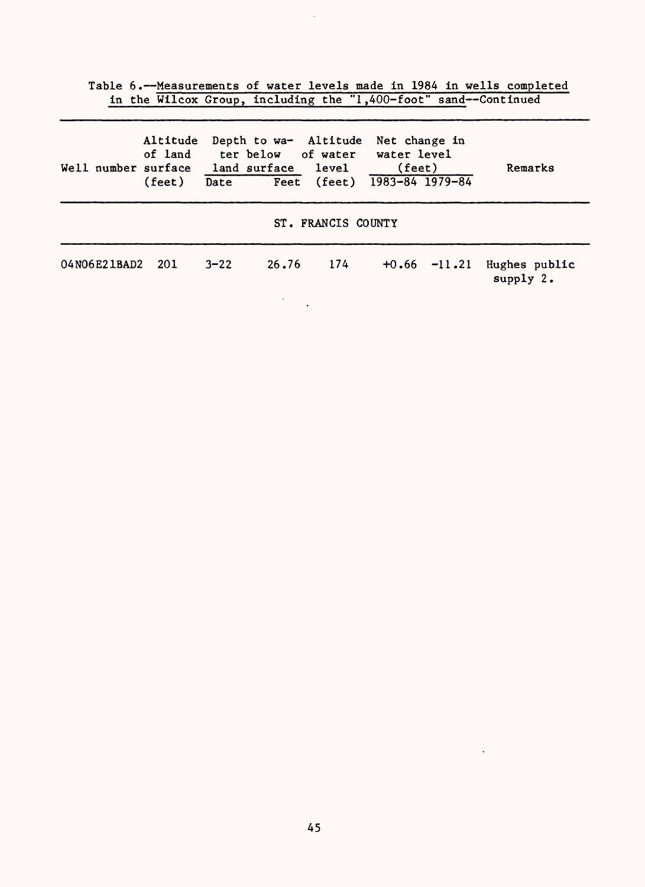Table 6.--Measurements of water levels made in 1984 in wells completed in the Wilcox Group, including the "1,400-foot" sand--Continued

| Well number surface | (feet) |          |       | Altitude Depth to wa- Altitude Net change in<br>of land ter below of water water level<br>land surface level<br>Date Feet (feet) 1983-84 1979-84 | (feet)           | Remarks                      |
|---------------------|--------|----------|-------|--------------------------------------------------------------------------------------------------------------------------------------------------|------------------|------------------------------|
|                     |        |          |       | ST. FRANCIS COUNTY                                                                                                                               |                  |                              |
| 04N06E21BAD2 201    |        | $3 - 22$ | 26.76 | 174                                                                                                                                              | $+0.66$ $-11.21$ | Hughes public<br>supply $2.$ |

 $\ddot{\phantom{a}}$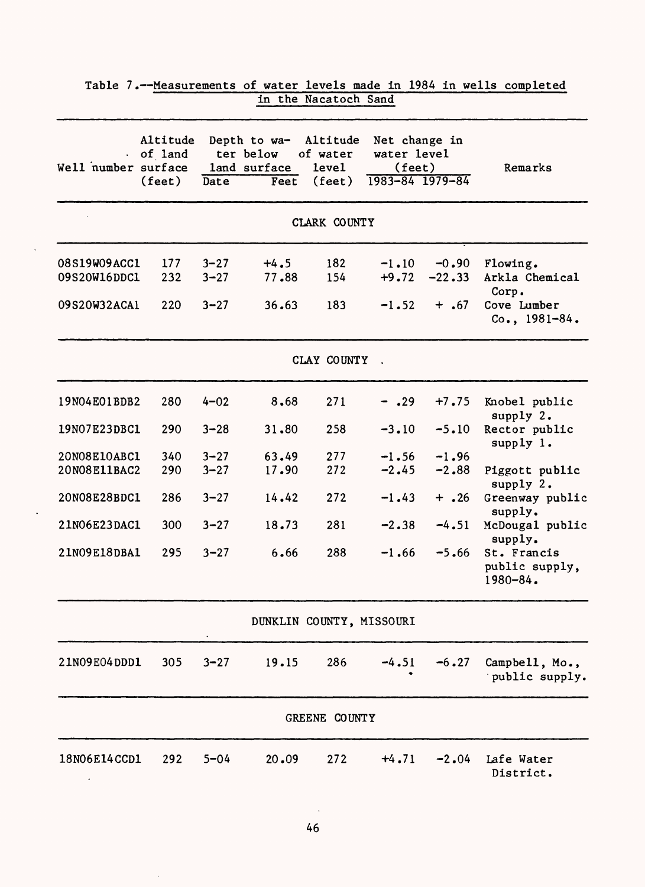| Well number surface          | Altitude<br>of land<br>$(\text{feet})$ | Date                 | Depth to wa-<br>ter below<br>land surface<br>Feet | Altitude<br>of water<br>level<br>$(\text{feet})$ | Net change in<br>water level<br>$(\text{feet})$<br>1983-84 1979-84 |                     | Remarks                                                   |
|------------------------------|----------------------------------------|----------------------|---------------------------------------------------|--------------------------------------------------|--------------------------------------------------------------------|---------------------|-----------------------------------------------------------|
|                              |                                        |                      |                                                   |                                                  |                                                                    |                     |                                                           |
|                              |                                        |                      |                                                   | CLARK COUNTY                                     |                                                                    |                     |                                                           |
| 08S19W09ACC1<br>09S20W16DDC1 | 177<br>232                             | $3 - 27$<br>$3 - 27$ | $+4.5$<br>77.88                                   | 182<br>154                                       | $-1.10$<br>$+9.72$                                                 | $-0.90$<br>$-22.33$ | Flowing.<br>Arkla Chemical<br>Corp.                       |
| 09S20W32ACA1                 | 220                                    | $3 - 27$             | 36.63                                             | 183                                              | $-1.52$                                                            | $+$ .67             | Cove Lumber<br>$Co., 1981-84.$                            |
|                              |                                        |                      |                                                   | CLAY COUNTY                                      |                                                                    |                     |                                                           |
| 19N04E01BDB2                 | 280                                    | $4 - 02$             | 8.68                                              | 271                                              | $- .29$                                                            | $+7.75$             | Knobel public<br>supply 2.                                |
| 19N07E23DBC1                 | 290                                    | $3 - 28$             | 31.80                                             | 258                                              | $-3.10$                                                            | $-5.10$             | Rector public<br>supply 1.                                |
| 20N08E10ABC1                 | 340                                    | $3 - 27$             | 63.49                                             | 277                                              | $-1.56$                                                            | $-1.96$             |                                                           |
| 20N08E11BAC2                 | 290                                    | $3 - 27$             | 17.90                                             | 272                                              | $-2.45$                                                            | $-2.88$             | Piggott public<br>supply $2.$                             |
| 20N08E28BDC1                 | 286                                    | $3 - 27$             | 14.42                                             | 272                                              | $-1.43$                                                            | $+$ .26             | Greenway public<br>supply.                                |
| 21N06E23DAC1                 | 300                                    | $3 - 27$             | 18.73                                             | 281                                              | $-2.38$                                                            | $-4.51$             | McDougal public                                           |
| 21N09E18DBA1                 | 295                                    | $3 - 27$             | 6.66                                              | 288                                              | $-1.66$                                                            | $-5.66$             | supply.<br>St. Francis<br>public supply,<br>$1980 - 84$ . |
|                              |                                        |                      |                                                   | DUNKLIN COUNTY, MISSOURI                         |                                                                    |                     |                                                           |
| 21N09E04DDD1                 | 305                                    | $3 - 27$             | 19.15                                             | 286                                              | $-4.51$                                                            | $-6.27$             | Campbell, Mo.,<br>public supply.                          |
|                              |                                        |                      |                                                   | GREENE COUNTY                                    |                                                                    |                     |                                                           |
| 18N06E14CCD1                 | 292                                    | $5 - 04$             | 20.09                                             | 272                                              | $+4.71$                                                            | $-2.04$             | Lafe Water<br>District.                                   |

| Table 7.--Measurements of water levels made in 1984 in wells completed |  |                      |  |  |  |
|------------------------------------------------------------------------|--|----------------------|--|--|--|
|                                                                        |  | in the Nacatoch Sand |  |  |  |

 $\ddot{\phantom{a}}$ 

 $\ddot{\phantom{0}}$ 

 $\bar{\mathcal{A}}$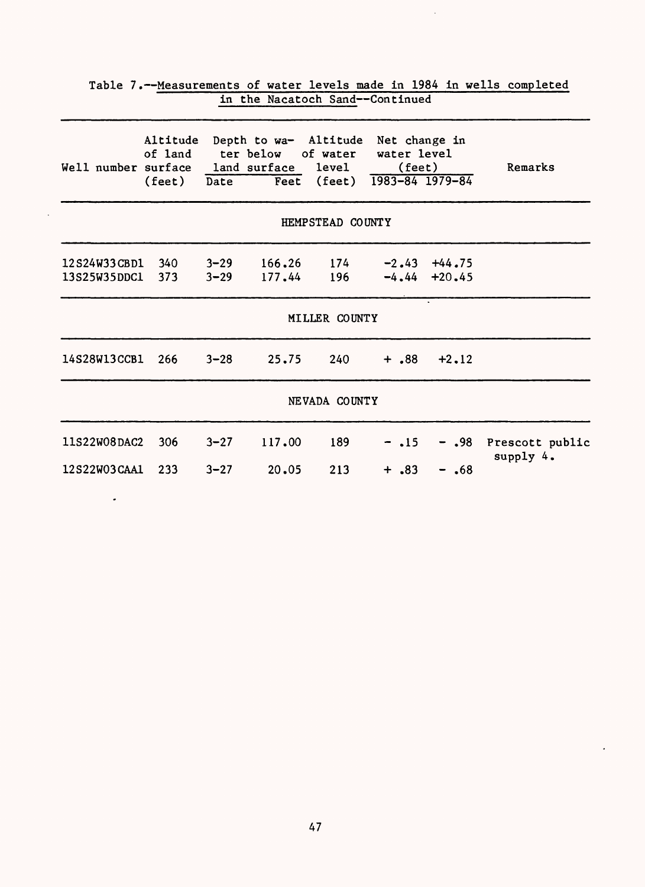| Well number surface land surface level (feet)                            |          | Altitude Depth to wa- Altitude Net change in<br>of land ter below of water water level<br>(feet) Date Feet (feet) 1983-84 1979-84 |                  |                           |        | Remarks                                   |
|--------------------------------------------------------------------------|----------|-----------------------------------------------------------------------------------------------------------------------------------|------------------|---------------------------|--------|-------------------------------------------|
|                                                                          |          |                                                                                                                                   | HEMPSTEAD COUNTY |                           |        |                                           |
| $12S24W33CBD1$ 340 3-29 166.26 174 -2.43 +44.75<br>13S25W35DDC1 373 3-29 |          |                                                                                                                                   |                  | $177.44$ 196 -4.44 +20.45 |        |                                           |
|                                                                          |          |                                                                                                                                   | MILLER COUNTY    |                           |        |                                           |
| 14S28W13CCB1 266 3-28 25.75                                              |          |                                                                                                                                   |                  | $240 + .88 + 2.12$        |        |                                           |
|                                                                          |          |                                                                                                                                   | NEVADA COUNTY    |                           |        |                                           |
| 11S22W08DAC2 306                                                         | $3 - 27$ | 117.00                                                                                                                            | 189              |                           |        | $-15 - 0.98$ Prescott public<br>supply 4. |
| 12S22W03CAA1 233                                                         |          | $3 - 27$ 20.05                                                                                                                    | 213              | $+$ .83                   | $-.68$ |                                           |

 $\ddot{\phantom{a}}$ 

 $\cdot$ 

| Table 7.--Measurements of water levels made in 1984 in wells completed |  |                                 |  |  |  |
|------------------------------------------------------------------------|--|---------------------------------|--|--|--|
|                                                                        |  | in the Nacatoch Sand--Continued |  |  |  |

 $\ddot{\phantom{0}}$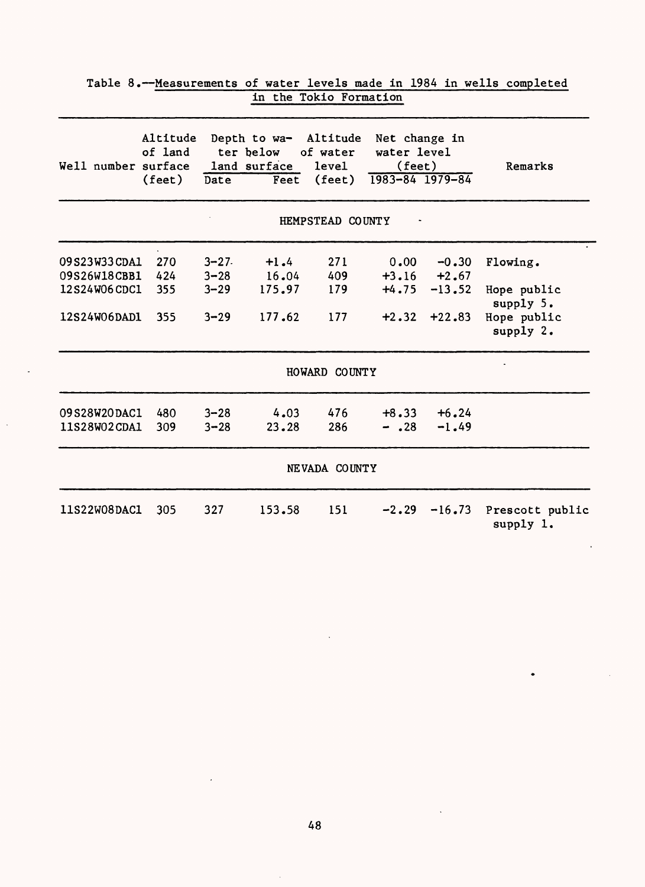| Well number surface | Altitude<br>of land<br>(feet) | Date     | Depth to wa- Altitude<br>ter below<br>land surface<br>Feet | of water<br><b>level</b><br>$(\text{feet})$ | Net change in<br>water level<br>(fect)<br>1983-84 1979-84 |          | Remarks                      |
|---------------------|-------------------------------|----------|------------------------------------------------------------|---------------------------------------------|-----------------------------------------------------------|----------|------------------------------|
|                     |                               |          |                                                            | HEMPSTEAD COUNTY                            |                                                           |          |                              |
| 09S23W33CDA1        | 270                           | $3 - 27$ | $+1.4$                                                     | 271                                         | 0.00                                                      | $-0.30$  | Flowing.                     |
| 09S26W18CBB1        | 424                           | $3 - 28$ | 16.04                                                      | 409                                         | $+3.16$                                                   | $+2.67$  |                              |
| 12S24W06CDC1        | 355                           | $3 - 29$ | 175.97                                                     | 179                                         | $+4.75$                                                   | $-13.52$ | Hope public<br>supply 5.     |
| 12S24W06DAD1        | 355                           | $3 - 29$ | 177.62                                                     | 177                                         | $+2.32$                                                   | $+22.83$ | Hope public<br>supply 2.     |
|                     |                               |          |                                                            | HOWARD COUNTY                               |                                                           |          |                              |
| 09S28W20DAC1        | 480                           | $3 - 28$ | 4.03                                                       | 476                                         | $+8.33$                                                   | $+6.24$  |                              |
| 11S28W02CDA1        | 309                           | $3 - 28$ | 23.28                                                      | 286                                         | $- .28$                                                   | $-1.49$  |                              |
|                     |                               |          |                                                            | NEVADA COUNTY                               |                                                           |          |                              |
| 11S22W08DAC1        | 305                           | 327      | 153.58                                                     | 151                                         | $-2.29$                                                   | $-16.73$ | Prescott public<br>supply 1. |

| Table 8.--Measurements of water levels made in 1984 in wells completed |  |                        |  |  |  |
|------------------------------------------------------------------------|--|------------------------|--|--|--|
|                                                                        |  | in the Tokio Formation |  |  |  |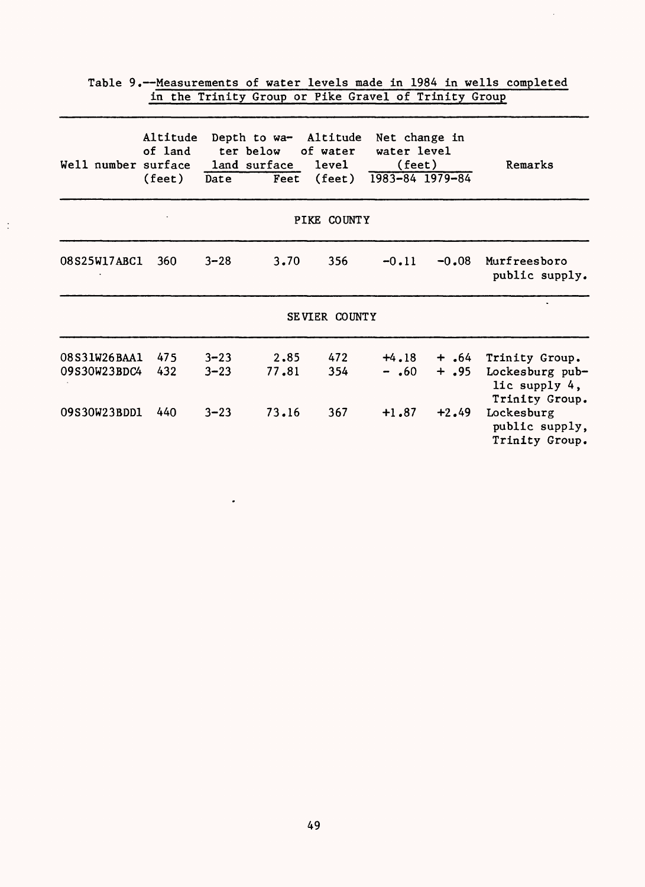|                                              |                               |                                  | $\frac{1}{2}$                                      |                                                    |                                        |                               |                                                                                    |
|----------------------------------------------|-------------------------------|----------------------------------|----------------------------------------------------|----------------------------------------------------|----------------------------------------|-------------------------------|------------------------------------------------------------------------------------|
| Well number surface                          | Altitude<br>of land<br>(feet) | Date                             | Depth to wa- Altitude<br>ter below<br>land surface | of water<br>level<br>Feet (feet) $1983-84$ 1979-84 | Net change in<br>water level<br>(feet) |                               | Remarks                                                                            |
|                                              |                               |                                  |                                                    | PIKE COUNTY                                        |                                        |                               |                                                                                    |
| 08S25W17ABC1                                 | 360                           | $3 - 28$                         | 3.70                                               | 356                                                | $-0.11$                                | $-0.08$                       | Murfreesboro<br>public supply.                                                     |
|                                              |                               |                                  |                                                    | SEVIER COUNTY                                      |                                        |                               |                                                                                    |
| 08S31W26BAA1<br>09S30W23BDC4<br>09S30W23BDD1 | 475<br>432<br>440             | $3 - 23$<br>$3 - 23$<br>$3 - 23$ | 2.85<br>77.81<br>73.16                             | 472<br>354<br>367                                  | $+4.18$<br>$-$ .60<br>$+1.87$          | $+ .64$<br>$+$ .95<br>$+2.49$ | Trinity Group.<br>Lockesburg pub-<br>lic supply 4,<br>Trinity Group.<br>Lockesburg |
|                                              |                               |                                  |                                                    |                                                    |                                        |                               | public supply,<br>Trinity Group.                                                   |

 $\mathcal{A}$ 

 $\langle \cdot \rangle$ 

 $\mathcal{A}^{\mathcal{A}}$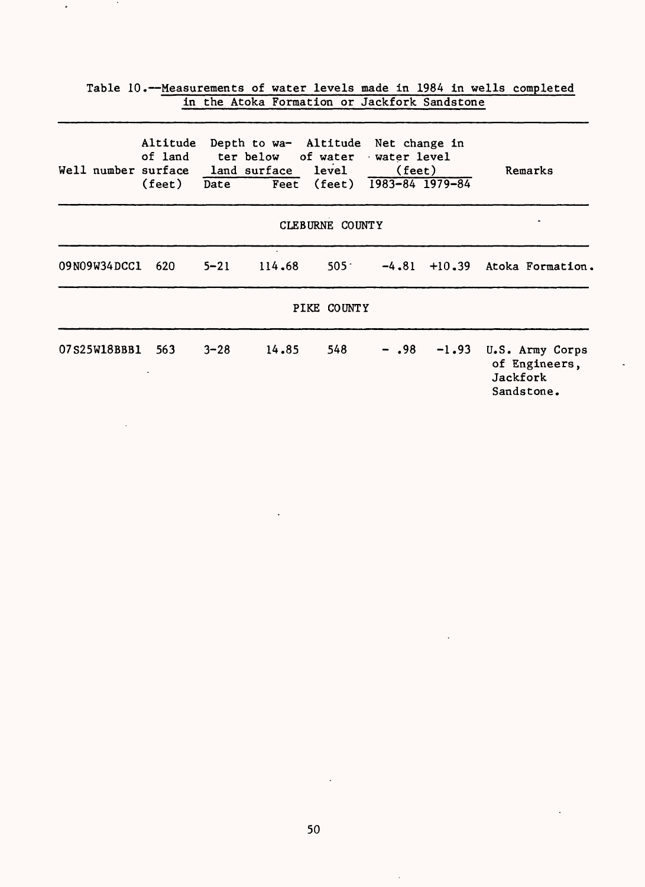|                                               |             |          | Table 10.--Measurements of water levels made in 1984 in wells completed                |                 |                             |         |                                                            |
|-----------------------------------------------|-------------|----------|----------------------------------------------------------------------------------------|-----------------|-----------------------------|---------|------------------------------------------------------------|
|                                               |             |          | in the Atoka Formation or Jackfork Sandstone                                           |                 |                             |         |                                                            |
| Well number surface land surface level (feet) | (feet) Date |          | Altitude Depth to wa- Altitude Net change in<br>of land ter below of water water level |                 | Feet (feet) 1983-84 1979-84 |         | Remarks                                                    |
|                                               |             |          |                                                                                        | CLEBURNE COUNTY |                             |         |                                                            |
| 09N09W34DCC1 620                              |             | $5 - 21$ | 114.68                                                                                 |                 |                             |         | 505 $-4.81 + 10.39$ Atoka Formation.                       |
|                                               |             |          |                                                                                        | PIKE COUNTY     |                             |         |                                                            |
| 07S25W18BBB1 563                              |             | $3 - 28$ | 14.85                                                                                  | 548             | - .98                       | $-1.93$ | U.S. Army Corps<br>of Engineers,<br>Jackfork<br>Sandstone. |

 $\tilde{\boldsymbol{\theta}}$ 

 $\sim 100$ 

 $\mathcal{L}$ 

 $\bar{z}$ 

 $\ddot{\phantom{1}}$ 

 $\ddot{\phantom{a}}$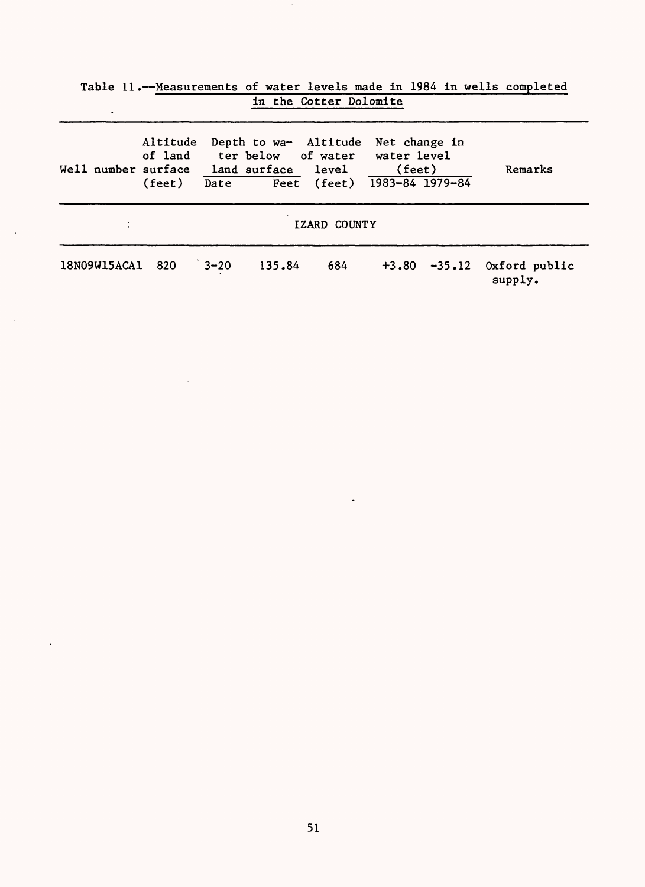| ٠                   | labic II.- Heasulements of water levels made in 1904 in wells completed<br>in the Cotter Dolomite |          |        |                                                                                                                               |               |  |                                           |  |  |  |  |  |
|---------------------|---------------------------------------------------------------------------------------------------|----------|--------|-------------------------------------------------------------------------------------------------------------------------------|---------------|--|-------------------------------------------|--|--|--|--|--|
| Well number surface | Altitude<br>(feet)                                                                                | Date     |        | Depth to wa- Altitude<br>of land ter below of water water level<br>land surface level (feet)<br>Feet (feet) $1983-84$ 1979-84 | Net change in |  | Remarks                                   |  |  |  |  |  |
|                     |                                                                                                   |          |        | IZARD COUNTY                                                                                                                  |               |  |                                           |  |  |  |  |  |
| 18N09W15ACA1        | 820                                                                                               | $3 - 20$ | 135.84 | 684                                                                                                                           |               |  | $+3.80$ $-35.12$ Oxford public<br>supply. |  |  |  |  |  |

 $\blacksquare$ 

 $\ddot{\phantom{a}}$ 

 $\ddot{\phantom{a}}$ 

 $\sim$ 

 $\ddot{\phantom{a}}$ 

| Table 11.--Measurements of water levels made in 1984 in wells completed |  |                        |  |  |  |  |
|-------------------------------------------------------------------------|--|------------------------|--|--|--|--|
|                                                                         |  | in the Cotter Dolomite |  |  |  |  |

 $\sim$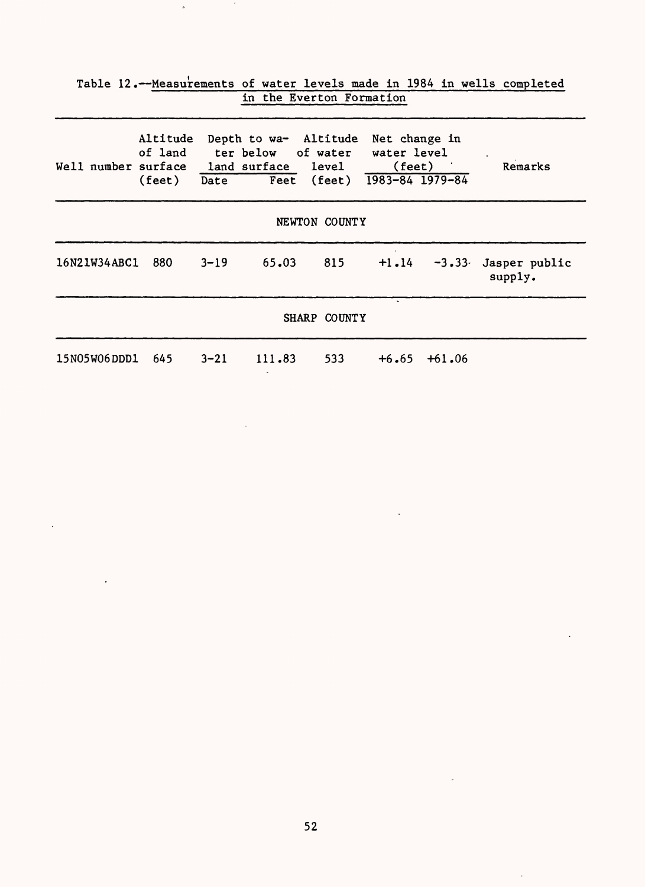| Table 12.-Measurements of water levels made in 1984 in wells completed<br>in the Everton Formation |       |          |                                                                                                                                   |     |  |                  |                                        |  |  |  |  |
|----------------------------------------------------------------------------------------------------|-------|----------|-----------------------------------------------------------------------------------------------------------------------------------|-----|--|------------------|----------------------------------------|--|--|--|--|
| Well number surface land surface level (feet)                                                      |       |          | Altitude Depth to wa- Altitude Net change in<br>of land ter below of water water level<br>(feet) Date Feet (feet) 1983-84 1979-84 |     |  |                  | Remarks                                |  |  |  |  |
| NEWTON COUNTY                                                                                      |       |          |                                                                                                                                   |     |  |                  |                                        |  |  |  |  |
| 16N21W34ABC1                                                                                       | - 880 | $3 - 19$ | 65.03                                                                                                                             | 815 |  |                  | $+1.14$ -3.33 Jasper public<br>supply. |  |  |  |  |
| SHARP COUNTY                                                                                       |       |          |                                                                                                                                   |     |  |                  |                                        |  |  |  |  |
| 15N05W06DDD1 645                                                                                   |       | $3 - 21$ | 111.83                                                                                                                            | 533 |  | $+6.65$ $+61.06$ |                                        |  |  |  |  |

 $\ddot{\phantom{a}}$ 

 $\mathcal{A}$ 

 $\downarrow$ 

 $\ddot{\phantom{a}}$ 

 $\bar{\beta}$ 

 $\ddot{\phantom{a}}$ 

 $\epsilon$ 

 $\mathcal{L}_{\text{max}}$  and  $\mathcal{L}_{\text{max}}$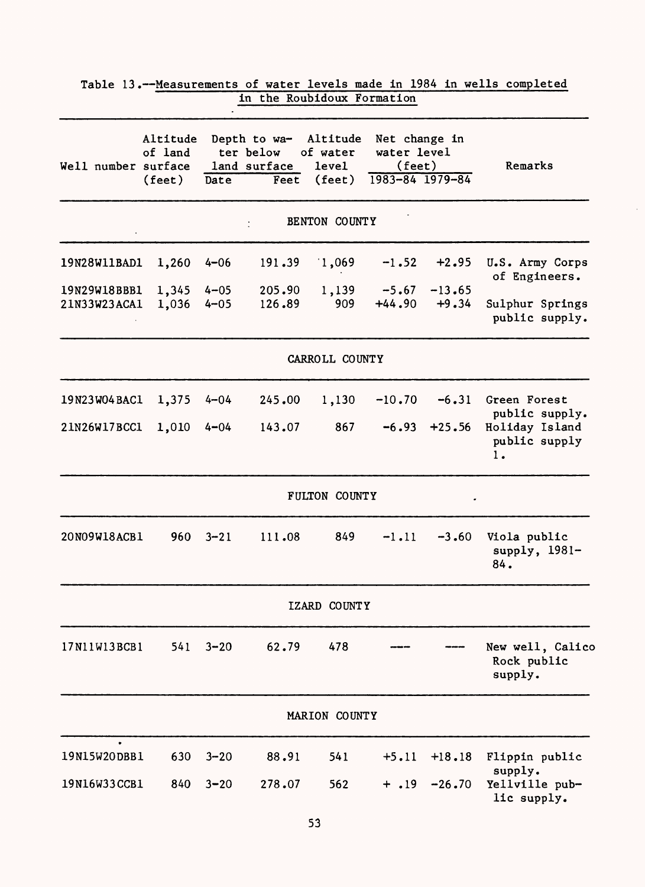|                              |                                        |                      |                                                   | in the Roubidoux Formation                              |                                                                    |                     |                                            |
|------------------------------|----------------------------------------|----------------------|---------------------------------------------------|---------------------------------------------------------|--------------------------------------------------------------------|---------------------|--------------------------------------------|
| Well number surface          | Altitude<br>of land<br>$(\text{feet})$ | Date                 | Depth to wa-<br>ter below<br>land surface<br>Feet | Altitude<br>of water<br><b>level</b><br>$(\text{feet})$ | Net change in<br>water level<br>$(\text{feet})$<br>1983-84 1979-84 |                     | Remarks                                    |
|                              |                                        |                      |                                                   | BENTON COUNTY                                           |                                                                    |                     |                                            |
| 19N28W11BAD1                 | 1,260                                  | $4 - 06$             | 191.39                                            | 1,069                                                   | $-1.52$                                                            | $+2.95$             | U.S. Army Corps<br>of Engineers.           |
| 19N29W18BBB1<br>21N33W23ACA1 | 1,345<br>1,036                         | $4 - 05$<br>$4 - 05$ | 205.90<br>126.89                                  | 1,139<br>909                                            | $-5.67$<br>$+44.90$                                                | $-13.65$<br>$+9.34$ | Sulphur Springs<br>public supply.          |
|                              |                                        |                      |                                                   | CARROLL COUNTY                                          |                                                                    |                     |                                            |
| 19N23W04BAC1                 | 1,375                                  | $4 - 04$             | 245.00                                            | 1,130                                                   | $-10.70$                                                           | $-6.31$             | Green Forest<br>public supply.             |
| 21N26W17BCC1                 | 1,010                                  | $4 - 04$             | 143.07                                            | 867                                                     | $-6.93$                                                            | $+25.56$            | Holiday Island<br>public supply<br>1.      |
|                              |                                        |                      |                                                   | <b>FULTON COUNTY</b>                                    |                                                                    |                     |                                            |
| 20N09W18ACB1                 | 960                                    | $3 - 21$             | 111.08                                            | 849                                                     | $-1.11$                                                            | $-3.60$             | Viola public<br>supply, $1981-$<br>84.     |
|                              |                                        |                      |                                                   | IZARD COUNTY                                            |                                                                    |                     |                                            |
| 17N11W13BCB1                 | 541                                    | $3 - 20$             | 62.79                                             | 478                                                     |                                                                    |                     | New well, Calico<br>Rock public<br>supply. |
|                              |                                        |                      |                                                   | MARION COUNTY                                           |                                                                    |                     |                                            |
| ٠<br>19N15W20DBB1            | 630                                    | $3 - 20$             | 88.91                                             | 541                                                     | $+5.11$                                                            | $+18.18$            | Flippin public<br>supply.                  |
| 19N16W33CCB1                 | 840                                    | $3 - 20$             | 278.07                                            | 562                                                     | $+ .19$                                                            | $-26.70$            | Yellville pub-<br>lic supply.              |

Table 13.--Measurements of water levels made in 1984 in wells completed

 $\hat{\boldsymbol{\beta}}$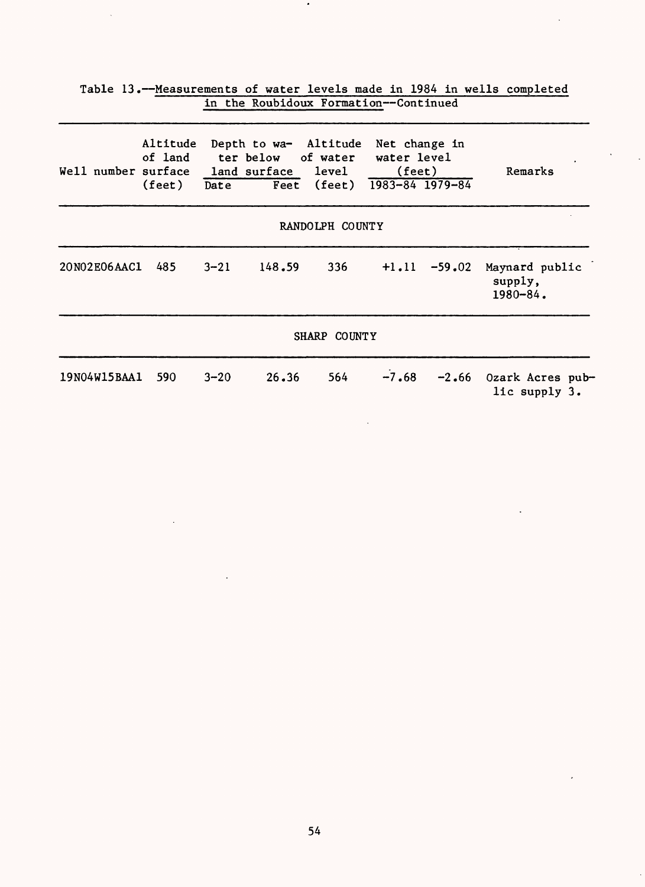|                                        |                               |          |                 | in the Roubidoux Formation--Continued                            |                                                 |          |                                            |
|----------------------------------------|-------------------------------|----------|-----------------|------------------------------------------------------------------|-------------------------------------------------|----------|--------------------------------------------|
| Well number surface land surface level | Altitude<br>of land<br>(feet) | Date     | ter below       | Depth to wa- Altitude<br>of water<br>Feet (feet) 1983-84 1979-84 | Net change in<br>water level<br>$(\text{feet})$ |          | Remarks                                    |
|                                        |                               |          | RANDOLPH COUNTY |                                                                  |                                                 |          |                                            |
| 20N02E06AAC1                           | 485                           | $3 - 21$ | 148.59          | 336                                                              | $+1.11$                                         | $-59.02$ | Maynard public<br>supply,<br>$1980 - 84$ . |
|                                        |                               |          |                 | SHARP COUNTY                                                     |                                                 |          |                                            |
| 19N04W15BAA1                           | 590                           | $3 - 20$ | 26.36           | 564                                                              | $-7.68$                                         | $-2.66$  | Ozark Acres pub-<br>lic supply 3.          |

Table 13.--Measurements of water levels made in 1984 in wells completed

 $\bar{\rm v}$ 

 $\mathbb{Z}^2$ 

 $\bullet$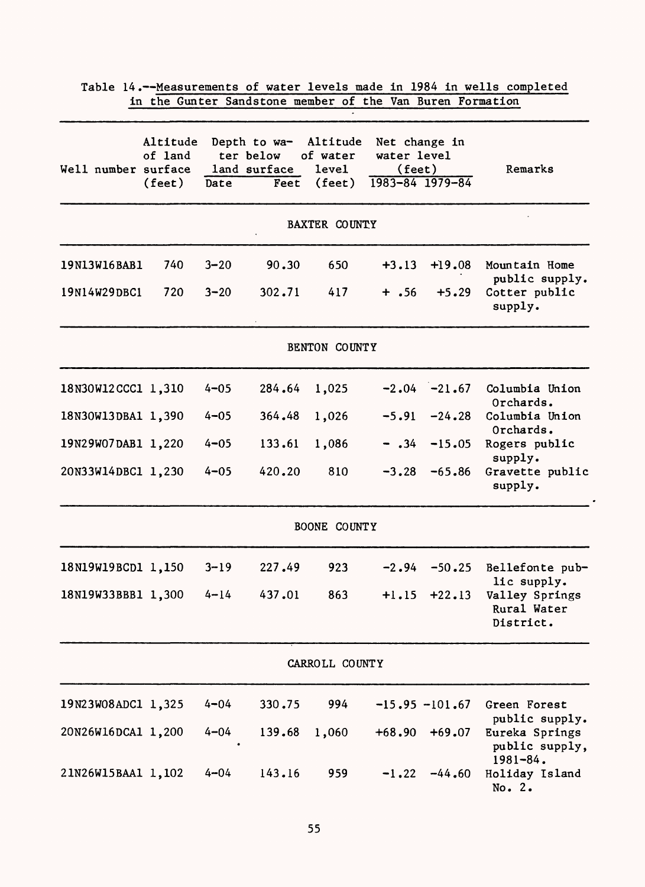|                     |                                        |          | in the Gunter Sandstone member of the Van Buren Formation  |                                      |                                                                    |                   |                                                           |
|---------------------|----------------------------------------|----------|------------------------------------------------------------|--------------------------------------|--------------------------------------------------------------------|-------------------|-----------------------------------------------------------|
| Well number surface | Altitude<br>of land<br>$(\text{feet})$ | Date     | Depth to wa- Altitude<br>ter below<br>land surface<br>Feet | of water<br>level<br>$(\text{feet})$ | Net change in<br>water level<br>$(\text{feet})$<br>1983-84 1979-84 |                   | Remarks                                                   |
|                     |                                        |          |                                                            | <b>BAXTER COUNTY</b>                 |                                                                    |                   |                                                           |
| 19N13W16BAB1        | 740                                    | $3 - 20$ | 90.30                                                      | 650                                  | $+3.13$                                                            | $+19.08$          | Mountain Home<br>public supply.                           |
| 19N14W29DBC1        | 720                                    | $3 - 20$ | 302.71                                                     | 417                                  | $+$ .56                                                            | $+5.29$           | Cotter public<br>supply.                                  |
|                     |                                        |          |                                                            | BENTON COUNTY                        |                                                                    |                   |                                                           |
| 18N30W12CCC1 1,310  |                                        | $4 - 05$ | 284.64                                                     | 1,025                                |                                                                    | $-2.04 -21.67$    | Columbia Union<br>Orchards.                               |
| 18N30W13DBA1 1,390  |                                        | $4 - 05$ | 364.48                                                     | 1,026                                | $-5.91$                                                            | $-24.28$          | Columbia Union<br>Orchards.                               |
| 19N29W07DAB1 1,220  |                                        | $4 - 05$ | 133.61                                                     | 1,086                                | $- .34$                                                            | $-15.05$          | Rogers public<br>supply.                                  |
| 20N33W14DBC1 1,230  |                                        | $4 - 05$ | 420.20                                                     | 810                                  | $-3,28$                                                            | $-65.86$          | Gravette public<br>supply.                                |
|                     |                                        |          |                                                            | BOONE COUNTY                         |                                                                    |                   |                                                           |
| 18N19W19BCD1 1,150  |                                        | $3 - 19$ | 227.49                                                     | 923                                  | $-2.94$                                                            | $-50.25$          | Bellefonte pub-                                           |
| 18N19W33BBB1 1,300  |                                        | $4 - 14$ | 437.01                                                     | 863                                  | $+1.15$                                                            | $+22.13$          | lic supply.<br>Valley Springs<br>Rural Water<br>District. |
|                     |                                        |          |                                                            | CARROLL COUNTY                       |                                                                    |                   |                                                           |
| 19N23W08ADC1 1,325  |                                        | $4 - 04$ | 330.75                                                     | 994                                  |                                                                    | $-15.95 - 101.67$ | Green Forest                                              |
| 20N26W16DCA1 1,200  |                                        | $4 - 04$ | 139.68                                                     | 1,060                                | $+68.90$                                                           | $+69.07$          | public supply.<br>Eureka Springs<br>public supply,        |
| 21N26W15BAA1 1,102  |                                        | $4 - 04$ | 143.16                                                     | 959                                  | $-1.22$                                                            | $-44.60$          | $1981 - 84$ .<br>Holiday Island<br>No. 2.                 |

 $\ddot{\phantom{0}}$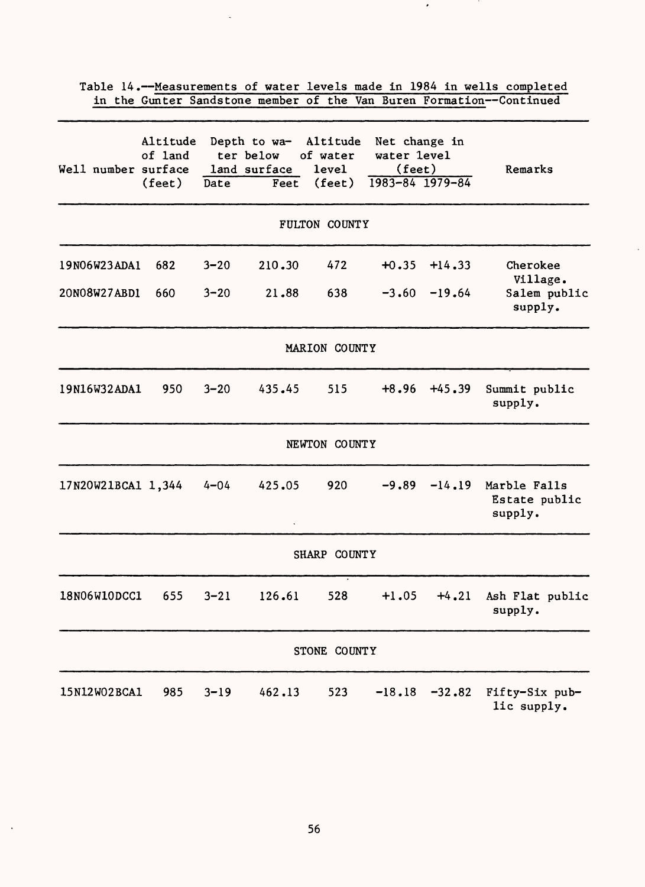| Well number surface | Altitude<br>of land<br>$(\text{feet})$ | Date     | ter below<br>land surface<br>Feet | Depth to wa- Altitude<br>of water<br>level<br>$(\text{feet})$ | Net change in<br>water level<br>$(\text{feet})$ | $1983 - 84$ $1979 - 84$ | Remarks                                  |
|---------------------|----------------------------------------|----------|-----------------------------------|---------------------------------------------------------------|-------------------------------------------------|-------------------------|------------------------------------------|
|                     |                                        |          |                                   | FULTON COUNTY                                                 |                                                 |                         |                                          |
| 19N06W23ADA1        | 682                                    | $3 - 20$ | 210.30                            | 472                                                           | $+0.35$                                         | $+14.33$                | Cherokee<br>Village.                     |
| 20N08W27ABD1        | 660                                    | $3 - 20$ | 21.88                             | 638                                                           | $-3.60$                                         | $-19.64$                | Salem public<br>supply.                  |
|                     |                                        |          |                                   | MARION COUNTY                                                 |                                                 |                         |                                          |
| 19N16W32ADA1        | 950                                    | $3 - 20$ | 435.45                            | 515                                                           | $+8.96$                                         | $+45.39$                | Summit public<br>supply.                 |
|                     |                                        |          |                                   | NEWTON COUNTY                                                 |                                                 |                         |                                          |
| 17N20W21BCA1 1,344  |                                        | $4 - 04$ | 425.05                            | 920                                                           | $-9.89$                                         | $-14.19$                | Marble Falls<br>Estate public<br>supply. |
|                     |                                        |          |                                   | SHARP COUNTY                                                  |                                                 |                         |                                          |
| 18N06W10DCC1        | 655                                    | $3 - 21$ | 126.61                            | 528                                                           | $+1.05$                                         | $+4.21$                 | Ash Flat public<br>supply.               |
|                     |                                        |          |                                   | STONE COUNTY                                                  |                                                 |                         |                                          |
| 15N12W02BCA1        | 985                                    | $3 - 19$ | 462.13                            | 523                                                           | $-18.18$                                        | $-32.82$                | Fifty-Six pub-<br>lic supply.            |

Table 14.--Measurements of water levels made in 1984 in wells completed in the Gunter Sandstone member of the Van Buren Formation--Continued

 $\bullet$ 

56

 $\ddot{\phantom{a}}$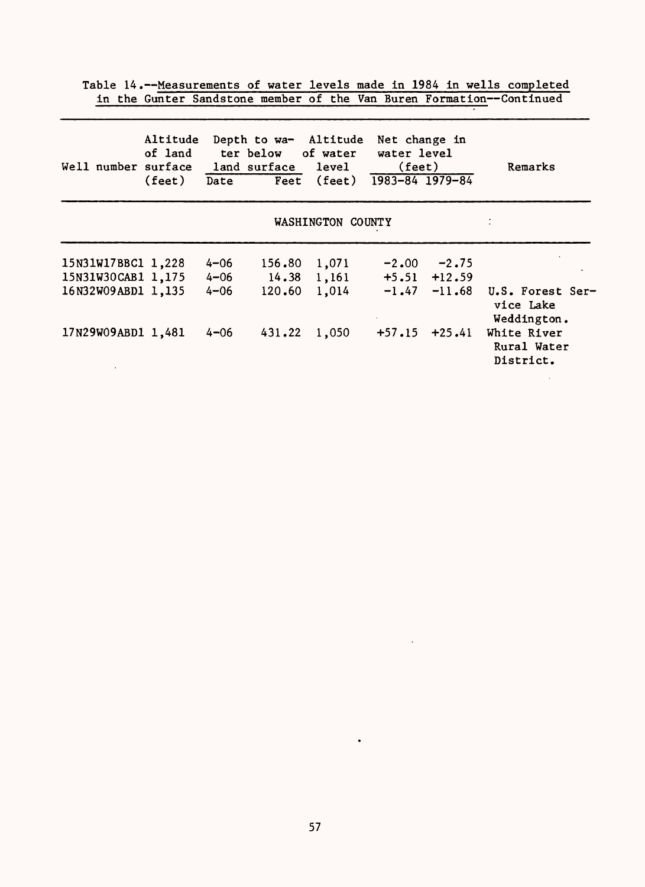Table 14.--Measurements of water levels made in 1984 in wells completed in the Gunter Sandstone member of the Van Buren Formation--Continued

| Well number surface | Altitude<br>of land<br>$(\text{feet})$ | Date     | Depth to wa- Altitude<br>ter below of water<br>land surface level | Feet (feet) $\overline{1983-84}$ $\overline{1979-84}$ | Net change in<br>water level<br>(feet) |                  | Remarks                                      |  |  |  |  |  |
|---------------------|----------------------------------------|----------|-------------------------------------------------------------------|-------------------------------------------------------|----------------------------------------|------------------|----------------------------------------------|--|--|--|--|--|
| WASHINGTON COUNTY   |                                        |          |                                                                   |                                                       |                                        |                  |                                              |  |  |  |  |  |
| 15N31W17BBC1 1,228  |                                        | $4 - 06$ | 156.80                                                            | 1,071                                                 | $-2,00$                                | $-2.75$          |                                              |  |  |  |  |  |
| 15N31W30CAB1 1,175  |                                        | $4 - 06$ |                                                                   | $14.38$ 1,161                                         |                                        | $+5.51$ $+12.59$ |                                              |  |  |  |  |  |
| 16N32W09ABD1 1,135  |                                        | $4 - 06$ | 120.60                                                            | 1,014                                                 | $-1.47$                                | $-11.68$         | U.S. Forest Ser-<br>vice Lake<br>Weddington. |  |  |  |  |  |
| 17N29W09ABD1 1,481  |                                        | $4 - 06$ | 431.22                                                            | 1,050                                                 | $+57.15$                               | $+25.41$         | White River<br>Rural Water<br>District.      |  |  |  |  |  |

 $\ddot{\phantom{a}}$ 

 $\bullet$ 

 $\ddot{\phantom{a}}$